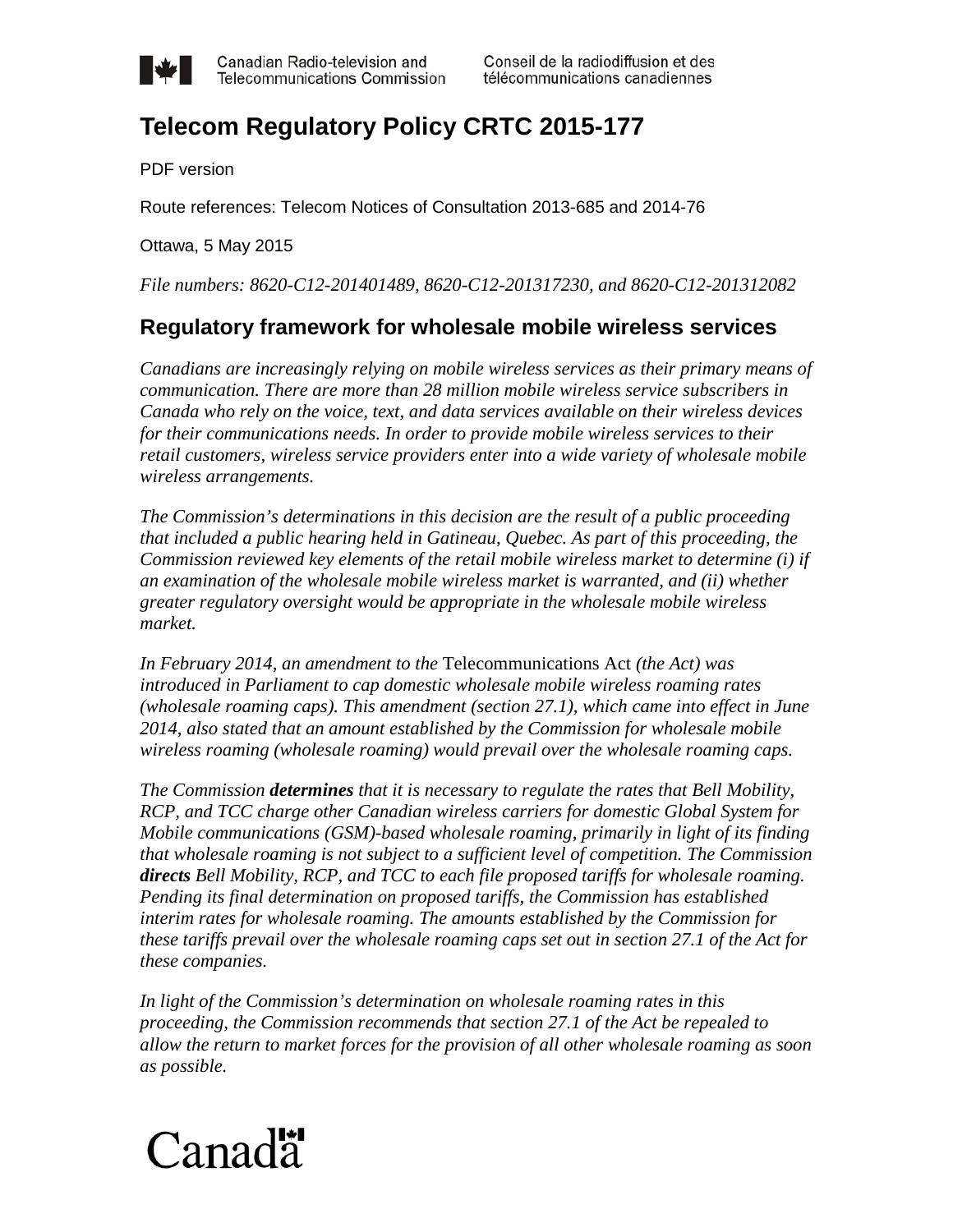

Canadian Radio-television and **Telecommunications Commission** 

## **Telecom Regulatory Policy CRTC 2015-177**

PDF version

Route references: Telecom Notices of Consultation 2013-685 and 2014-76

Ottawa, 5 May 2015

*File numbers: 8620-C12-201401489, 8620-C12-201317230, and 8620-C12-201312082*

## **Regulatory framework for wholesale mobile wireless services**

*Canadians are increasingly relying on mobile wireless services as their primary means of communication. There are more than 28 million mobile wireless service subscribers in Canada who rely on the voice, text, and data services available on their wireless devices for their communications needs. In order to provide mobile wireless services to their retail customers, wireless service providers enter into a wide variety of wholesale mobile wireless arrangements.*

*The Commission's determinations in this decision are the result of a public proceeding that included a public hearing held in Gatineau, Quebec. As part of this proceeding, the Commission reviewed key elements of the retail mobile wireless market to determine (i) if an examination of the wholesale mobile wireless market is warranted, and (ii) whether greater regulatory oversight would be appropriate in the wholesale mobile wireless market.*

*In February 2014, an amendment to the* Telecommunications Act *(the Act) was introduced in Parliament to cap domestic wholesale mobile wireless roaming rates (wholesale roaming caps). This amendment (section 27.1), which came into effect in June 2014, also stated that an amount established by the Commission for wholesale mobile wireless roaming (wholesale roaming) would prevail over the wholesale roaming caps.* 

*The Commission determines that it is necessary to regulate the rates that Bell Mobility, RCP, and TCC charge other Canadian wireless carriers for domestic Global System for Mobile communications (GSM)-based wholesale roaming, primarily in light of its finding that wholesale roaming is not subject to a sufficient level of competition. The Commission directs Bell Mobility, RCP, and TCC to each file proposed tariffs for wholesale roaming. Pending its final determination on proposed tariffs, the Commission has established interim rates for wholesale roaming. The amounts established by the Commission for these tariffs prevail over the wholesale roaming caps set out in section 27.1 of the Act for these companies.*

*In light of the Commission's determination on wholesale roaming rates in this proceeding, the Commission recommends that section 27.1 of the Act be repealed to allow the return to market forces for the provision of all other wholesale roaming as soon as possible.*

# Canadä<sup>\*</sup>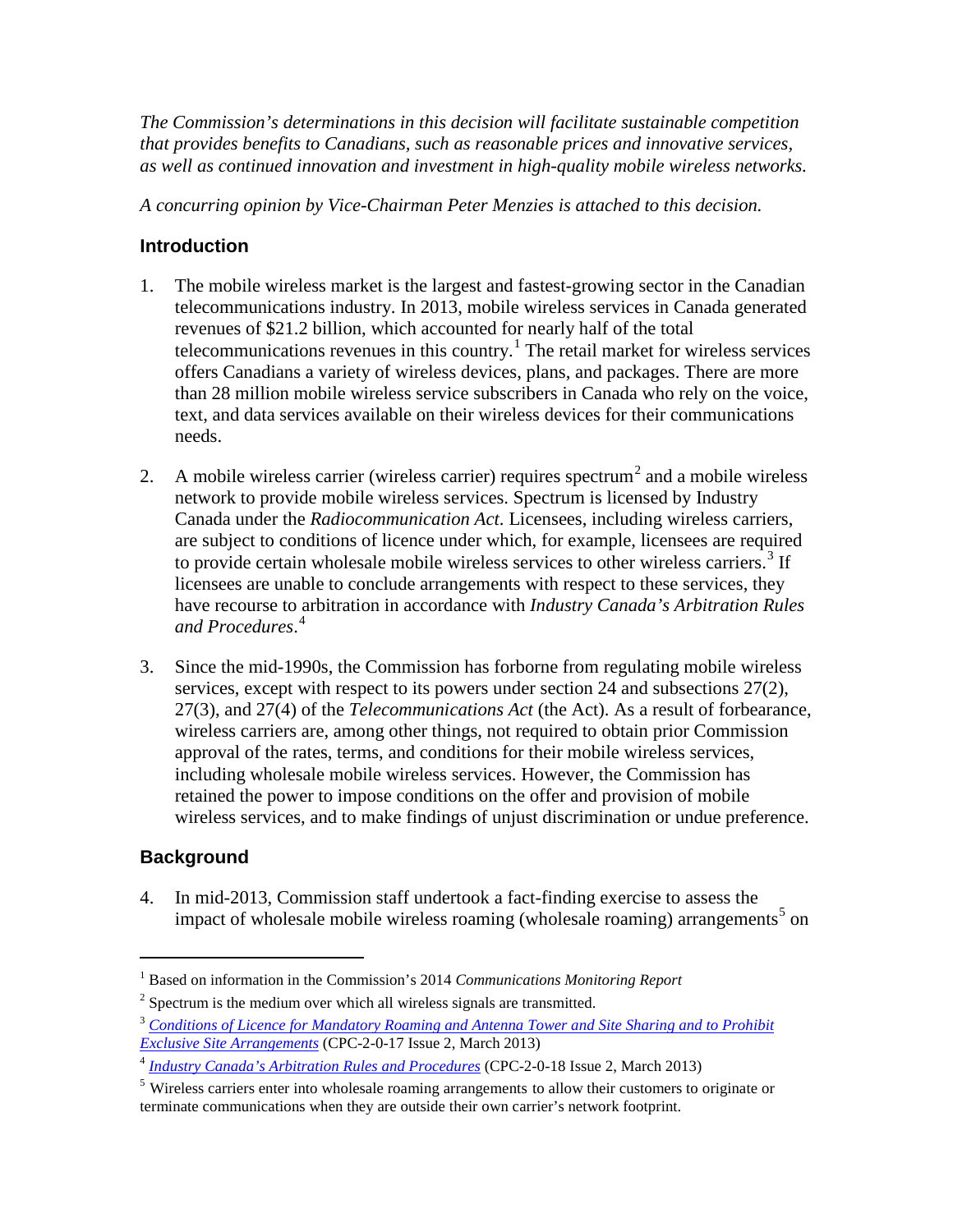*The Commission's determinations in this decision will facilitate sustainable competition that provides benefits to Canadians, such as reasonable prices and innovative services, as well as continued innovation and investment in high-quality mobile wireless networks.*

*A concurring opinion by Vice-Chairman Peter Menzies is attached to this decision.*

## **Introduction**

- 1. The mobile wireless market is the largest and fastest-growing sector in the Canadian telecommunications industry. In 2013, mobile wireless services in Canada generated revenues of \$21.2 billion, which accounted for nearly half of the total telecommunications revenues in this country.<sup>[1](#page-1-0)</sup> The retail market for wireless services offers Canadians a variety of wireless devices, plans, and packages. There are more than 28 million mobile wireless service subscribers in Canada who rely on the voice, text, and data services available on their wireless devices for their communications needs.
- [2](#page-1-1). A mobile wireless carrier (wireless carrier) requires spectrum<sup>2</sup> and a mobile wireless network to provide mobile wireless services. Spectrum is licensed by Industry Canada under the *Radiocommunication Act*. Licensees, including wireless carriers, are subject to conditions of licence under which, for example, licensees are required to provide certain wholesale mobile wireless services to other wireless carriers.<sup>[3](#page-1-2)</sup> If licensees are unable to conclude arrangements with respect to these services, they have recourse to arbitration in accordance with *Industry Canada's Arbitration Rules and Procedures*. [4](#page-1-3)
- 3. Since the mid-1990s, the Commission has forborne from regulating mobile wireless services, except with respect to its powers under section 24 and subsections 27(2), 27(3), and 27(4) of the *Telecommunications Act* (the Act). As a result of forbearance, wireless carriers are, among other things, not required to obtain prior Commission approval of the rates, terms, and conditions for their mobile wireless services, including wholesale mobile wireless services. However, the Commission has retained the power to impose conditions on the offer and provision of mobile wireless services, and to make findings of unjust discrimination or undue preference.

## **Background**

 $\overline{a}$ 

4. In mid-2013, Commission staff undertook a fact-finding exercise to assess the impact of wholesale mobile wireless roaming (wholesale roaming) arrangements<sup>[5](#page-1-4)</sup> on

<span id="page-1-0"></span><sup>1</sup> Based on information in the Commission's 2014 *Communications Monitoring Report*

 $2$  Spectrum is the medium over which all wireless signals are transmitted.

<span id="page-1-2"></span><span id="page-1-1"></span><sup>3</sup> *[Conditions of Licence for Mandatory Roaming and Antenna Tower and Site Sharing and to Prohibit](http://www.ic.gc.ca/eic/site/smt-gst.nsf/eng/sf09081.html)  [Exclusive Site Arrangements](http://www.ic.gc.ca/eic/site/smt-gst.nsf/eng/sf09081.html)* (CPC-2-0-17 Issue 2, March 2013)

<span id="page-1-3"></span><sup>4</sup> *[Industry Canada's Arbitration Rules and Procedures](http://www.ic.gc.ca/eic/site/smt-gst.nsf/eng/sf09079.html)* (CPC-2-0-18 Issue 2, March 2013)

<span id="page-1-4"></span><sup>&</sup>lt;sup>5</sup> Wireless carriers enter into wholesale roaming arrangements to allow their customers to originate or terminate communications when they are outside their own carrier's network footprint.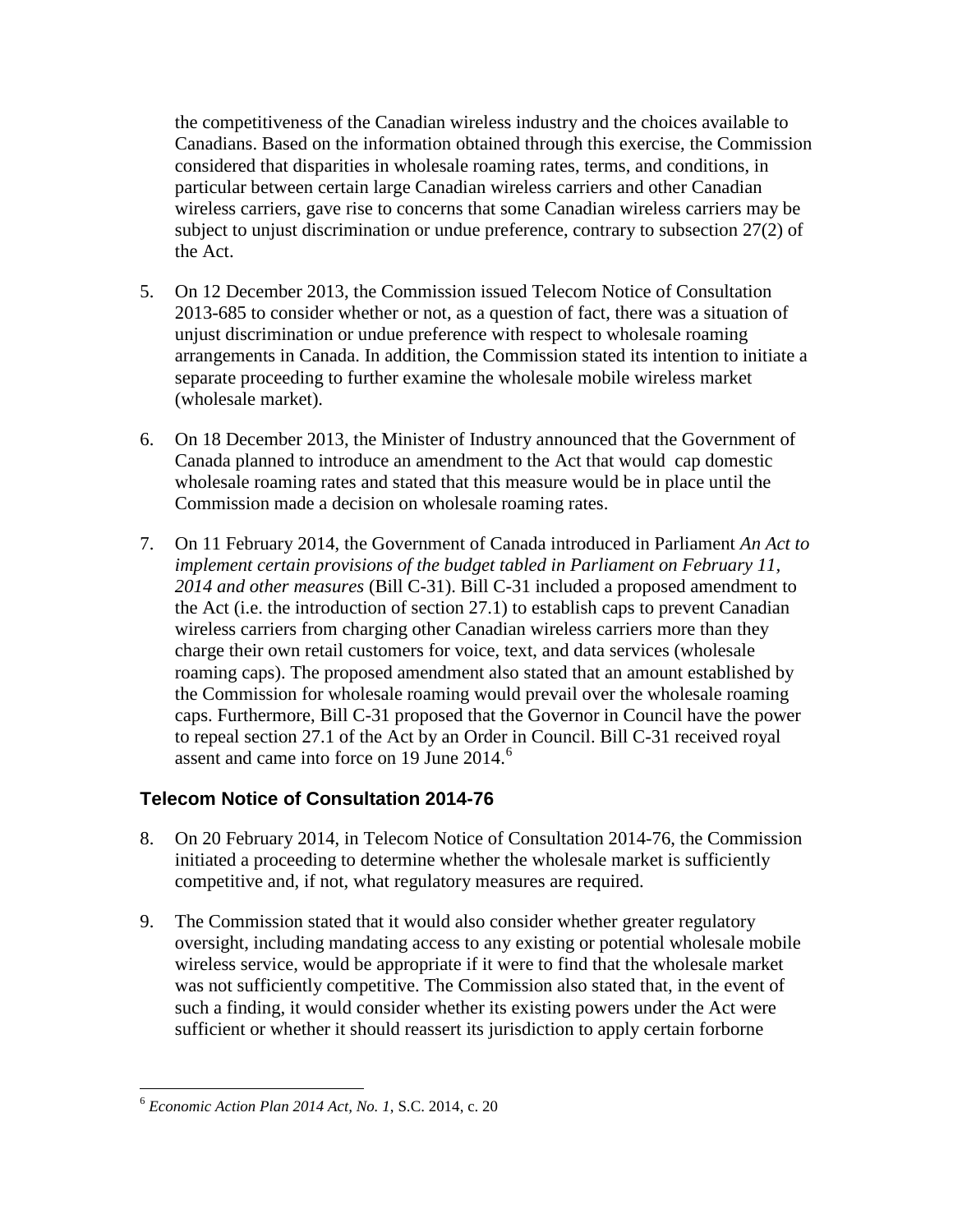the competitiveness of the Canadian wireless industry and the choices available to Canadians. Based on the information obtained through this exercise, the Commission considered that disparities in wholesale roaming rates, terms, and conditions, in particular between certain large Canadian wireless carriers and other Canadian wireless carriers, gave rise to concerns that some Canadian wireless carriers may be subject to unjust discrimination or undue preference, contrary to subsection 27(2) of the Act.

- 5. On 12 December 2013, the Commission issued Telecom Notice of Consultation [2013-685](http://www.crtc.gc.ca/eng/archive/2013/2013-685.htm) to consider whether or not, as a question of fact, there was a situation of unjust discrimination or undue preference with respect to wholesale roaming arrangements in Canada. In addition, the Commission stated its intention to initiate a separate proceeding to further examine the wholesale mobile wireless market (wholesale market).
- 6. On 18 December 2013, the Minister of Industry announced that the Government of Canada planned to introduce an amendment to the Act that would cap domestic wholesale roaming rates and stated that this measure would be in place until the Commission made a decision on wholesale roaming rates.
- 7. On 11 February 2014, the Government of Canada introduced in Parliament *An Act to implement certain provisions of the budget tabled in Parliament on February 11, 2014 and other measures* (Bill C-31). Bill C-31 included a proposed amendment to the Act (i.e. the introduction of section 27.1) to establish caps to prevent Canadian wireless carriers from charging other Canadian wireless carriers more than they charge their own retail customers for voice, text, and data services (wholesale roaming caps). The proposed amendment also stated that an amount established by the Commission for wholesale roaming would prevail over the wholesale roaming caps. Furthermore, Bill C-31 proposed that the Governor in Council have the power to repeal section 27.1 of the Act by an Order in Council. Bill C-31 received royal assent and came into force on 19 June 2014.<sup>[6](#page-2-0)</sup>

## **Telecom Notice of Consultation 2014-76**

- 8. On 20 February 2014, in Telecom Notice of Consultation 2014-76, the Commission initiated a proceeding to determine whether the wholesale market is sufficiently competitive and, if not, what regulatory measures are required.
- 9. The Commission stated that it would also consider whether greater regulatory oversight, including mandating access to any existing or potential wholesale mobile wireless service, would be appropriate if it were to find that the wholesale market was not sufficiently competitive. The Commission also stated that, in the event of such a finding, it would consider whether its existing powers under the Act were sufficient or whether it should reassert its jurisdiction to apply certain forborne

<span id="page-2-0"></span><sup>6</sup> *Economic Action Plan 2014 Act, No. 1*, S.C. 2014, c. 20  $\overline{a}$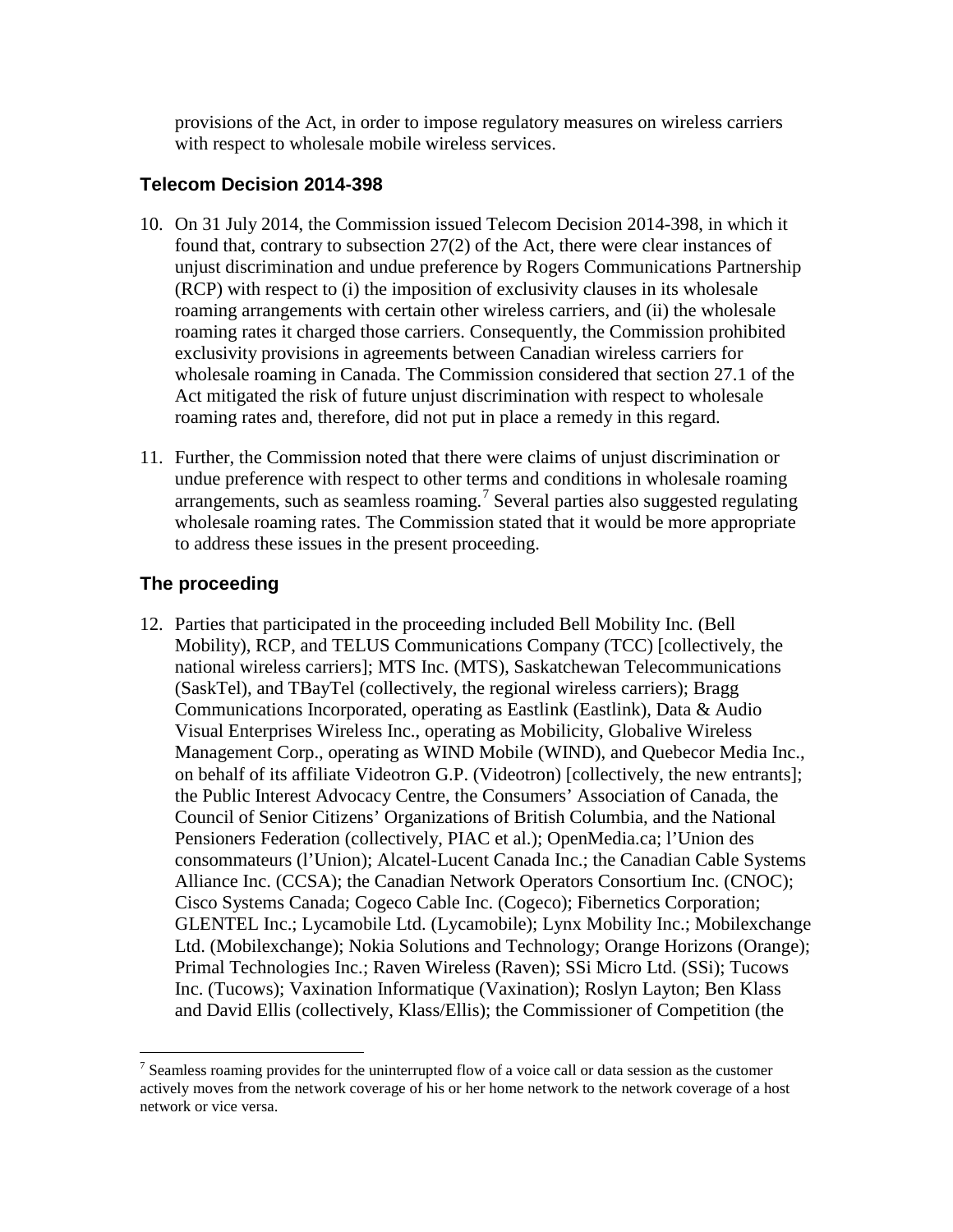provisions of the Act, in order to impose regulatory measures on wireless carriers with respect to wholesale mobile wireless services.

## **Telecom Decision 2014-398**

- 10. On 31 July 2014, the Commission issued Telecom Decision 2014-398, in which it found that, contrary to subsection 27(2) of the Act, there were clear instances of unjust discrimination and undue preference by Rogers Communications Partnership (RCP) with respect to (i) the imposition of exclusivity clauses in its wholesale roaming arrangements with certain other wireless carriers, and (ii) the wholesale roaming rates it charged those carriers. Consequently, the Commission prohibited exclusivity provisions in agreements between Canadian wireless carriers for wholesale roaming in Canada. The Commission considered that section 27.1 of the Act mitigated the risk of future unjust discrimination with respect to wholesale roaming rates and, therefore, did not put in place a remedy in this regard.
- 11. Further, the Commission noted that there were claims of unjust discrimination or undue preference with respect to other terms and conditions in wholesale roaming arrangements, such as seamless roaming.<sup>[7](#page-3-0)</sup> Several parties also suggested regulating wholesale roaming rates. The Commission stated that it would be more appropriate to address these issues in the present proceeding.

## **The proceeding**

12. Parties that participated in the proceeding included Bell Mobility Inc. (Bell Mobility), RCP, and TELUS Communications Company (TCC) [collectively, the national wireless carriers]; MTS Inc. (MTS), Saskatchewan Telecommunications (SaskTel), and TBayTel (collectively, the regional wireless carriers); Bragg Communications Incorporated, operating as Eastlink (Eastlink), Data & Audio Visual Enterprises Wireless Inc., operating as Mobilicity, Globalive Wireless Management Corp., operating as WIND Mobile (WIND), and Quebecor Media Inc., on behalf of its affiliate Videotron G.P. (Videotron) [collectively, the new entrants]; the Public Interest Advocacy Centre, the Consumers' Association of Canada, the Council of Senior Citizens' Organizations of British Columbia, and the National Pensioners Federation (collectively, PIAC et al.); OpenMedia.ca; l'Union des consommateurs (l'Union); Alcatel-Lucent Canada Inc.; the Canadian Cable Systems Alliance Inc. (CCSA); the Canadian Network Operators Consortium Inc. (CNOC); Cisco Systems Canada; Cogeco Cable Inc. (Cogeco); Fibernetics Corporation; GLENTEL Inc.; Lycamobile Ltd. (Lycamobile); Lynx Mobility Inc.; Mobilexchange Ltd. (Mobilexchange); Nokia Solutions and Technology; Orange Horizons (Orange); Primal Technologies Inc.; Raven Wireless (Raven); SSi Micro Ltd. (SSi); Tucows Inc. (Tucows); Vaxination Informatique (Vaxination); Roslyn Layton; Ben Klass and David Ellis (collectively, Klass/Ellis); the Commissioner of Competition (the

<span id="page-3-0"></span> $7$  Seamless roaming provides for the uninterrupted flow of a voice call or data session as the customer actively moves from the network coverage of his or her home network to the network coverage of a host network or vice versa.  $\overline{a}$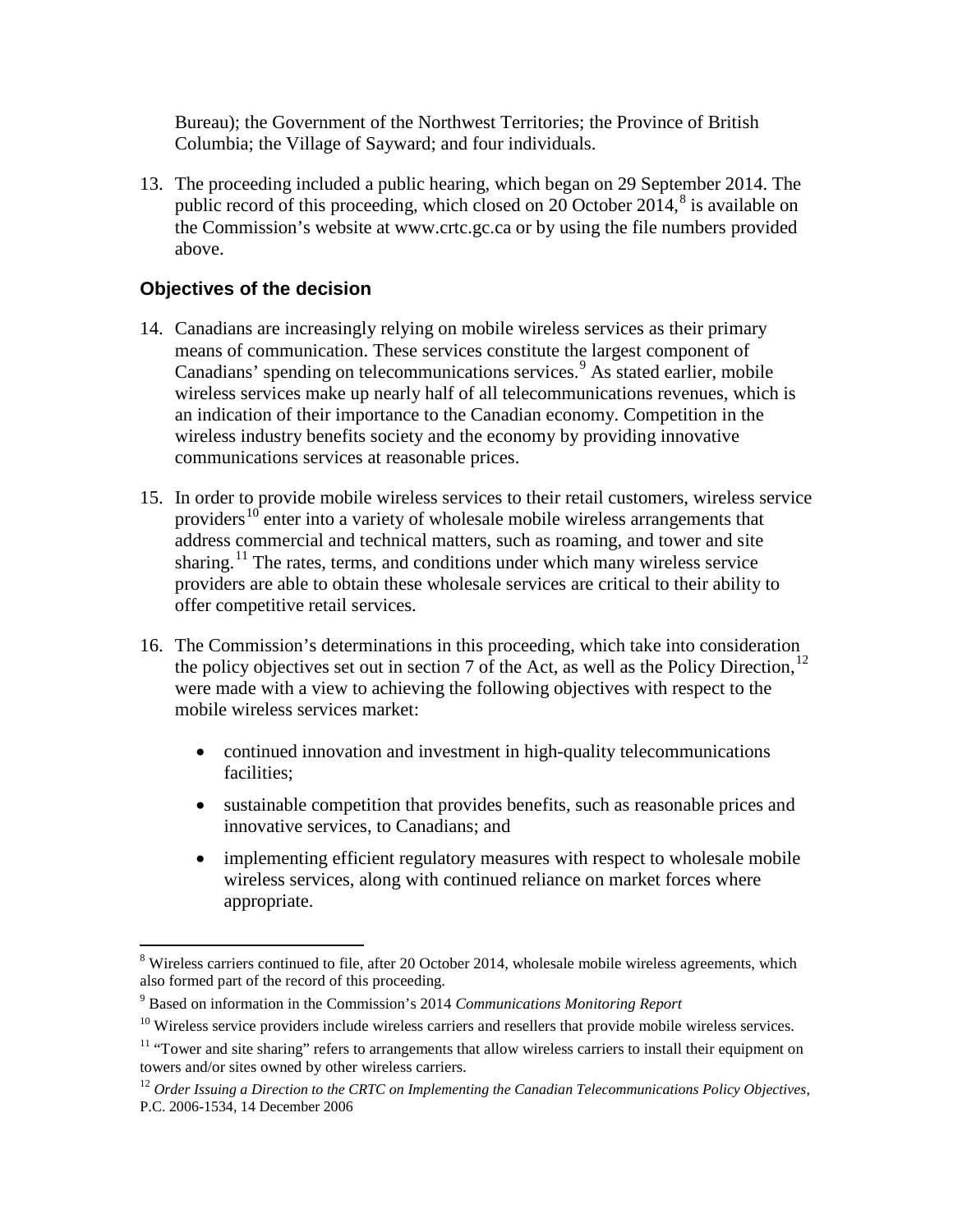Bureau); the Government of the Northwest Territories; the Province of British Columbia; the Village of Sayward; and four individuals.

13. The proceeding included a public hearing, which began on 29 September 2014. The public record of this proceeding, which closed on 20 October 2014, $8$  is available on the Commission's website at www.crtc.gc.ca or by using the file numbers provided above.

## **Objectives of the decision**

- 14. Canadians are increasingly relying on mobile wireless services as their primary means of communication. These services constitute the largest component of Canadians' spending on telecommunications services.<sup>[9](#page-4-1)</sup> As stated earlier, mobile wireless services make up nearly half of all telecommunications revenues, which is an indication of their importance to the Canadian economy. Competition in the wireless industry benefits society and the economy by providing innovative communications services at reasonable prices.
- 15. In order to provide mobile wireless services to their retail customers, wireless service providers<sup>[10](#page-4-2)</sup> enter into a variety of wholesale mobile wireless arrangements that address commercial and technical matters, such as roaming, and tower and site sharing.<sup>[11](#page-4-3)</sup> The rates, terms, and conditions under which many wireless service providers are able to obtain these wholesale services are critical to their ability to offer competitive retail services.
- 16. The Commission's determinations in this proceeding, which take into consideration the policy objectives set out in section 7 of the Act, as well as the Policy Direction,  $12$ were made with a view to achieving the following objectives with respect to the mobile wireless services market:
	- continued innovation and investment in high-quality telecommunications facilities;
	- sustainable competition that provides benefits, such as reasonable prices and innovative services, to Canadians; and
	- implementing efficient regulatory measures with respect to wholesale mobile wireless services, along with continued reliance on market forces where appropriate.

<span id="page-4-0"></span> $8$  Wireless carriers continued to file, after 20 October 2014, wholesale mobile wireless agreements, which also formed part of the record of this proceeding.  $\overline{a}$ 

<span id="page-4-1"></span><sup>9</sup> Based on information in the Commission's 2014 *Communications Monitoring Report*

 $10$  Wireless service providers include wireless carriers and resellers that provide mobile wireless services.

<span id="page-4-3"></span><span id="page-4-2"></span><sup>&</sup>lt;sup>11</sup> "Tower and site sharing" refers to arrangements that allow wireless carriers to install their equipment on towers and/or sites owned by other wireless carriers.

<span id="page-4-4"></span><sup>&</sup>lt;sup>12</sup> Order Issuing a Direction to the CRTC on Implementing the Canadian Telecommunications Policy Objectives, P.C. 2006-1534, 14 December 2006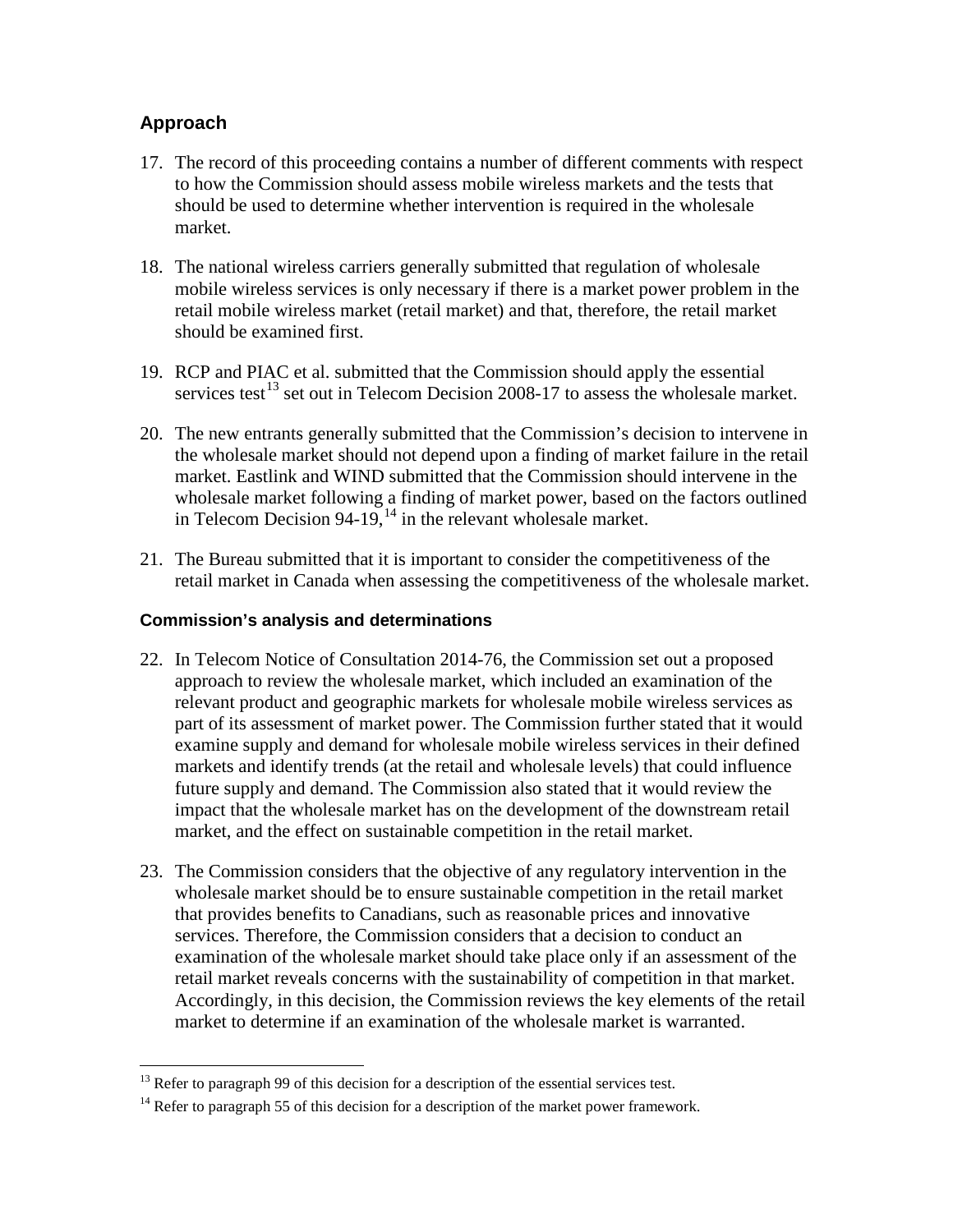## **Approach**

- 17. The record of this proceeding contains a number of different comments with respect to how the Commission should assess mobile wireless markets and the tests that should be used to determine whether intervention is required in the wholesale market.
- 18. The national wireless carriers generally submitted that regulation of wholesale mobile wireless services is only necessary if there is a market power problem in the retail mobile wireless market (retail market) and that, therefore, the retail market should be examined first.
- 19. RCP and PIAC et al. submitted that the Commission should apply the essential services test<sup>[13](#page-5-0)</sup> set out in Telecom Decision 2008-17 to assess the wholesale market.
- 20. The new entrants generally submitted that the Commission's decision to intervene in the wholesale market should not depend upon a finding of market failure in the retail market. Eastlink and WIND submitted that the Commission should intervene in the wholesale market following a finding of market power, based on the factors outlined in Telecom Decision 94-19, $^{14}$  $^{14}$  $^{14}$  in the relevant wholesale market.
- 21. The Bureau submitted that it is important to consider the competitiveness of the retail market in Canada when assessing the competitiveness of the wholesale market.

#### **Commission's analysis and determinations**

- 22. In Telecom Notice of Consultation 2014-76, the Commission set out a proposed approach to review the wholesale market, which included an examination of the relevant product and geographic markets for wholesale mobile wireless services as part of its assessment of market power. The Commission further stated that it would examine supply and demand for wholesale mobile wireless services in their defined markets and identify trends (at the retail and wholesale levels) that could influence future supply and demand. The Commission also stated that it would review the impact that the wholesale market has on the development of the downstream retail market, and the effect on sustainable competition in the retail market.
- 23. The Commission considers that the objective of any regulatory intervention in the wholesale market should be to ensure sustainable competition in the retail market that provides benefits to Canadians, such as reasonable prices and innovative services. Therefore, the Commission considers that a decision to conduct an examination of the wholesale market should take place only if an assessment of the retail market reveals concerns with the sustainability of competition in that market. Accordingly, in this decision, the Commission reviews the key elements of the retail market to determine if an examination of the wholesale market is warranted.

 $<sup>13</sup>$  Refer to paragraph 99 of this decision for a description of the essential services test.</sup>  $\overline{a}$ 

<span id="page-5-1"></span><span id="page-5-0"></span> $14$  Refer to paragraph 55 of this decision for a description of the market power framework.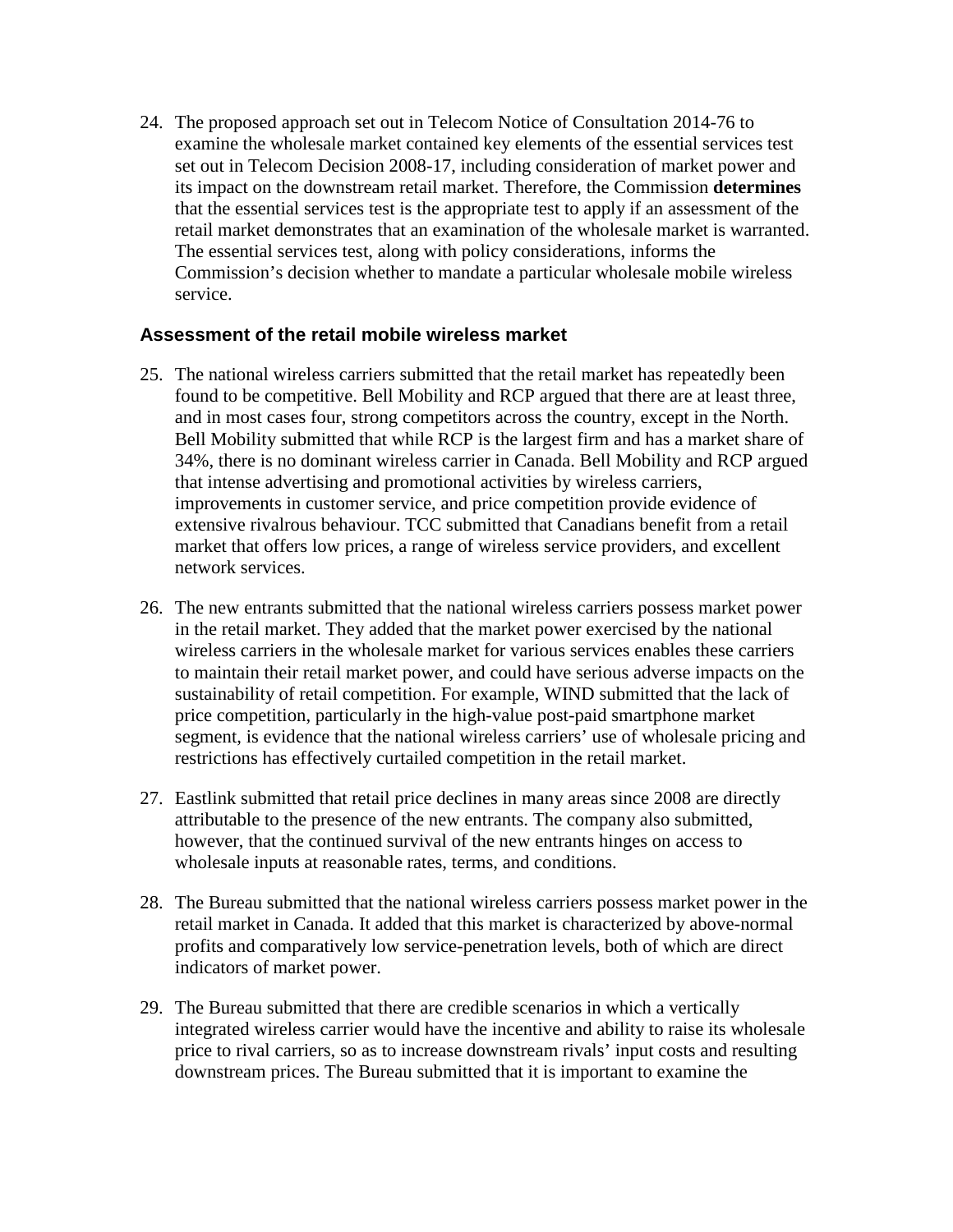24. The proposed approach set out in Telecom Notice of Consultation 2014-76 to examine the wholesale market contained key elements of the essential services test set out in Telecom Decision 2008-17, including consideration of market power and its impact on the downstream retail market. Therefore, the Commission **determines** that the essential services test is the appropriate test to apply if an assessment of the retail market demonstrates that an examination of the wholesale market is warranted. The essential services test, along with policy considerations, informs the Commission's decision whether to mandate a particular wholesale mobile wireless service.

#### **Assessment of the retail mobile wireless market**

- 25. The national wireless carriers submitted that the retail market has repeatedly been found to be competitive. Bell Mobility and RCP argued that there are at least three, and in most cases four, strong competitors across the country, except in the North. Bell Mobility submitted that while RCP is the largest firm and has a market share of 34%, there is no dominant wireless carrier in Canada. Bell Mobility and RCP argued that intense advertising and promotional activities by wireless carriers, improvements in customer service, and price competition provide evidence of extensive rivalrous behaviour. TCC submitted that Canadians benefit from a retail market that offers low prices, a range of wireless service providers, and excellent network services.
- 26. The new entrants submitted that the national wireless carriers possess market power in the retail market. They added that the market power exercised by the national wireless carriers in the wholesale market for various services enables these carriers to maintain their retail market power, and could have serious adverse impacts on the sustainability of retail competition. For example, WIND submitted that the lack of price competition, particularly in the high-value post-paid smartphone market segment, is evidence that the national wireless carriers' use of wholesale pricing and restrictions has effectively curtailed competition in the retail market.
- 27. Eastlink submitted that retail price declines in many areas since 2008 are directly attributable to the presence of the new entrants. The company also submitted, however, that the continued survival of the new entrants hinges on access to wholesale inputs at reasonable rates, terms, and conditions.
- 28. The Bureau submitted that the national wireless carriers possess market power in the retail market in Canada. It added that this market is characterized by above-normal profits and comparatively low service-penetration levels, both of which are direct indicators of market power.
- 29. The Bureau submitted that there are credible scenarios in which a vertically integrated wireless carrier would have the incentive and ability to raise its wholesale price to rival carriers, so as to increase downstream rivals' input costs and resulting downstream prices. The Bureau submitted that it is important to examine the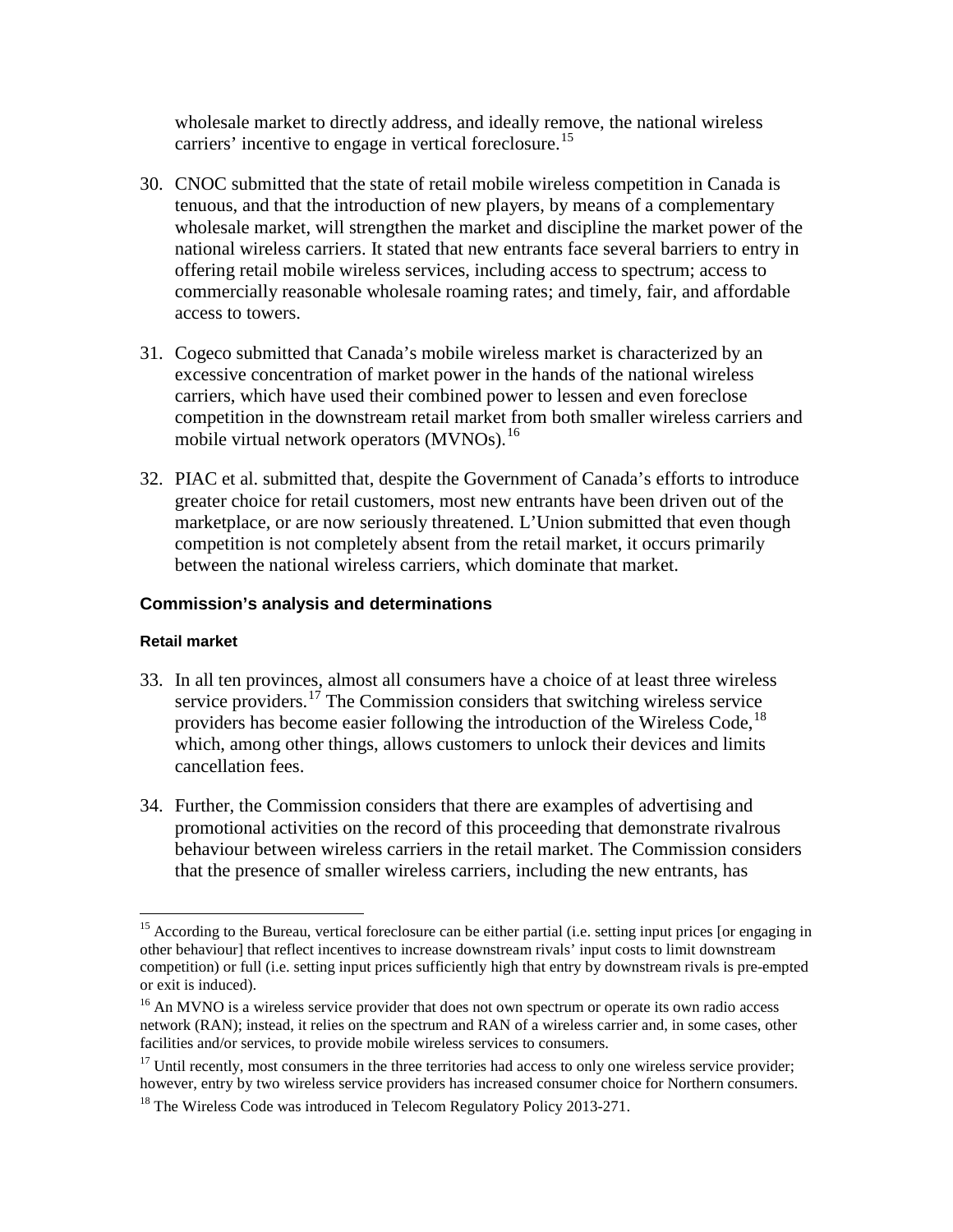wholesale market to directly address, and ideally remove, the national wireless carriers' incentive to engage in vertical foreclosure.<sup>[15](#page-7-0)</sup>

- 30. CNOC submitted that the state of retail mobile wireless competition in Canada is tenuous, and that the introduction of new players, by means of a complementary wholesale market, will strengthen the market and discipline the market power of the national wireless carriers. It stated that new entrants face several barriers to entry in offering retail mobile wireless services, including access to spectrum; access to commercially reasonable wholesale roaming rates; and timely, fair, and affordable access to towers.
- 31. Cogeco submitted that Canada's mobile wireless market is characterized by an excessive concentration of market power in the hands of the national wireless carriers, which have used their combined power to lessen and even foreclose competition in the downstream retail market from both smaller wireless carriers and mobile virtual network operators (MVNOs).<sup>[16](#page-7-1)</sup>
- 32. PIAC et al. submitted that, despite the Government of Canada's efforts to introduce greater choice for retail customers, most new entrants have been driven out of the marketplace, or are now seriously threatened. L'Union submitted that even though competition is not completely absent from the retail market, it occurs primarily between the national wireless carriers, which dominate that market.

#### **Commission's analysis and determinations**

#### **Retail market**

 $\overline{a}$ 

- 33. In all ten provinces, almost all consumers have a choice of at least three wireless service providers.<sup>[17](#page-7-2)</sup> The Commission considers that switching wireless service providers has become easier following the introduction of the Wireless Code,  $^{18}$  $^{18}$  $^{18}$ which, among other things, allows customers to unlock their devices and limits cancellation fees.
- 34. Further, the Commission considers that there are examples of advertising and promotional activities on the record of this proceeding that demonstrate rivalrous behaviour between wireless carriers in the retail market. The Commission considers that the presence of smaller wireless carriers, including the new entrants, has

<span id="page-7-0"></span><sup>&</sup>lt;sup>15</sup> According to the Bureau, vertical foreclosure can be either partial (i.e. setting input prices [or engaging in other behaviour] that reflect incentives to increase downstream rivals' input costs to limit downstream competition) or full (i.e. setting input prices sufficiently high that entry by downstream rivals is pre-empted or exit is induced).

<span id="page-7-1"></span><sup>&</sup>lt;sup>16</sup> An MVNO is a wireless service provider that does not own spectrum or operate its own radio access network (RAN); instead, it relies on the spectrum and RAN of a wireless carrier and, in some cases, other facilities and/or services, to provide mobile wireless services to consumers.

<span id="page-7-2"></span> $17$  Until recently, most consumers in the three territories had access to only one wireless service provider; however, entry by two wireless service providers has increased consumer choice for Northern consumers.

<span id="page-7-3"></span><sup>&</sup>lt;sup>18</sup> The Wireless Code was introduced in Telecom Regulatory Policy 2013-271.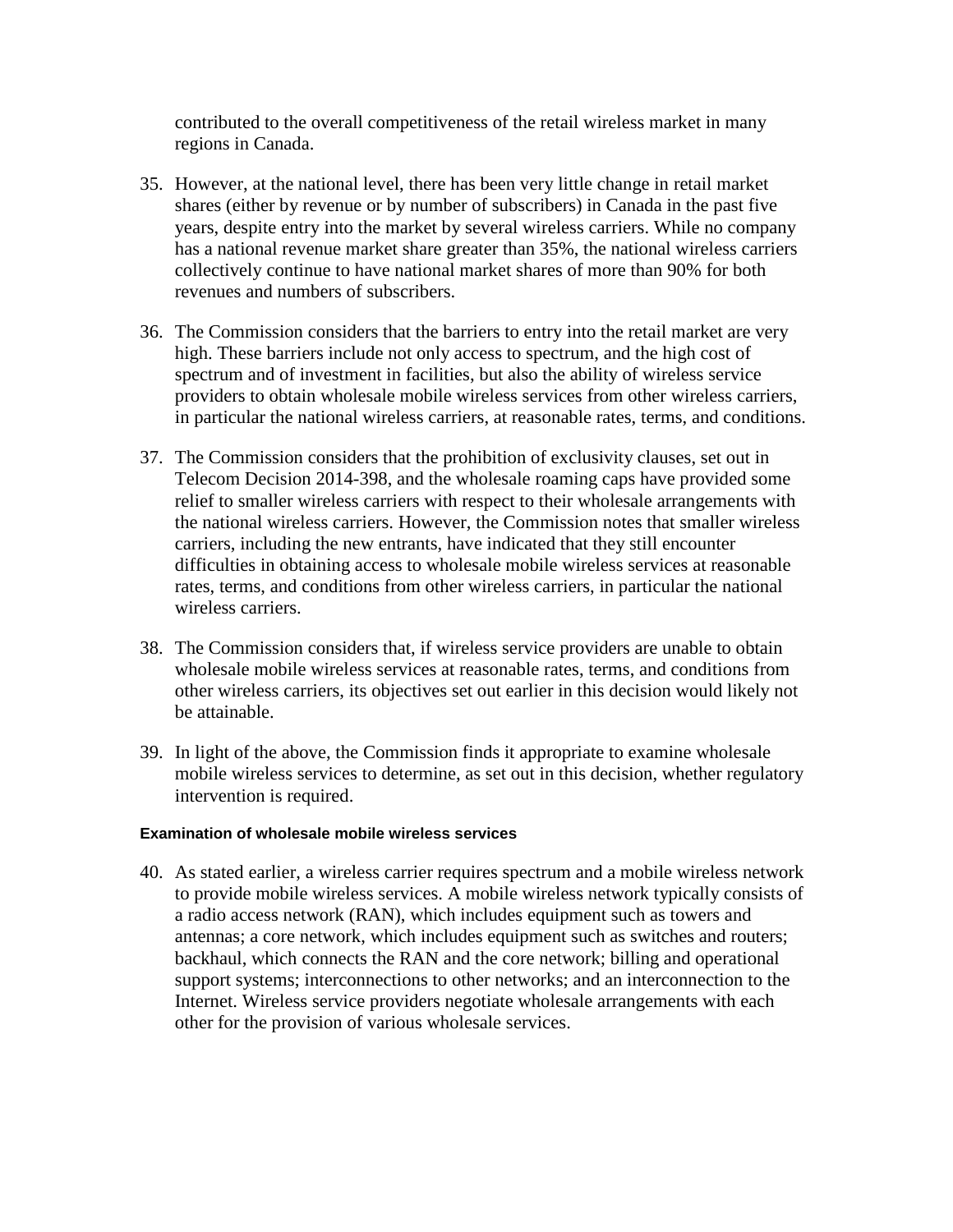contributed to the overall competitiveness of the retail wireless market in many regions in Canada.

- 35. However, at the national level, there has been very little change in retail market shares (either by revenue or by number of subscribers) in Canada in the past five years, despite entry into the market by several wireless carriers. While no company has a national revenue market share greater than 35%, the national wireless carriers collectively continue to have national market shares of more than 90% for both revenues and numbers of subscribers.
- 36. The Commission considers that the barriers to entry into the retail market are very high. These barriers include not only access to spectrum, and the high cost of spectrum and of investment in facilities, but also the ability of wireless service providers to obtain wholesale mobile wireless services from other wireless carriers, in particular the national wireless carriers, at reasonable rates, terms, and conditions.
- 37. The Commission considers that the prohibition of exclusivity clauses, set out in Telecom Decision 2014-398, and the wholesale roaming caps have provided some relief to smaller wireless carriers with respect to their wholesale arrangements with the national wireless carriers. However, the Commission notes that smaller wireless carriers, including the new entrants, have indicated that they still encounter difficulties in obtaining access to wholesale mobile wireless services at reasonable rates, terms, and conditions from other wireless carriers, in particular the national wireless carriers.
- 38. The Commission considers that, if wireless service providers are unable to obtain wholesale mobile wireless services at reasonable rates, terms, and conditions from other wireless carriers, its objectives set out earlier in this decision would likely not be attainable.
- 39. In light of the above, the Commission finds it appropriate to examine wholesale mobile wireless services to determine, as set out in this decision, whether regulatory intervention is required.

#### **Examination of wholesale mobile wireless services**

40. As stated earlier, a wireless carrier requires spectrum and a mobile wireless network to provide mobile wireless services. A mobile wireless network typically consists of a radio access network (RAN), which includes equipment such as towers and antennas; a core network, which includes equipment such as switches and routers; backhaul, which connects the RAN and the core network; billing and operational support systems; interconnections to other networks; and an interconnection to the Internet. Wireless service providers negotiate wholesale arrangements with each other for the provision of various wholesale services.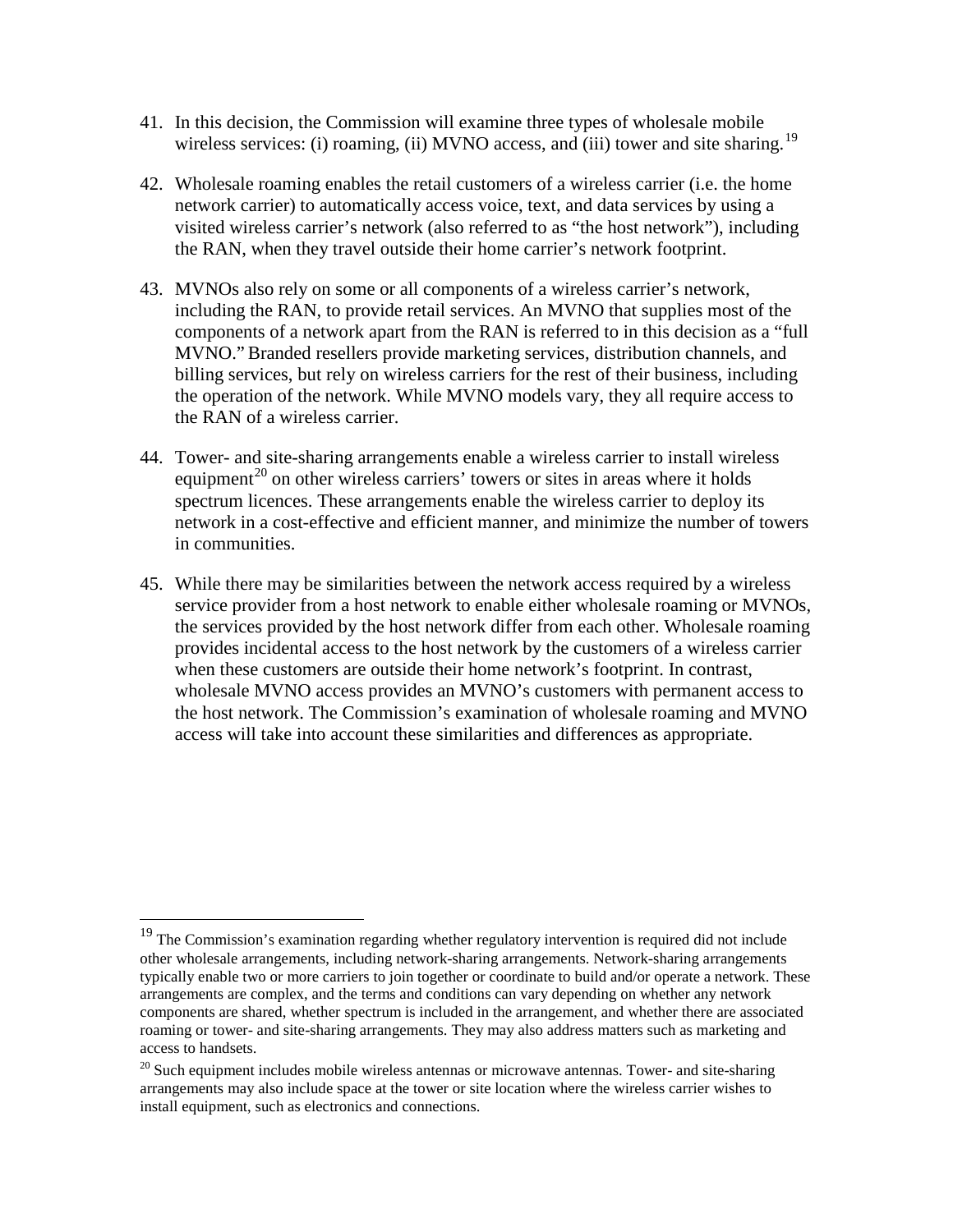- 41. In this decision, the Commission will examine three types of wholesale mobile wireless services: (i) roaming, (ii) MVNO access, and (iii) tower and site sharing.<sup>[19](#page-9-0)</sup>
- 42. Wholesale roaming enables the retail customers of a wireless carrier (i.e. the home network carrier) to automatically access voice, text, and data services by using a visited wireless carrier's network (also referred to as "the host network"), including the RAN, when they travel outside their home carrier's network footprint.
- 43. MVNOs also rely on some or all components of a wireless carrier's network, including the RAN, to provide retail services. An MVNO that supplies most of the components of a network apart from the RAN is referred to in this decision as a "full MVNO."Branded resellers provide marketing services, distribution channels, and billing services, but rely on wireless carriers for the rest of their business, including the operation of the network. While MVNO models vary, they all require access to the RAN of a wireless carrier.
- 44. Tower- and site-sharing arrangements enable a wireless carrier to install wireless equipment<sup>[20](#page-9-1)</sup> on other wireless carriers' towers or sites in areas where it holds spectrum licences. These arrangements enable the wireless carrier to deploy its network in a cost-effective and efficient manner, and minimize the number of towers in communities.
- 45. While there may be similarities between the network access required by a wireless service provider from a host network to enable either wholesale roaming or MVNOs, the services provided by the host network differ from each other. Wholesale roaming provides incidental access to the host network by the customers of a wireless carrier when these customers are outside their home network's footprint. In contrast, wholesale MVNO access provides an MVNO's customers with permanent access to the host network. The Commission's examination of wholesale roaming and MVNO access will take into account these similarities and differences as appropriate.

 $\overline{a}$ 

<span id="page-9-0"></span><sup>&</sup>lt;sup>19</sup> The Commission's examination regarding whether regulatory intervention is required did not include other wholesale arrangements, including network-sharing arrangements. Network-sharing arrangements typically enable two or more carriers to join together or coordinate to build and/or operate a network. These arrangements are complex, and the terms and conditions can vary depending on whether any network components are shared, whether spectrum is included in the arrangement, and whether there are associated roaming or tower- and site-sharing arrangements. They may also address matters such as marketing and access to handsets.

<span id="page-9-1"></span> $20$  Such equipment includes mobile wireless antennas or microwave antennas. Tower- and site-sharing arrangements may also include space at the tower or site location where the wireless carrier wishes to install equipment, such as electronics and connections.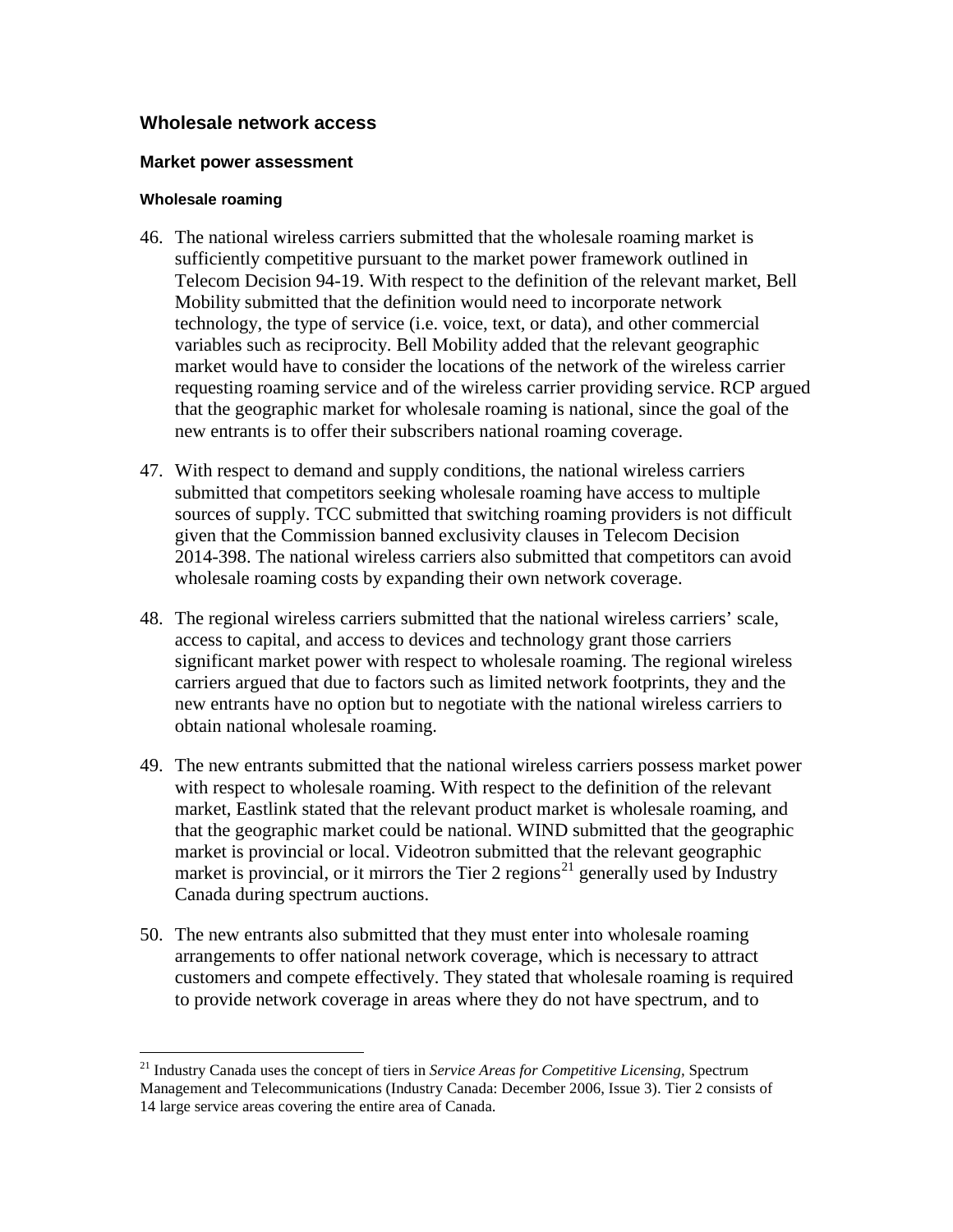#### **Wholesale network access**

#### **Market power assessment**

#### **Wholesale roaming**

 $\overline{a}$ 

- 46. The national wireless carriers submitted that the wholesale roaming market is sufficiently competitive pursuant to the market power framework outlined in Telecom Decision 94-19. With respect to the definition of the relevant market, Bell Mobility submitted that the definition would need to incorporate network technology, the type of service (i.e. voice, text, or data), and other commercial variables such as reciprocity. Bell Mobility added that the relevant geographic market would have to consider the locations of the network of the wireless carrier requesting roaming service and of the wireless carrier providing service. RCP argued that the geographic market for wholesale roaming is national, since the goal of the new entrants is to offer their subscribers national roaming coverage.
- 47. With respect to demand and supply conditions, the national wireless carriers submitted that competitors seeking wholesale roaming have access to multiple sources of supply. TCC submitted that switching roaming providers is not difficult given that the Commission banned exclusivity clauses in Telecom Decision 2014-398. The national wireless carriers also submitted that competitors can avoid wholesale roaming costs by expanding their own network coverage.
- 48. The regional wireless carriers submitted that the national wireless carriers' scale, access to capital, and access to devices and technology grant those carriers significant market power with respect to wholesale roaming. The regional wireless carriers argued that due to factors such as limited network footprints, they and the new entrants have no option but to negotiate with the national wireless carriers to obtain national wholesale roaming.
- 49. The new entrants submitted that the national wireless carriers possess market power with respect to wholesale roaming. With respect to the definition of the relevant market, Eastlink stated that the relevant product market is wholesale roaming, and that the geographic market could be national. WIND submitted that the geographic market is provincial or local. Videotron submitted that the relevant geographic market is provincial, or it mirrors the Tier 2 regions<sup>[21](#page-10-0)</sup> generally used by Industry Canada during spectrum auctions.
- 50. The new entrants also submitted that they must enter into wholesale roaming arrangements to offer national network coverage, which is necessary to attract customers and compete effectively. They stated that wholesale roaming is required to provide network coverage in areas where they do not have spectrum, and to

<span id="page-10-0"></span><sup>21</sup> Industry Canada uses the concept of tiers in *Service Areas for Competitive Licensing,* Spectrum Management and Telecommunications (Industry Canada: December 2006, Issue 3). Tier 2 consists of 14 large service areas covering the entire area of Canada.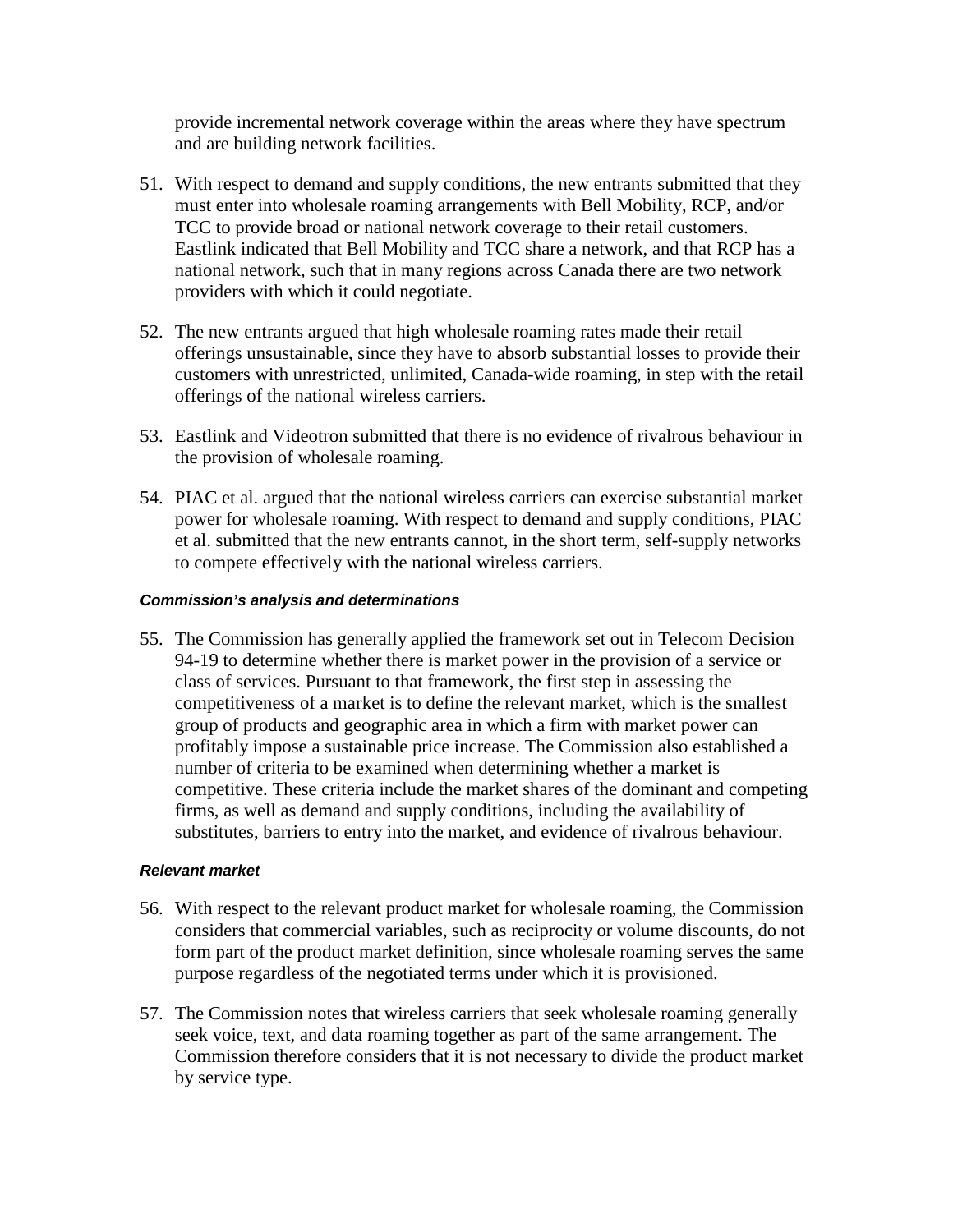provide incremental network coverage within the areas where they have spectrum and are building network facilities.

- 51. With respect to demand and supply conditions, the new entrants submitted that they must enter into wholesale roaming arrangements with Bell Mobility, RCP, and/or TCC to provide broad or national network coverage to their retail customers. Eastlink indicated that Bell Mobility and TCC share a network, and that RCP has a national network, such that in many regions across Canada there are two network providers with which it could negotiate.
- 52. The new entrants argued that high wholesale roaming rates made their retail offerings unsustainable, since they have to absorb substantial losses to provide their customers with unrestricted, unlimited, Canada-wide roaming, in step with the retail offerings of the national wireless carriers.
- 53. Eastlink and Videotron submitted that there is no evidence of rivalrous behaviour in the provision of wholesale roaming.
- 54. PIAC et al. argued that the national wireless carriers can exercise substantial market power for wholesale roaming. With respect to demand and supply conditions, PIAC et al. submitted that the new entrants cannot, in the short term, self-supply networks to compete effectively with the national wireless carriers.

#### *Commission's analysis and determinations*

55. The Commission has generally applied the framework set out in Telecom Decision 94-19 to determine whether there is market power in the provision of a service or class of services. Pursuant to that framework, the first step in assessing the competitiveness of a market is to define the relevant market, which is the smallest group of products and geographic area in which a firm with market power can profitably impose a sustainable price increase. The Commission also established a number of criteria to be examined when determining whether a market is competitive. These criteria include the market shares of the dominant and competing firms, as well as demand and supply conditions, including the availability of substitutes, barriers to entry into the market, and evidence of rivalrous behaviour.

#### *Relevant market*

- 56. With respect to the relevant product market for wholesale roaming, the Commission considers that commercial variables, such as reciprocity or volume discounts, do not form part of the product market definition, since wholesale roaming serves the same purpose regardless of the negotiated terms under which it is provisioned.
- 57. The Commission notes that wireless carriers that seek wholesale roaming generally seek voice, text, and data roaming together as part of the same arrangement. The Commission therefore considers that it is not necessary to divide the product market by service type.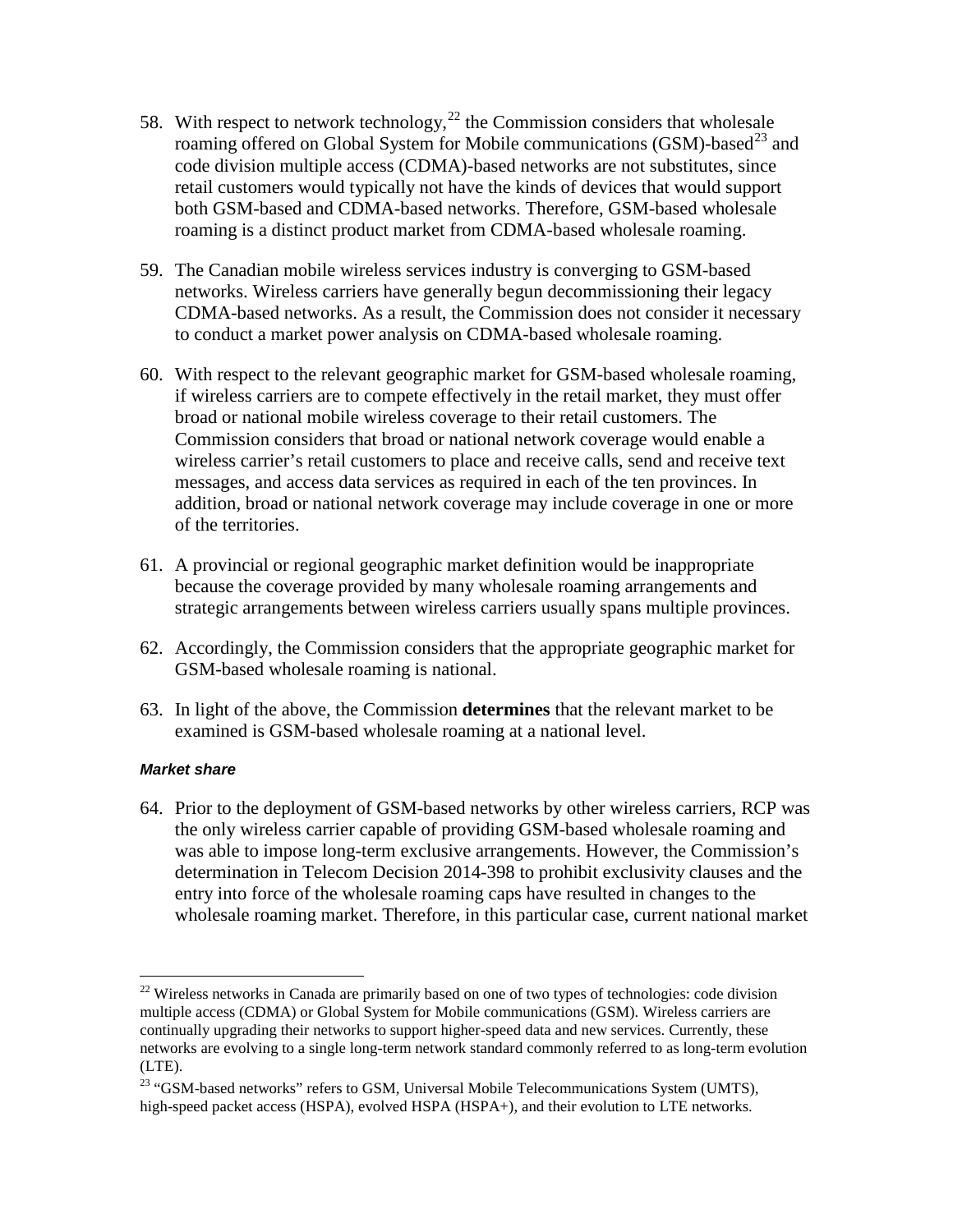- 58. With respect to network technology,<sup>[22](#page-12-0)</sup> the Commission considers that wholesale roaming offered on Global System for Mobile communications (GSM)-based<sup>[23](#page-12-1)</sup> and code division multiple access (CDMA)-based networks are not substitutes, since retail customers would typically not have the kinds of devices that would support both GSM-based and CDMA-based networks. Therefore, GSM-based wholesale roaming is a distinct product market from CDMA-based wholesale roaming.
- 59. The Canadian mobile wireless services industry is converging to GSM-based networks. Wireless carriers have generally begun decommissioning their legacy CDMA-based networks. As a result, the Commission does not consider it necessary to conduct a market power analysis on CDMA-based wholesale roaming.
- 60. With respect to the relevant geographic market for GSM-based wholesale roaming, if wireless carriers are to compete effectively in the retail market, they must offer broad or national mobile wireless coverage to their retail customers. The Commission considers that broad or national network coverage would enable a wireless carrier's retail customers to place and receive calls, send and receive text messages, and access data services as required in each of the ten provinces. In addition, broad or national network coverage may include coverage in one or more of the territories.
- 61. A provincial or regional geographic market definition would be inappropriate because the coverage provided by many wholesale roaming arrangements and strategic arrangements between wireless carriers usually spans multiple provinces.
- 62. Accordingly, the Commission considers that the appropriate geographic market for GSM-based wholesale roaming is national.
- 63. In light of the above, the Commission **determines** that the relevant market to be examined is GSM-based wholesale roaming at a national level.

#### *Market share*

 $\overline{a}$ 

64. Prior to the deployment of GSM-based networks by other wireless carriers, RCP was the only wireless carrier capable of providing GSM-based wholesale roaming and was able to impose long-term exclusive arrangements. However, the Commission's determination in Telecom Decision 2014-398 to prohibit exclusivity clauses and the entry into force of the wholesale roaming caps have resulted in changes to the wholesale roaming market. Therefore, in this particular case, current national market

<span id="page-12-0"></span> $22$  Wireless networks in Canada are primarily based on one of two types of technologies: code division multiple access (CDMA) or Global System for Mobile communications (GSM). Wireless carriers are continually upgrading their networks to support higher-speed data and new services. Currently, these networks are evolving to a single long-term network standard commonly referred to as long-term evolution (LTE).

<span id="page-12-1"></span><sup>&</sup>lt;sup>23</sup> "GSM-based networks" refers to GSM, Universal Mobile Telecommunications System (UMTS), high-speed packet access (HSPA), evolved HSPA (HSPA+), and their evolution to LTE networks.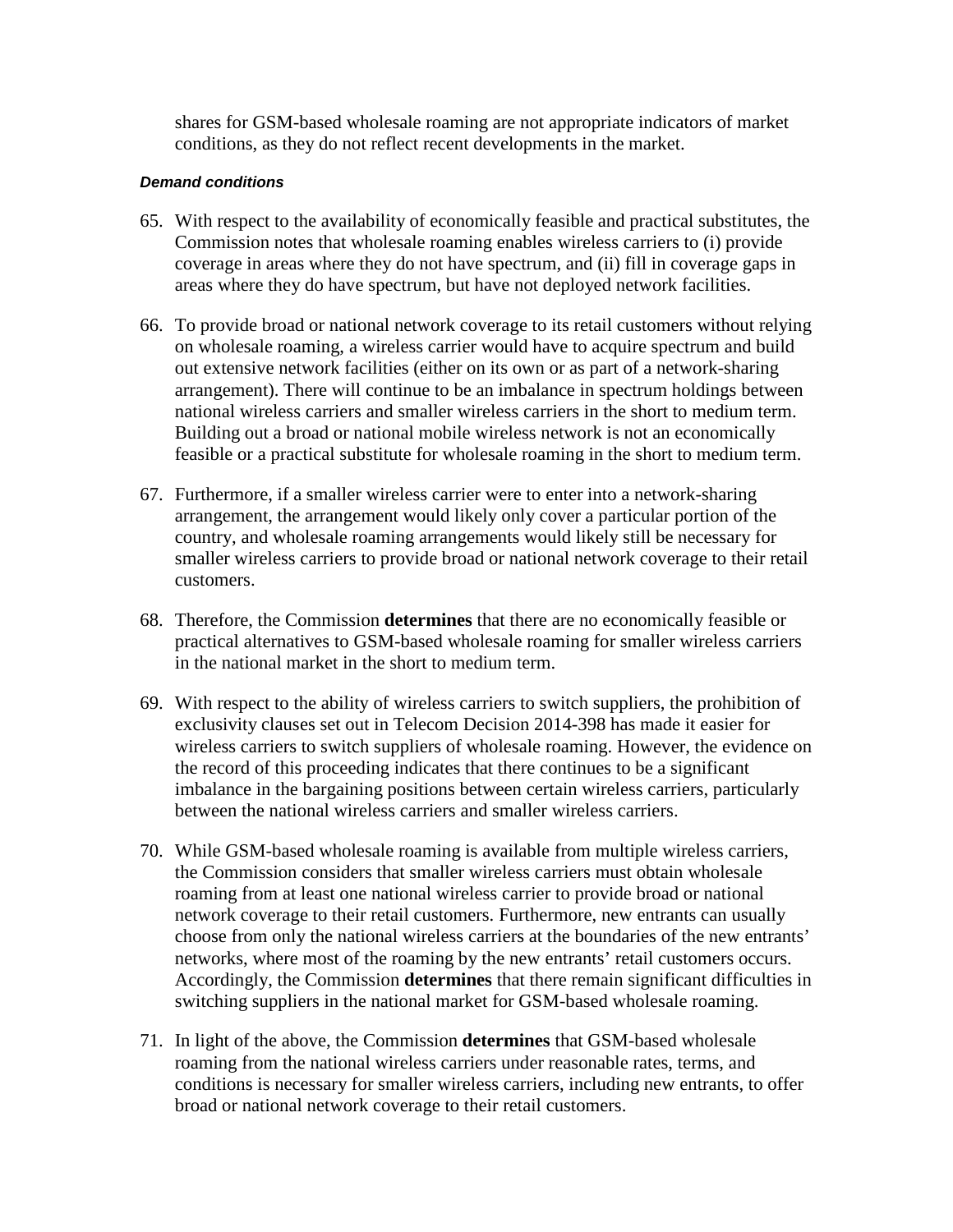shares for GSM-based wholesale roaming are not appropriate indicators of market conditions, as they do not reflect recent developments in the market.

#### *Demand conditions*

- 65. With respect to the availability of economically feasible and practical substitutes, the Commission notes that wholesale roaming enables wireless carriers to (i) provide coverage in areas where they do not have spectrum, and (ii) fill in coverage gaps in areas where they do have spectrum, but have not deployed network facilities.
- 66. To provide broad or national network coverage to its retail customers without relying on wholesale roaming, a wireless carrier would have to acquire spectrum and build out extensive network facilities (either on its own or as part of a network-sharing arrangement). There will continue to be an imbalance in spectrum holdings between national wireless carriers and smaller wireless carriers in the short to medium term. Building out a broad or national mobile wireless network is not an economically feasible or a practical substitute for wholesale roaming in the short to medium term.
- 67. Furthermore, if a smaller wireless carrier were to enter into a network-sharing arrangement, the arrangement would likely only cover a particular portion of the country, and wholesale roaming arrangements would likely still be necessary for smaller wireless carriers to provide broad or national network coverage to their retail customers.
- 68. Therefore, the Commission **determines** that there are no economically feasible or practical alternatives to GSM-based wholesale roaming for smaller wireless carriers in the national market in the short to medium term.
- 69. With respect to the ability of wireless carriers to switch suppliers, the prohibition of exclusivity clauses set out in Telecom Decision 2014-398 has made it easier for wireless carriers to switch suppliers of wholesale roaming. However, the evidence on the record of this proceeding indicates that there continues to be a significant imbalance in the bargaining positions between certain wireless carriers, particularly between the national wireless carriers and smaller wireless carriers.
- 70. While GSM-based wholesale roaming is available from multiple wireless carriers, the Commission considers that smaller wireless carriers must obtain wholesale roaming from at least one national wireless carrier to provide broad or national network coverage to their retail customers. Furthermore, new entrants can usually choose from only the national wireless carriers at the boundaries of the new entrants' networks, where most of the roaming by the new entrants' retail customers occurs. Accordingly, the Commission **determines** that there remain significant difficulties in switching suppliers in the national market for GSM-based wholesale roaming.
- 71. In light of the above, the Commission **determines** that GSM-based wholesale roaming from the national wireless carriers under reasonable rates, terms, and conditions is necessary for smaller wireless carriers, including new entrants, to offer broad or national network coverage to their retail customers.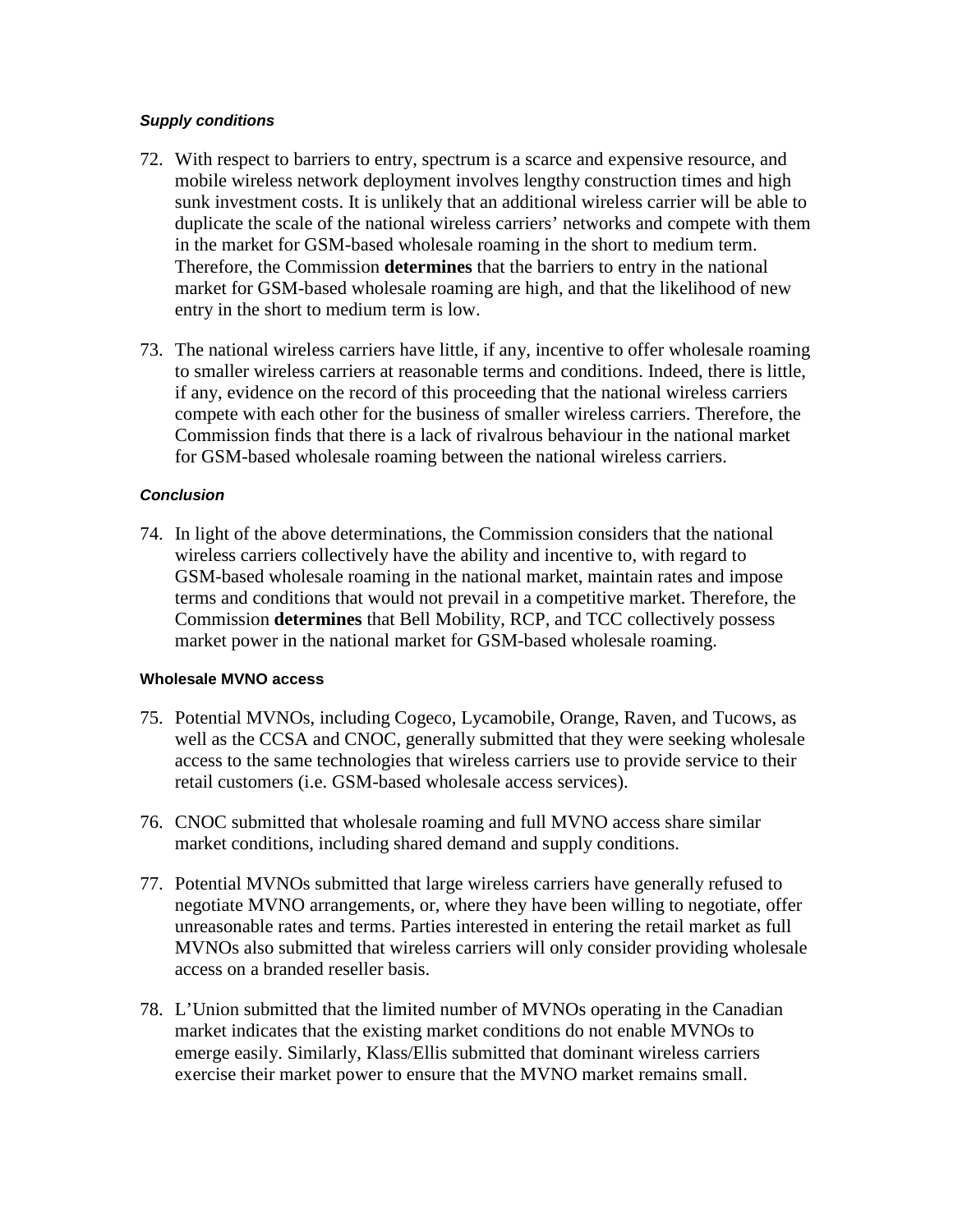#### *Supply conditions*

- 72. With respect to barriers to entry, spectrum is a scarce and expensive resource, and mobile wireless network deployment involves lengthy construction times and high sunk investment costs. It is unlikely that an additional wireless carrier will be able to duplicate the scale of the national wireless carriers' networks and compete with them in the market for GSM-based wholesale roaming in the short to medium term. Therefore, the Commission **determines** that the barriers to entry in the national market for GSM-based wholesale roaming are high, and that the likelihood of new entry in the short to medium term is low.
- 73. The national wireless carriers have little, if any, incentive to offer wholesale roaming to smaller wireless carriers at reasonable terms and conditions. Indeed, there is little, if any, evidence on the record of this proceeding that the national wireless carriers compete with each other for the business of smaller wireless carriers. Therefore, the Commission finds that there is a lack of rivalrous behaviour in the national market for GSM-based wholesale roaming between the national wireless carriers.

#### *Conclusion*

74. In light of the above determinations, the Commission considers that the national wireless carriers collectively have the ability and incentive to, with regard to GSM-based wholesale roaming in the national market, maintain rates and impose terms and conditions that would not prevail in a competitive market. Therefore, the Commission **determines** that Bell Mobility, RCP, and TCC collectively possess market power in the national market for GSM-based wholesale roaming.

#### **Wholesale MVNO access**

- 75. Potential MVNOs, including Cogeco, Lycamobile, Orange, Raven, and Tucows, as well as the CCSA and CNOC, generally submitted that they were seeking wholesale access to the same technologies that wireless carriers use to provide service to their retail customers (i.e. GSM-based wholesale access services).
- 76. CNOC submitted that wholesale roaming and full MVNO access share similar market conditions, including shared demand and supply conditions.
- 77. Potential MVNOs submitted that large wireless carriers have generally refused to negotiate MVNO arrangements, or, where they have been willing to negotiate, offer unreasonable rates and terms. Parties interested in entering the retail market as full MVNOs also submitted that wireless carriers will only consider providing wholesale access on a branded reseller basis.
- 78. L'Union submitted that the limited number of MVNOs operating in the Canadian market indicates that the existing market conditions do not enable MVNOs to emerge easily. Similarly, Klass/Ellis submitted that dominant wireless carriers exercise their market power to ensure that the MVNO market remains small.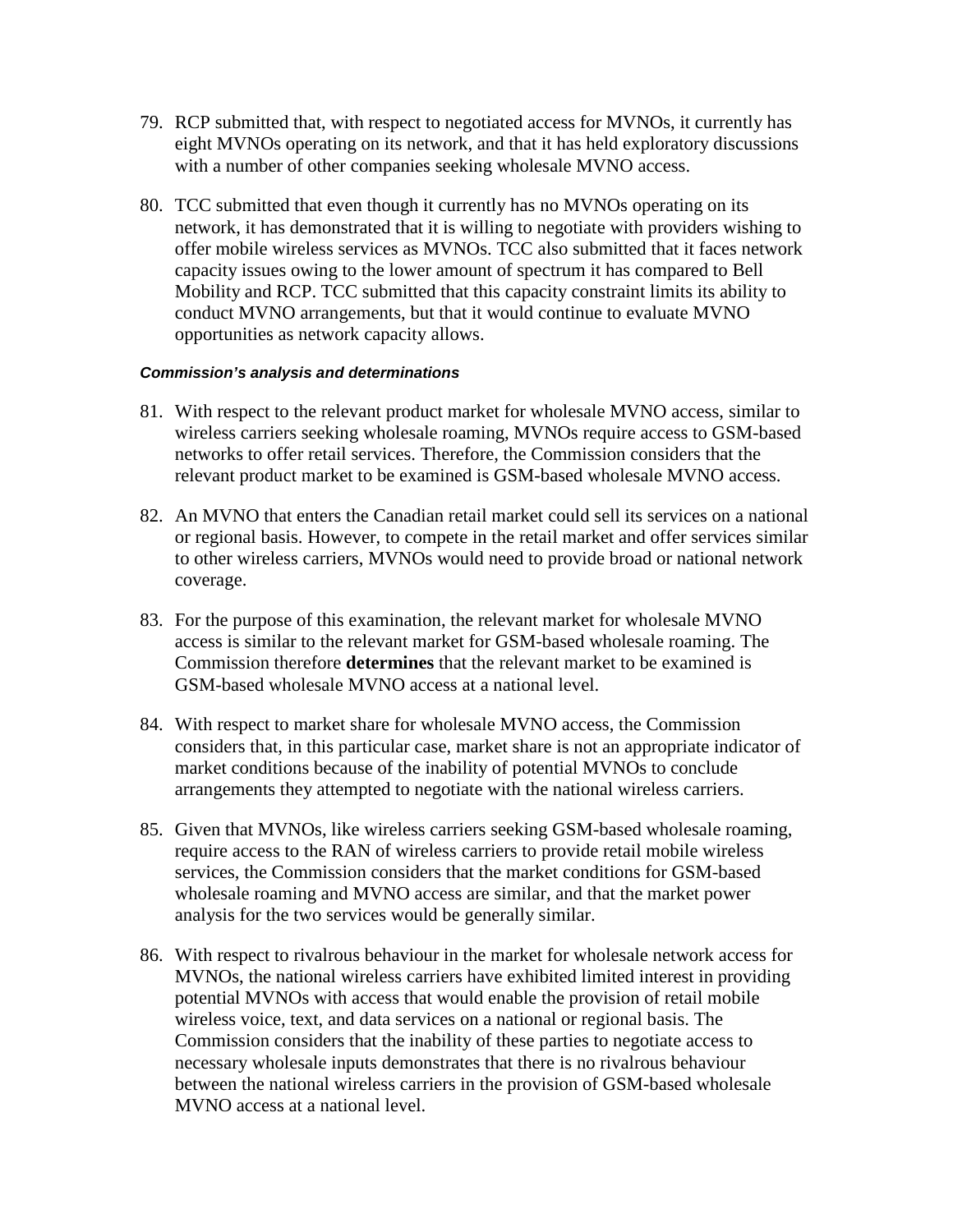- 79. RCP submitted that, with respect to negotiated access for MVNOs, it currently has eight MVNOs operating on its network, and that it has held exploratory discussions with a number of other companies seeking wholesale MVNO access.
- 80. TCC submitted that even though it currently has no MVNOs operating on its network, it has demonstrated that it is willing to negotiate with providers wishing to offer mobile wireless services as MVNOs. TCC also submitted that it faces network capacity issues owing to the lower amount of spectrum it has compared to Bell Mobility and RCP. TCC submitted that this capacity constraint limits its ability to conduct MVNO arrangements, but that it would continue to evaluate MVNO opportunities as network capacity allows.

#### *Commission's analysis and determinations*

- 81. With respect to the relevant product market for wholesale MVNO access, similar to wireless carriers seeking wholesale roaming, MVNOs require access to GSM-based networks to offer retail services. Therefore, the Commission considers that the relevant product market to be examined is GSM-based wholesale MVNO access.
- 82. An MVNO that enters the Canadian retail market could sell its services on a national or regional basis. However, to compete in the retail market and offer services similar to other wireless carriers, MVNOs would need to provide broad or national network coverage.
- 83. For the purpose of this examination, the relevant market for wholesale MVNO access is similar to the relevant market for GSM-based wholesale roaming. The Commission therefore **determines** that the relevant market to be examined is GSM-based wholesale MVNO access at a national level.
- 84. With respect to market share for wholesale MVNO access, the Commission considers that, in this particular case, market share is not an appropriate indicator of market conditions because of the inability of potential MVNOs to conclude arrangements they attempted to negotiate with the national wireless carriers.
- 85. Given that MVNOs, like wireless carriers seeking GSM-based wholesale roaming, require access to the RAN of wireless carriers to provide retail mobile wireless services, the Commission considers that the market conditions for GSM-based wholesale roaming and MVNO access are similar, and that the market power analysis for the two services would be generally similar.
- 86. With respect to rivalrous behaviour in the market for wholesale network access for MVNOs, the national wireless carriers have exhibited limited interest in providing potential MVNOs with access that would enable the provision of retail mobile wireless voice, text, and data services on a national or regional basis. The Commission considers that the inability of these parties to negotiate access to necessary wholesale inputs demonstrates that there is no rivalrous behaviour between the national wireless carriers in the provision of GSM-based wholesale MVNO access at a national level.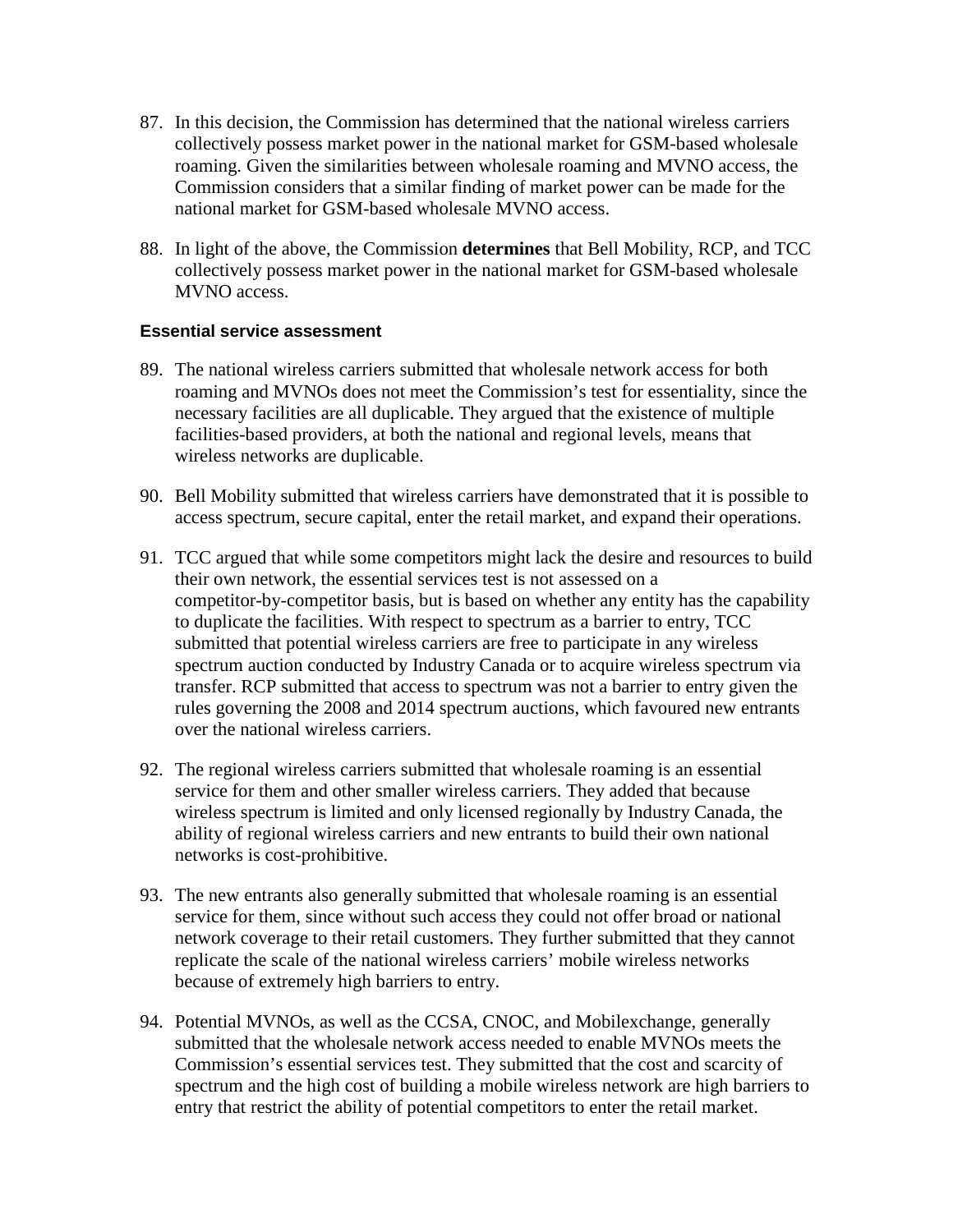- 87. In this decision, the Commission has determined that the national wireless carriers collectively possess market power in the national market for GSM-based wholesale roaming. Given the similarities between wholesale roaming and MVNO access, the Commission considers that a similar finding of market power can be made for the national market for GSM-based wholesale MVNO access.
- 88. In light of the above, the Commission **determines** that Bell Mobility, RCP, and TCC collectively possess market power in the national market for GSM-based wholesale MVNO access.

#### **Essential service assessment**

- 89. The national wireless carriers submitted that wholesale network access for both roaming and MVNOs does not meet the Commission's test for essentiality, since the necessary facilities are all duplicable. They argued that the existence of multiple facilities-based providers, at both the national and regional levels, means that wireless networks are duplicable.
- 90. Bell Mobility submitted that wireless carriers have demonstrated that it is possible to access spectrum, secure capital, enter the retail market, and expand their operations.
- 91. TCC argued that while some competitors might lack the desire and resources to build their own network, the essential services test is not assessed on a competitor-by-competitor basis, but is based on whether any entity has the capability to duplicate the facilities. With respect to spectrum as a barrier to entry, TCC submitted that potential wireless carriers are free to participate in any wireless spectrum auction conducted by Industry Canada or to acquire wireless spectrum via transfer. RCP submitted that access to spectrum was not a barrier to entry given the rules governing the 2008 and 2014 spectrum auctions, which favoured new entrants over the national wireless carriers.
- 92. The regional wireless carriers submitted that wholesale roaming is an essential service for them and other smaller wireless carriers. They added that because wireless spectrum is limited and only licensed regionally by Industry Canada, the ability of regional wireless carriers and new entrants to build their own national networks is cost-prohibitive.
- 93. The new entrants also generally submitted that wholesale roaming is an essential service for them, since without such access they could not offer broad or national network coverage to their retail customers. They further submitted that they cannot replicate the scale of the national wireless carriers' mobile wireless networks because of extremely high barriers to entry.
- 94. Potential MVNOs, as well as the CCSA, CNOC, and Mobilexchange, generally submitted that the wholesale network access needed to enable MVNOs meets the Commission's essential services test. They submitted that the cost and scarcity of spectrum and the high cost of building a mobile wireless network are high barriers to entry that restrict the ability of potential competitors to enter the retail market.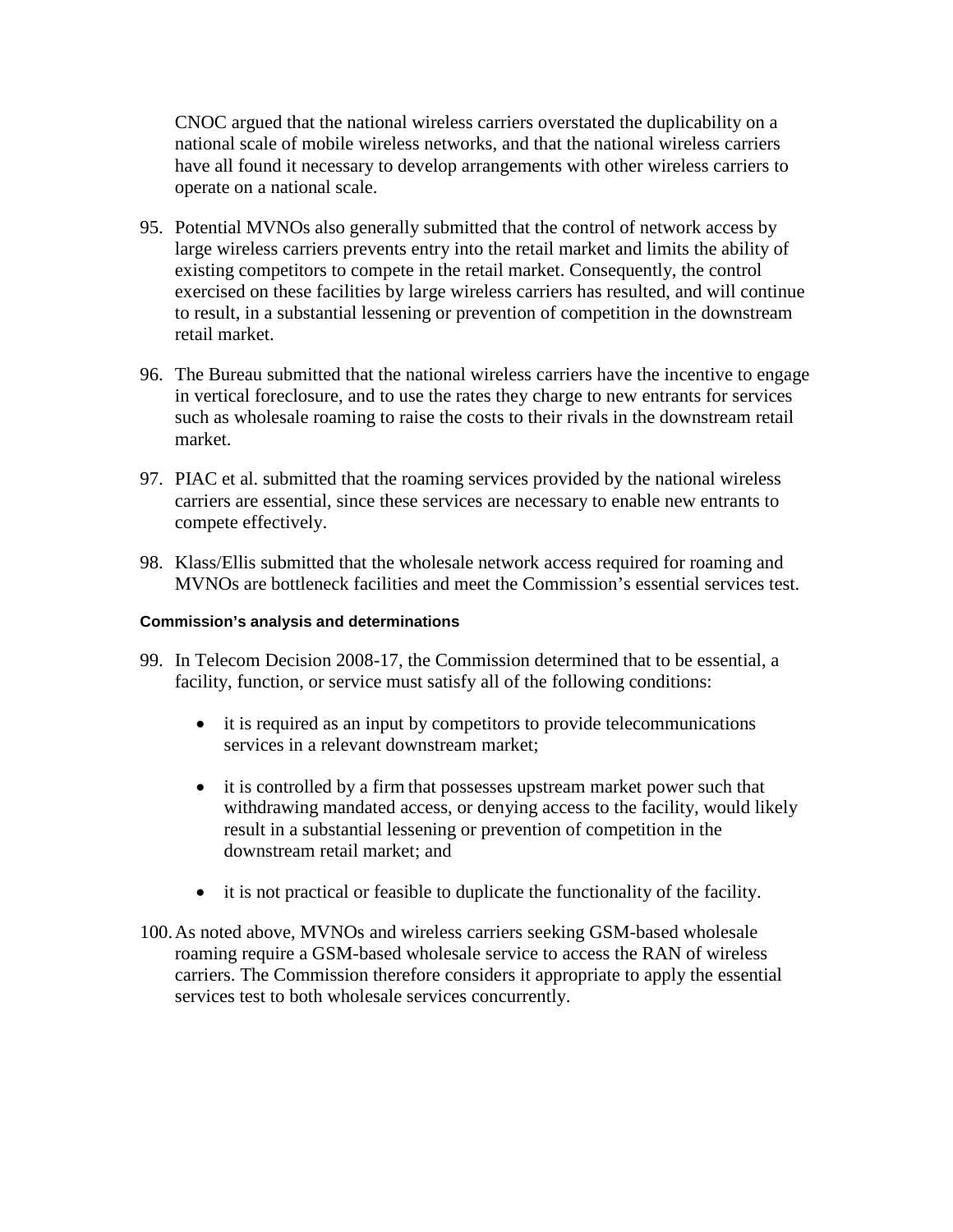CNOC argued that the national wireless carriers overstated the duplicability on a national scale of mobile wireless networks, and that the national wireless carriers have all found it necessary to develop arrangements with other wireless carriers to operate on a national scale.

- 95. Potential MVNOs also generally submitted that the control of network access by large wireless carriers prevents entry into the retail market and limits the ability of existing competitors to compete in the retail market. Consequently, the control exercised on these facilities by large wireless carriers has resulted, and will continue to result, in a substantial lessening or prevention of competition in the downstream retail market.
- 96. The Bureau submitted that the national wireless carriers have the incentive to engage in vertical foreclosure, and to use the rates they charge to new entrants for services such as wholesale roaming to raise the costs to their rivals in the downstream retail market.
- 97. PIAC et al. submitted that the roaming services provided by the national wireless carriers are essential, since these services are necessary to enable new entrants to compete effectively.
- 98. Klass/Ellis submitted that the wholesale network access required for roaming and MVNOs are bottleneck facilities and meet the Commission's essential services test.

#### **Commission's analysis and determinations**

- 99. In Telecom Decision 2008-17, the Commission determined that to be essential, a facility, function, or service must satisfy all of the following conditions:
	- it is required as an input by competitors to provide telecommunications services in a relevant downstream market;
	- it is controlled by a firm that possesses upstream market power such that withdrawing mandated access, or denying access to the facility, would likely result in a substantial lessening or prevention of competition in the downstream retail market; and
	- it is not practical or feasible to duplicate the functionality of the facility.
- 100.As noted above, MVNOs and wireless carriers seeking GSM-based wholesale roaming require a GSM-based wholesale service to access the RAN of wireless carriers. The Commission therefore considers it appropriate to apply the essential services test to both wholesale services concurrently.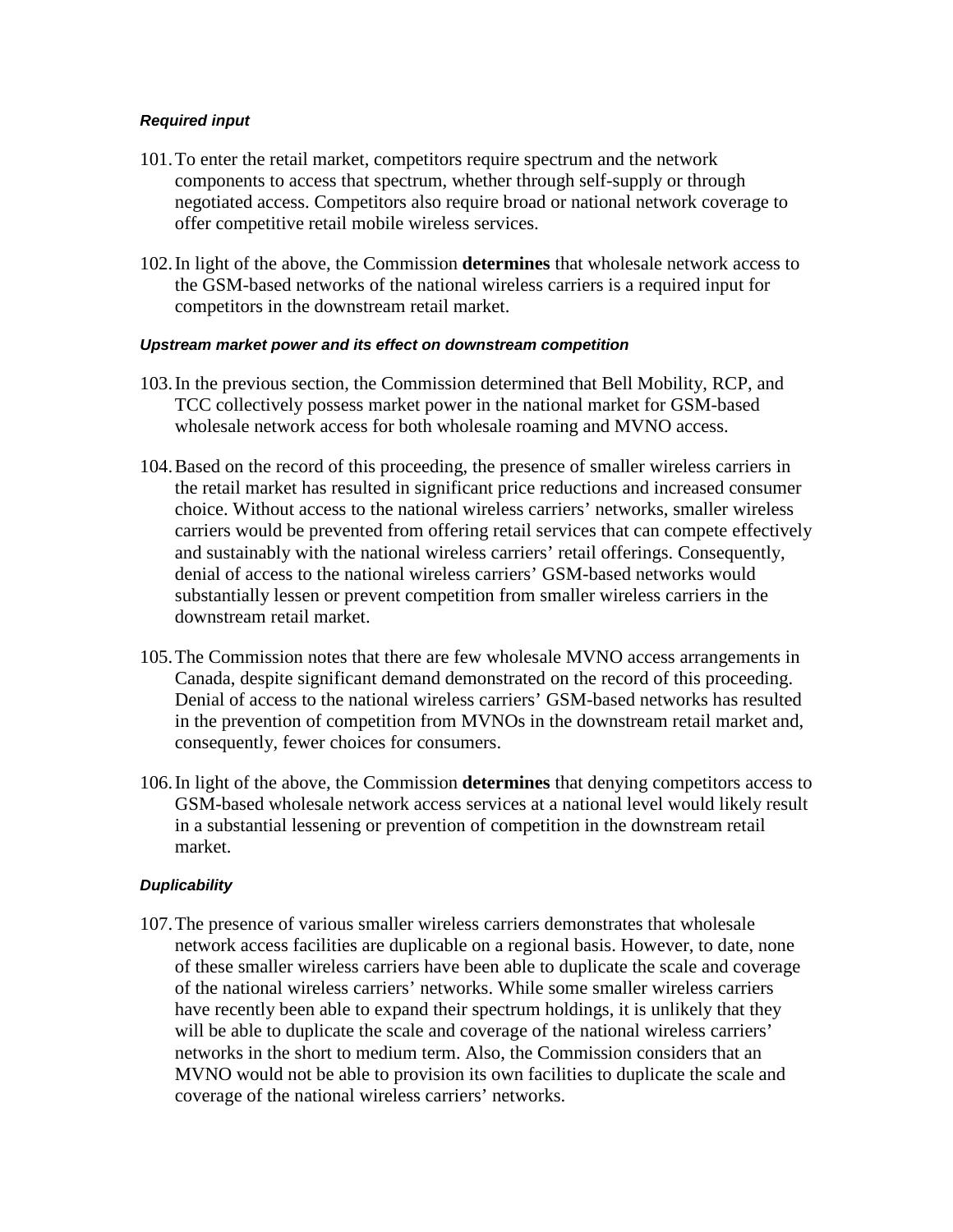#### *Required input*

- 101.To enter the retail market, competitors require spectrum and the network components to access that spectrum, whether through self-supply or through negotiated access. Competitors also require broad or national network coverage to offer competitive retail mobile wireless services.
- 102.In light of the above, the Commission **determines** that wholesale network access to the GSM-based networks of the national wireless carriers is a required input for competitors in the downstream retail market.

#### *Upstream market power and its effect on downstream competition*

- 103.In the previous section, the Commission determined that Bell Mobility, RCP, and TCC collectively possess market power in the national market for GSM-based wholesale network access for both wholesale roaming and MVNO access.
- 104.Based on the record of this proceeding, the presence of smaller wireless carriers in the retail market has resulted in significant price reductions and increased consumer choice. Without access to the national wireless carriers' networks, smaller wireless carriers would be prevented from offering retail services that can compete effectively and sustainably with the national wireless carriers' retail offerings. Consequently, denial of access to the national wireless carriers' GSM-based networks would substantially lessen or prevent competition from smaller wireless carriers in the downstream retail market.
- 105.The Commission notes that there are few wholesale MVNO access arrangements in Canada, despite significant demand demonstrated on the record of this proceeding. Denial of access to the national wireless carriers' GSM-based networks has resulted in the prevention of competition from MVNOs in the downstream retail market and, consequently, fewer choices for consumers.
- 106.In light of the above, the Commission **determines** that denying competitors access to GSM-based wholesale network access services at a national level would likely result in a substantial lessening or prevention of competition in the downstream retail market.

#### *Duplicability*

107.The presence of various smaller wireless carriers demonstrates that wholesale network access facilities are duplicable on a regional basis. However, to date, none of these smaller wireless carriers have been able to duplicate the scale and coverage of the national wireless carriers' networks. While some smaller wireless carriers have recently been able to expand their spectrum holdings, it is unlikely that they will be able to duplicate the scale and coverage of the national wireless carriers' networks in the short to medium term. Also, the Commission considers that an MVNO would not be able to provision its own facilities to duplicate the scale and coverage of the national wireless carriers' networks.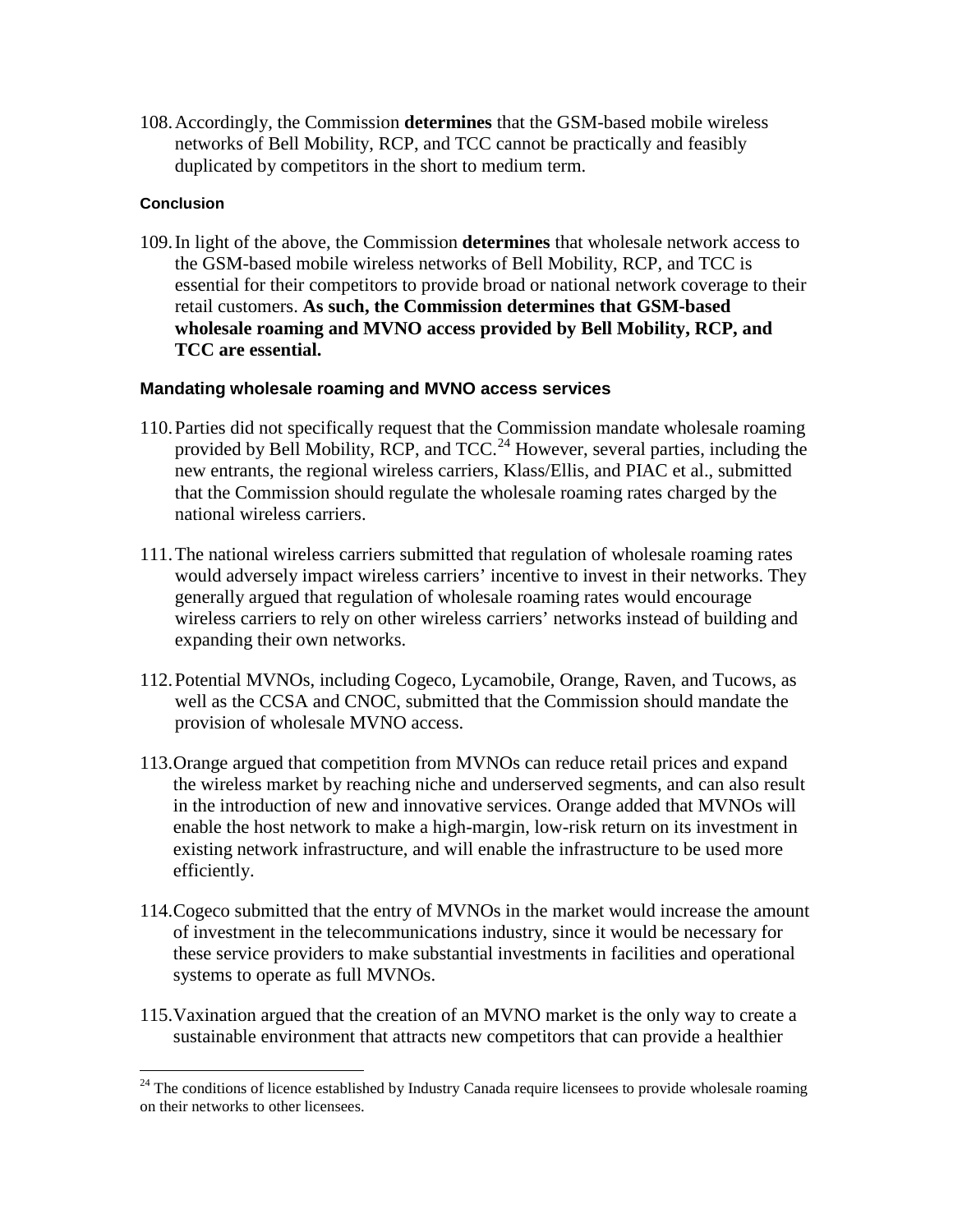108.Accordingly, the Commission **determines** that the GSM-based mobile wireless networks of Bell Mobility, RCP, and TCC cannot be practically and feasibly duplicated by competitors in the short to medium term.

#### **Conclusion**

109.In light of the above, the Commission **determines** that wholesale network access to the GSM-based mobile wireless networks of Bell Mobility, RCP, and TCC is essential for their competitors to provide broad or national network coverage to their retail customers. **As such, the Commission determines that GSM-based wholesale roaming and MVNO access provided by Bell Mobility, RCP, and TCC are essential.**

#### **Mandating wholesale roaming and MVNO access services**

- 110.Parties did not specifically request that the Commission mandate wholesale roaming provided by Bell Mobility, RCP, and TCC.<sup>[24](#page-19-0)</sup> However, several parties, including the new entrants, the regional wireless carriers, Klass/Ellis, and PIAC et al., submitted that the Commission should regulate the wholesale roaming rates charged by the national wireless carriers.
- 111.The national wireless carriers submitted that regulation of wholesale roaming rates would adversely impact wireless carriers' incentive to invest in their networks. They generally argued that regulation of wholesale roaming rates would encourage wireless carriers to rely on other wireless carriers' networks instead of building and expanding their own networks.
- 112.Potential MVNOs, including Cogeco, Lycamobile, Orange, Raven, and Tucows, as well as the CCSA and CNOC, submitted that the Commission should mandate the provision of wholesale MVNO access.
- 113.Orange argued that competition from MVNOs can reduce retail prices and expand the wireless market by reaching niche and underserved segments, and can also result in the introduction of new and innovative services. Orange added that MVNOs will enable the host network to make a high-margin, low-risk return on its investment in existing network infrastructure, and will enable the infrastructure to be used more efficiently.
- 114.Cogeco submitted that the entry of MVNOs in the market would increase the amount of investment in the telecommunications industry, since it would be necessary for these service providers to make substantial investments in facilities and operational systems to operate as full MVNOs.
- 115.Vaxination argued that the creation of an MVNO market is the only way to create a sustainable environment that attracts new competitors that can provide a healthier

<span id="page-19-0"></span><sup>&</sup>lt;sup>24</sup> The conditions of licence established by Industry Canada require licensees to provide wholesale roaming on their networks to other licensees.  $\overline{a}$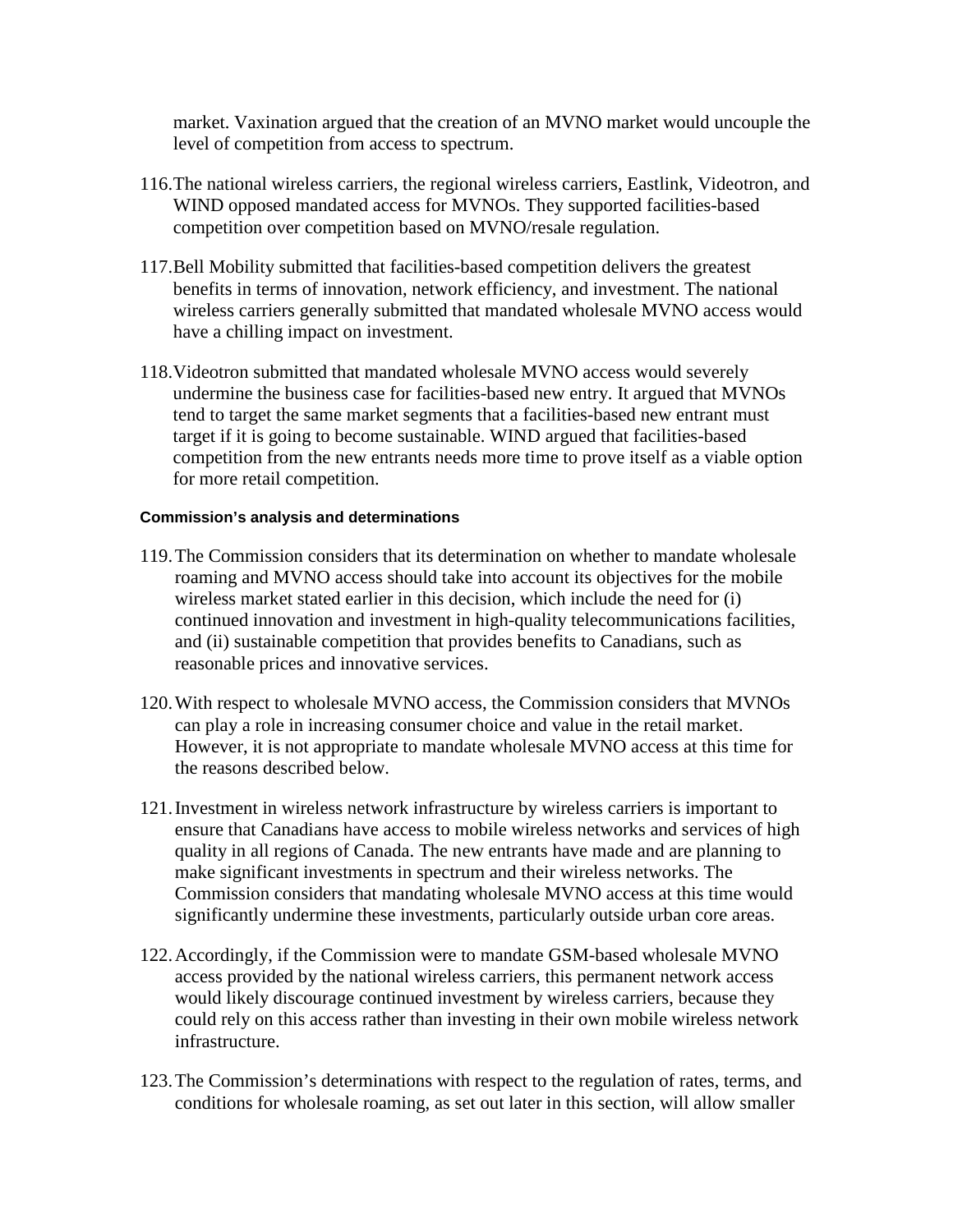market. Vaxination argued that the creation of an MVNO market would uncouple the level of competition from access to spectrum.

- 116.The national wireless carriers, the regional wireless carriers, Eastlink, Videotron, and WIND opposed mandated access for MVNOs. They supported facilities-based competition over competition based on MVNO/resale regulation.
- 117.Bell Mobility submitted that facilities-based competition delivers the greatest benefits in terms of innovation, network efficiency, and investment. The national wireless carriers generally submitted that mandated wholesale MVNO access would have a chilling impact on investment.
- 118.Videotron submitted that mandated wholesale MVNO access would severely undermine the business case for facilities-based new entry. It argued that MVNOs tend to target the same market segments that a facilities-based new entrant must target if it is going to become sustainable. WIND argued that facilities-based competition from the new entrants needs more time to prove itself as a viable option for more retail competition.

#### **Commission's analysis and determinations**

- 119.The Commission considers that its determination on whether to mandate wholesale roaming and MVNO access should take into account its objectives for the mobile wireless market stated earlier in this decision, which include the need for (i) continued innovation and investment in high-quality telecommunications facilities, and (ii) sustainable competition that provides benefits to Canadians, such as reasonable prices and innovative services.
- 120.With respect to wholesale MVNO access, the Commission considers that MVNOs can play a role in increasing consumer choice and value in the retail market. However, it is not appropriate to mandate wholesale MVNO access at this time for the reasons described below.
- 121.Investment in wireless network infrastructure by wireless carriers is important to ensure that Canadians have access to mobile wireless networks and services of high quality in all regions of Canada. The new entrants have made and are planning to make significant investments in spectrum and their wireless networks. The Commission considers that mandating wholesale MVNO access at this time would significantly undermine these investments, particularly outside urban core areas.
- 122.Accordingly, if the Commission were to mandate GSM-based wholesale MVNO access provided by the national wireless carriers, this permanent network access would likely discourage continued investment by wireless carriers, because they could rely on this access rather than investing in their own mobile wireless network infrastructure.
- 123.The Commission's determinations with respect to the regulation of rates, terms, and conditions for wholesale roaming, as set out later in this section, will allow smaller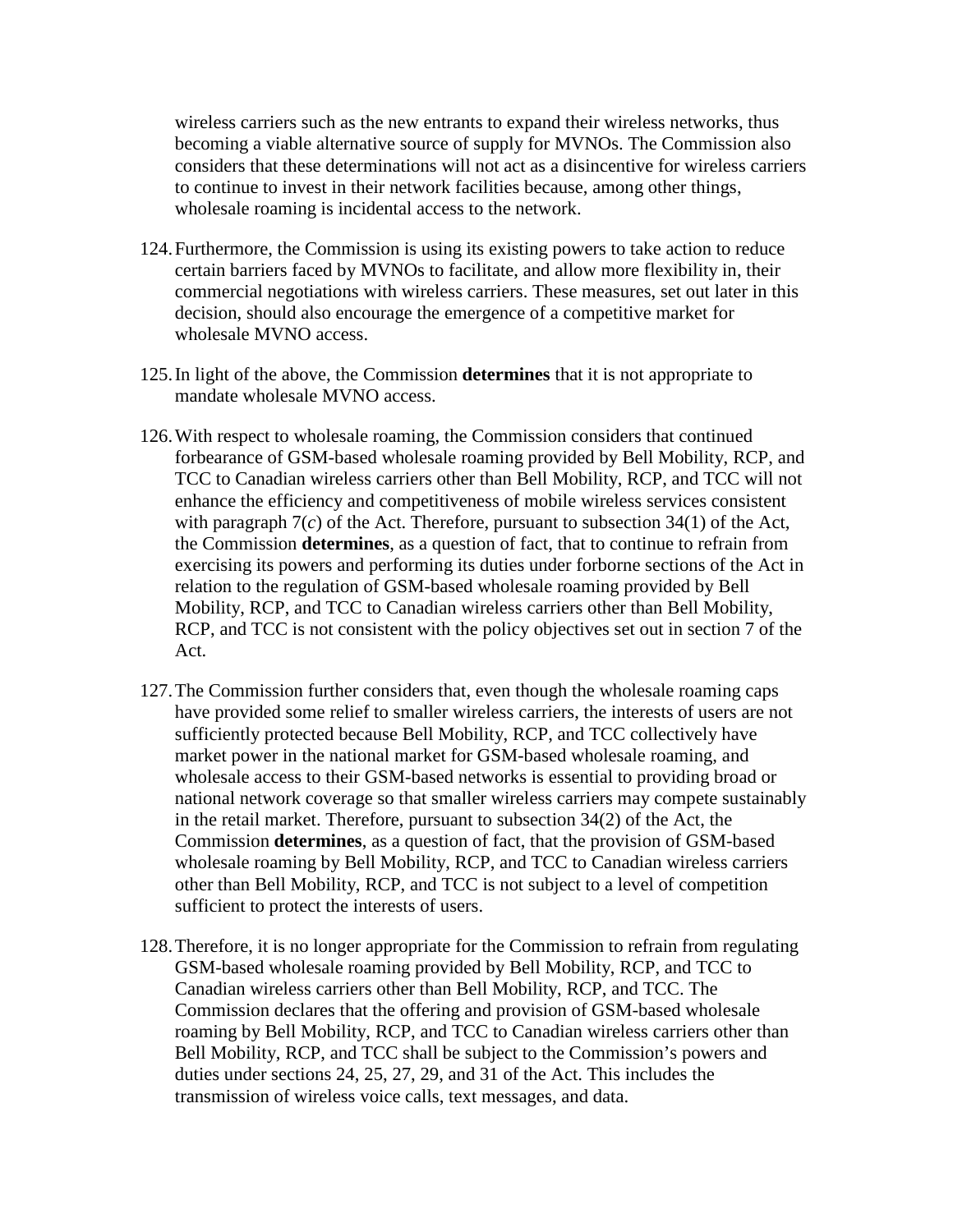wireless carriers such as the new entrants to expand their wireless networks, thus becoming a viable alternative source of supply for MVNOs. The Commission also considers that these determinations will not act as a disincentive for wireless carriers to continue to invest in their network facilities because, among other things, wholesale roaming is incidental access to the network.

- 124.Furthermore, the Commission is using its existing powers to take action to reduce certain barriers faced by MVNOs to facilitate, and allow more flexibility in, their commercial negotiations with wireless carriers. These measures, set out later in this decision, should also encourage the emergence of a competitive market for wholesale MVNO access.
- 125.In light of the above, the Commission **determines** that it is not appropriate to mandate wholesale MVNO access.
- 126.With respect to wholesale roaming, the Commission considers that continued forbearance of GSM-based wholesale roaming provided by Bell Mobility, RCP, and TCC to Canadian wireless carriers other than Bell Mobility, RCP, and TCC will not enhance the efficiency and competitiveness of mobile wireless services consistent with paragraph 7(*c*) of the Act. Therefore, pursuant to subsection 34(1) of the Act, the Commission **determines**, as a question of fact, that to continue to refrain from exercising its powers and performing its duties under forborne sections of the Act in relation to the regulation of GSM-based wholesale roaming provided by Bell Mobility, RCP, and TCC to Canadian wireless carriers other than Bell Mobility, RCP, and TCC is not consistent with the policy objectives set out in section 7 of the Act.
- 127.The Commission further considers that, even though the wholesale roaming caps have provided some relief to smaller wireless carriers, the interests of users are not sufficiently protected because Bell Mobility, RCP, and TCC collectively have market power in the national market for GSM-based wholesale roaming, and wholesale access to their GSM-based networks is essential to providing broad or national network coverage so that smaller wireless carriers may compete sustainably in the retail market. Therefore, pursuant to subsection 34(2) of the Act, the Commission **determines**, as a question of fact, that the provision of GSM-based wholesale roaming by Bell Mobility, RCP, and TCC to Canadian wireless carriers other than Bell Mobility, RCP, and TCC is not subject to a level of competition sufficient to protect the interests of users.
- 128.Therefore, it is no longer appropriate for the Commission to refrain from regulating GSM-based wholesale roaming provided by Bell Mobility, RCP, and TCC to Canadian wireless carriers other than Bell Mobility, RCP, and TCC. The Commission declares that the offering and provision of GSM-based wholesale roaming by Bell Mobility, RCP, and TCC to Canadian wireless carriers other than Bell Mobility, RCP, and TCC shall be subject to the Commission's powers and duties under sections 24, 25, 27, 29, and 31 of the Act. This includes the transmission of wireless voice calls, text messages, and data.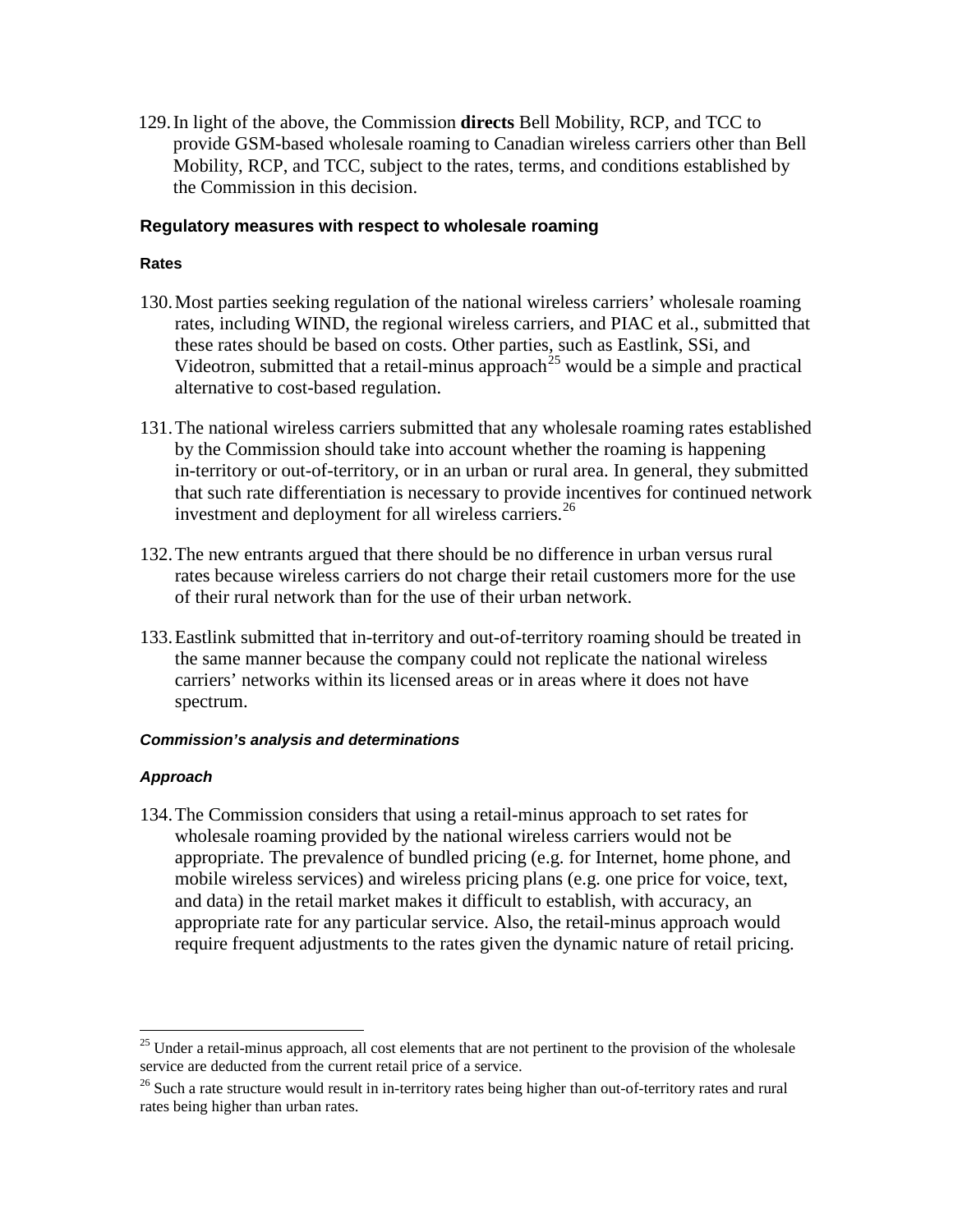129.In light of the above, the Commission **directs** Bell Mobility, RCP, and TCC to provide GSM-based wholesale roaming to Canadian wireless carriers other than Bell Mobility, RCP, and TCC, subject to the rates, terms, and conditions established by the Commission in this decision.

#### **Regulatory measures with respect to wholesale roaming**

#### **Rates**

- 130.Most parties seeking regulation of the national wireless carriers' wholesale roaming rates, including WIND, the regional wireless carriers, and PIAC et al., submitted that these rates should be based on costs. Other parties, such as Eastlink, SSi, and Videotron, submitted that a retail-minus approach<sup>[25](#page-22-0)</sup> would be a simple and practical alternative to cost-based regulation.
- 131.The national wireless carriers submitted that any wholesale roaming rates established by the Commission should take into account whether the roaming is happening in-territory or out-of-territory, or in an urban or rural area. In general, they submitted that such rate differentiation is necessary to provide incentives for continued network investment and deployment for all wireless carriers. [26](#page-22-1)
- 132.The new entrants argued that there should be no difference in urban versus rural rates because wireless carriers do not charge their retail customers more for the use of their rural network than for the use of their urban network.
- 133.Eastlink submitted that in-territory and out-of-territory roaming should be treated in the same manner because the company could not replicate the national wireless carriers' networks within its licensed areas or in areas where it does not have spectrum.

#### *Commission's analysis and determinations*

#### *Approach*

 $\overline{a}$ 

134.The Commission considers that using a retail-minus approach to set rates for wholesale roaming provided by the national wireless carriers would not be appropriate. The prevalence of bundled pricing (e.g. for Internet, home phone, and mobile wireless services) and wireless pricing plans (e.g. one price for voice, text, and data) in the retail market makes it difficult to establish, with accuracy, an appropriate rate for any particular service. Also, the retail-minus approach would require frequent adjustments to the rates given the dynamic nature of retail pricing.

<span id="page-22-0"></span><sup>&</sup>lt;sup>25</sup> Under a retail-minus approach, all cost elements that are not pertinent to the provision of the wholesale service are deducted from the current retail price of a service.

<span id="page-22-1"></span><sup>&</sup>lt;sup>26</sup> Such a rate structure would result in in-territory rates being higher than out-of-territory rates and rural rates being higher than urban rates.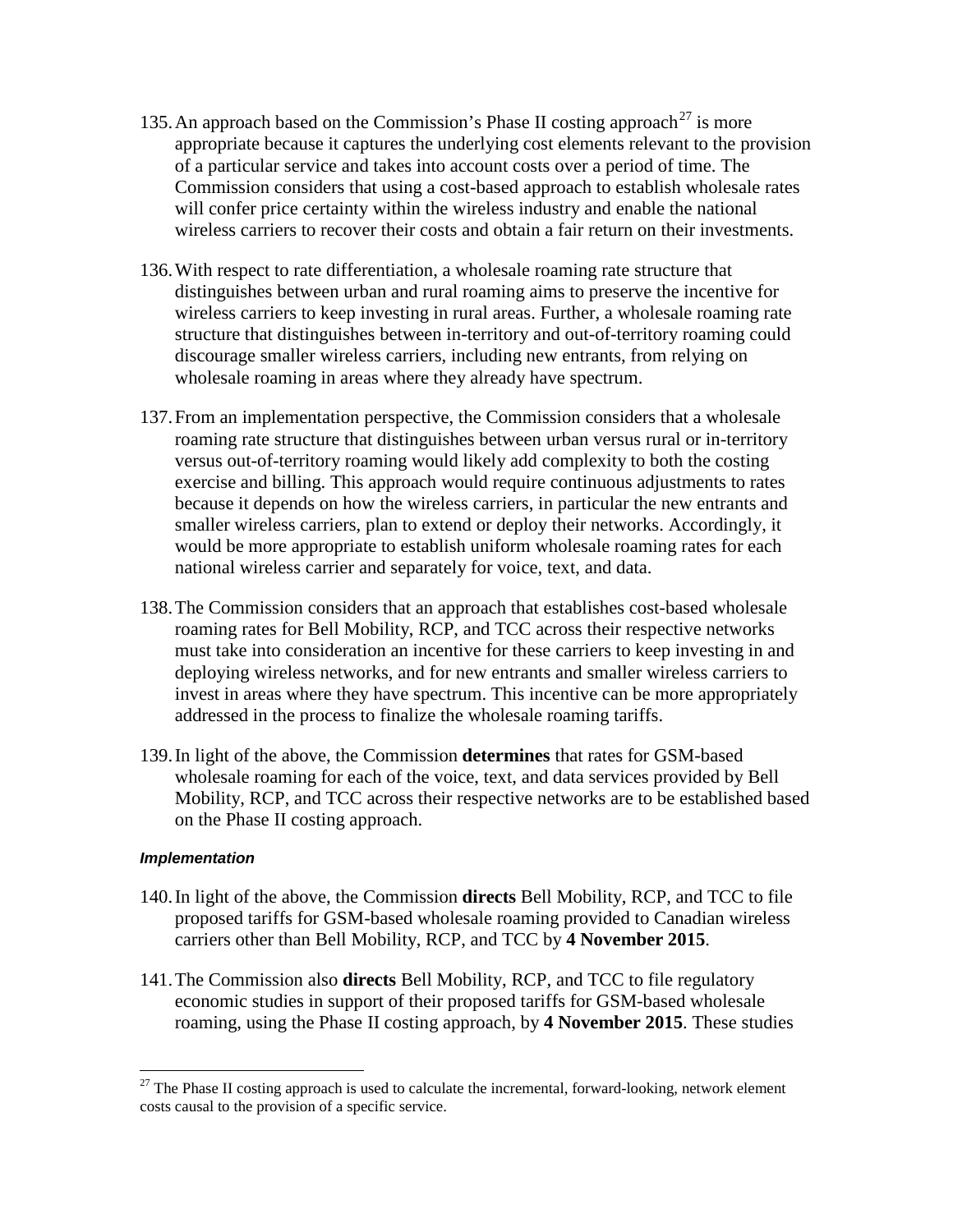- 135. An approach based on the Commission's Phase II costing approach<sup>[27](#page-23-0)</sup> is more appropriate because it captures the underlying cost elements relevant to the provision of a particular service and takes into account costs over a period of time. The Commission considers that using a cost-based approach to establish wholesale rates will confer price certainty within the wireless industry and enable the national wireless carriers to recover their costs and obtain a fair return on their investments.
- 136.With respect to rate differentiation, a wholesale roaming rate structure that distinguishes between urban and rural roaming aims to preserve the incentive for wireless carriers to keep investing in rural areas. Further, a wholesale roaming rate structure that distinguishes between in-territory and out-of-territory roaming could discourage smaller wireless carriers, including new entrants, from relying on wholesale roaming in areas where they already have spectrum.
- 137.From an implementation perspective, the Commission considers that a wholesale roaming rate structure that distinguishes between urban versus rural or in-territory versus out-of-territory roaming would likely add complexity to both the costing exercise and billing. This approach would require continuous adjustments to rates because it depends on how the wireless carriers, in particular the new entrants and smaller wireless carriers, plan to extend or deploy their networks. Accordingly, it would be more appropriate to establish uniform wholesale roaming rates for each national wireless carrier and separately for voice, text, and data.
- 138.The Commission considers that an approach that establishes cost-based wholesale roaming rates for Bell Mobility, RCP, and TCC across their respective networks must take into consideration an incentive for these carriers to keep investing in and deploying wireless networks, and for new entrants and smaller wireless carriers to invest in areas where they have spectrum. This incentive can be more appropriately addressed in the process to finalize the wholesale roaming tariffs.
- 139.In light of the above, the Commission **determines** that rates for GSM-based wholesale roaming for each of the voice, text, and data services provided by Bell Mobility, RCP, and TCC across their respective networks are to be established based on the Phase II costing approach.

#### *Implementation*

 $\overline{a}$ 

- 140.In light of the above, the Commission **directs** Bell Mobility, RCP, and TCC to file proposed tariffs for GSM-based wholesale roaming provided to Canadian wireless carriers other than Bell Mobility, RCP, and TCC by **4 November 2015**.
- 141.The Commission also **directs** Bell Mobility, RCP, and TCC to file regulatory economic studies in support of their proposed tariffs for GSM-based wholesale roaming, using the Phase II costing approach, by **4 November 2015**. These studies

<span id="page-23-0"></span> $27$  The Phase II costing approach is used to calculate the incremental, forward-looking, network element costs causal to the provision of a specific service.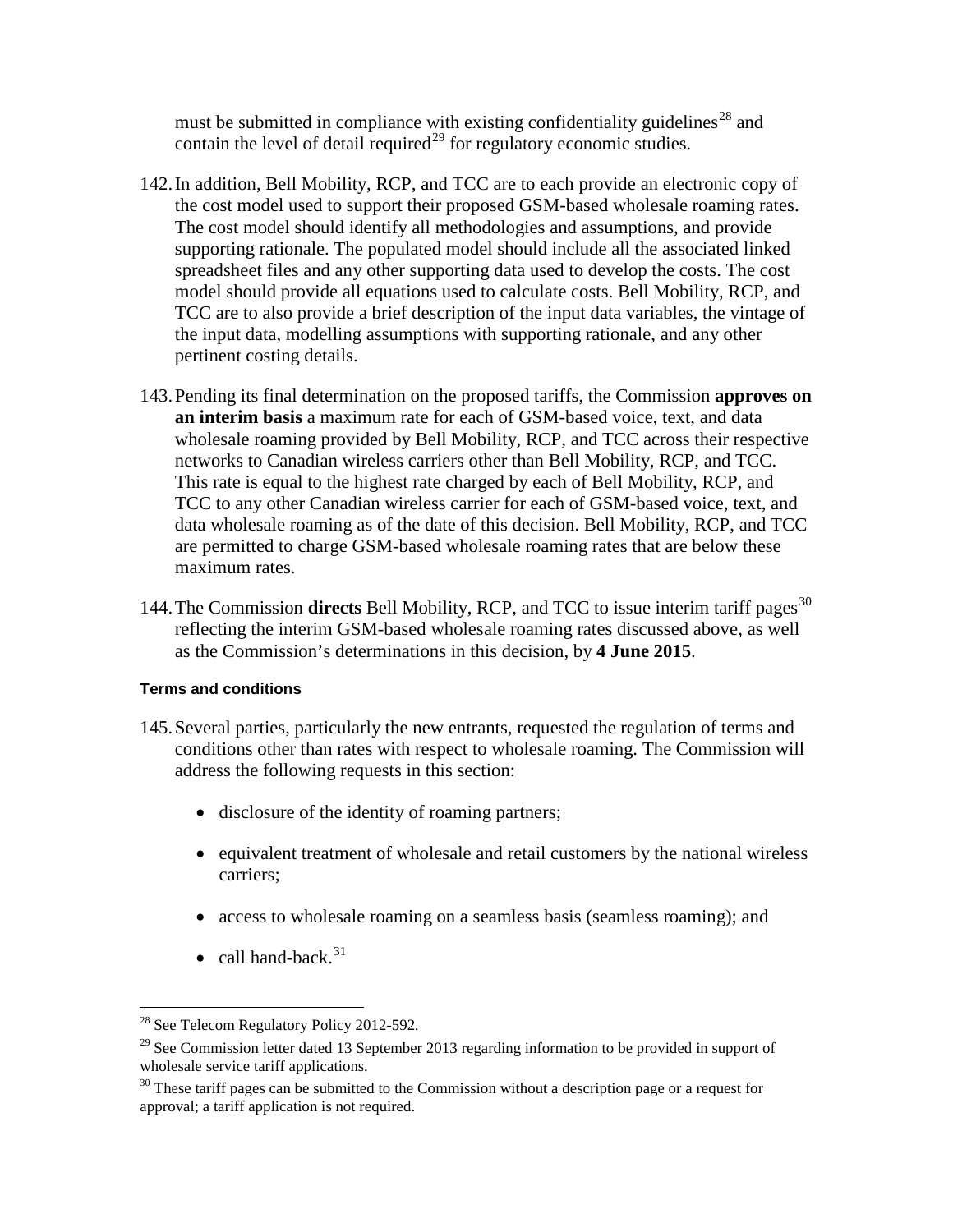must be submitted in compliance with existing confidentiality guidelines<sup>[28](#page-24-0)</sup> and contain the level of detail required<sup>[29](#page-24-1)</sup> for regulatory economic studies.

- 142.In addition, Bell Mobility, RCP, and TCC are to each provide an electronic copy of the cost model used to support their proposed GSM-based wholesale roaming rates. The cost model should identify all methodologies and assumptions, and provide supporting rationale. The populated model should include all the associated linked spreadsheet files and any other supporting data used to develop the costs. The cost model should provide all equations used to calculate costs. Bell Mobility, RCP, and TCC are to also provide a brief description of the input data variables, the vintage of the input data, modelling assumptions with supporting rationale, and any other pertinent costing details.
- 143.Pending its final determination on the proposed tariffs, the Commission **approves on an interim basis** a maximum rate for each of GSM-based voice, text, and data wholesale roaming provided by Bell Mobility, RCP, and TCC across their respective networks to Canadian wireless carriers other than Bell Mobility, RCP, and TCC. This rate is equal to the highest rate charged by each of Bell Mobility, RCP, and TCC to any other Canadian wireless carrier for each of GSM-based voice, text, and data wholesale roaming as of the date of this decision. Bell Mobility, RCP, and TCC are permitted to charge GSM-based wholesale roaming rates that are below these maximum rates.
- 144. The Commission **directs** Bell Mobility, RCP, and TCC to issue interim tariff pages<sup>[30](#page-24-2)</sup> reflecting the interim GSM-based wholesale roaming rates discussed above, as well as the Commission's determinations in this decision, by **4 June 2015**.

#### **Terms and conditions**

- 145.Several parties, particularly the new entrants, requested the regulation of terms and conditions other than rates with respect to wholesale roaming. The Commission will address the following requests in this section:
	- disclosure of the identity of roaming partners;
	- equivalent treatment of wholesale and retail customers by the national wireless carriers;
	- access to wholesale roaming on a seamless basis (seamless roaming); and
	- call hand-back. $31$

<sup>28</sup> See Telecom Regulatory Policy 2012-592*.*  $\overline{a}$ 

<span id="page-24-1"></span><span id="page-24-0"></span> $^{29}$  See Commission letter dated 13 September 2013 regarding information to be provided in support of wholesale service tariff applications.

<span id="page-24-2"></span> $30$  These tariff pages can be submitted to the Commission without a description page or a request for approval; a tariff application is not required.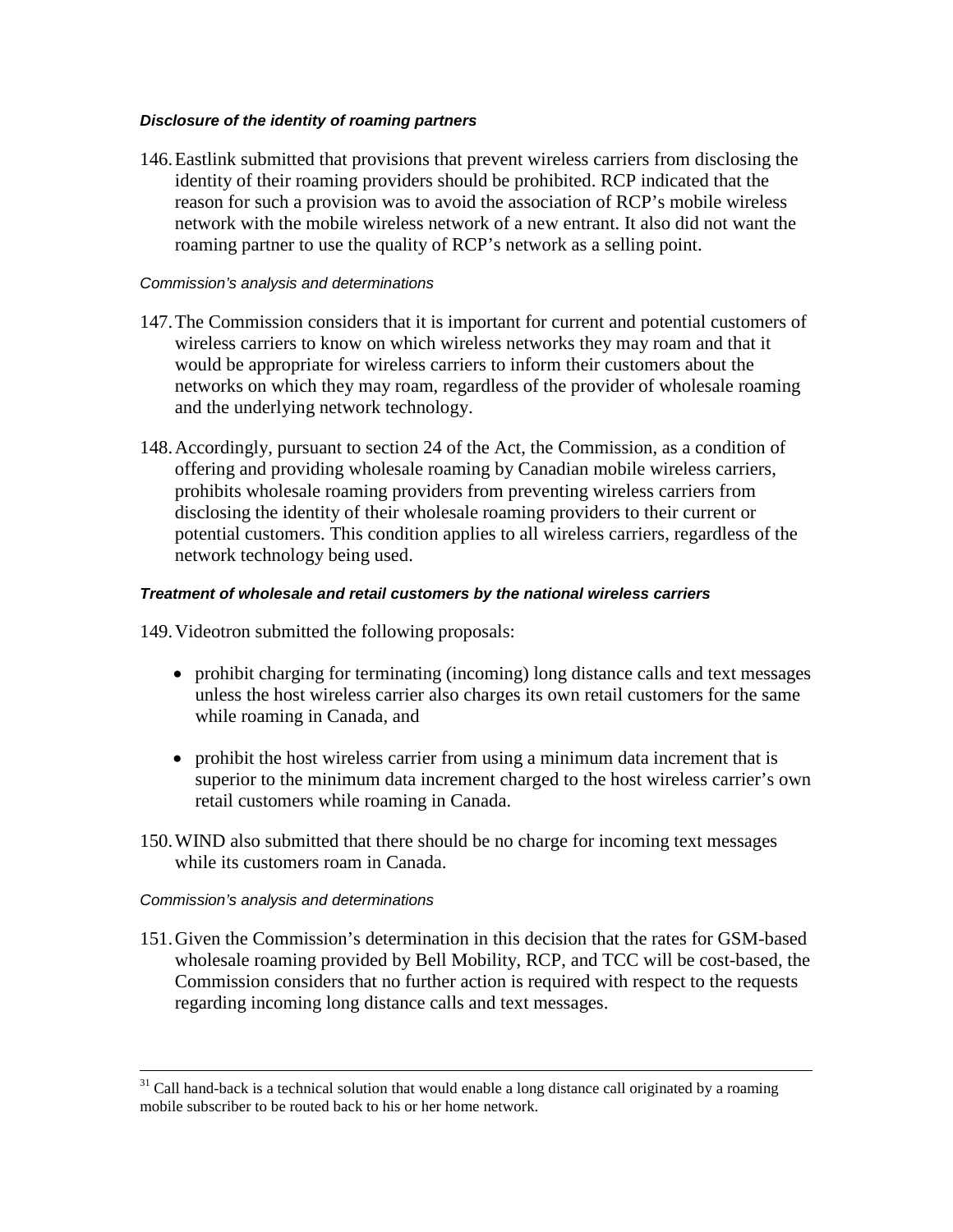#### *Disclosure of the identity of roaming partners*

146.Eastlink submitted that provisions that prevent wireless carriers from disclosing the identity of their roaming providers should be prohibited. RCP indicated that the reason for such a provision was to avoid the association of RCP's mobile wireless network with the mobile wireless network of a new entrant. It also did not want the roaming partner to use the quality of RCP's network as a selling point.

#### *Commission's analysis and determinations*

- 147.The Commission considers that it is important for current and potential customers of wireless carriers to know on which wireless networks they may roam and that it would be appropriate for wireless carriers to inform their customers about the networks on which they may roam, regardless of the provider of wholesale roaming and the underlying network technology.
- 148.Accordingly, pursuant to section 24 of the Act, the Commission, as a condition of offering and providing wholesale roaming by Canadian mobile wireless carriers, prohibits wholesale roaming providers from preventing wireless carriers from disclosing the identity of their wholesale roaming providers to their current or potential customers. This condition applies to all wireless carriers, regardless of the network technology being used.

#### *Treatment of wholesale and retail customers by the national wireless carriers*

149.Videotron submitted the following proposals:

- prohibit charging for terminating (incoming) long distance calls and text messages unless the host wireless carrier also charges its own retail customers for the same while roaming in Canada, and
- prohibit the host wireless carrier from using a minimum data increment that is superior to the minimum data increment charged to the host wireless carrier's own retail customers while roaming in Canada.
- 150.WIND also submitted that there should be no charge for incoming text messages while its customers roam in Canada.

#### *Commission's analysis and determinations*

 $\overline{a}$ 

151.Given the Commission's determination in this decision that the rates for GSM-based wholesale roaming provided by Bell Mobility, RCP, and TCC will be cost-based, the Commission considers that no further action is required with respect to the requests regarding incoming long distance calls and text messages.

 $31$  Call hand-back is a technical solution that would enable a long distance call originated by a roaming mobile subscriber to be routed back to his or her home network.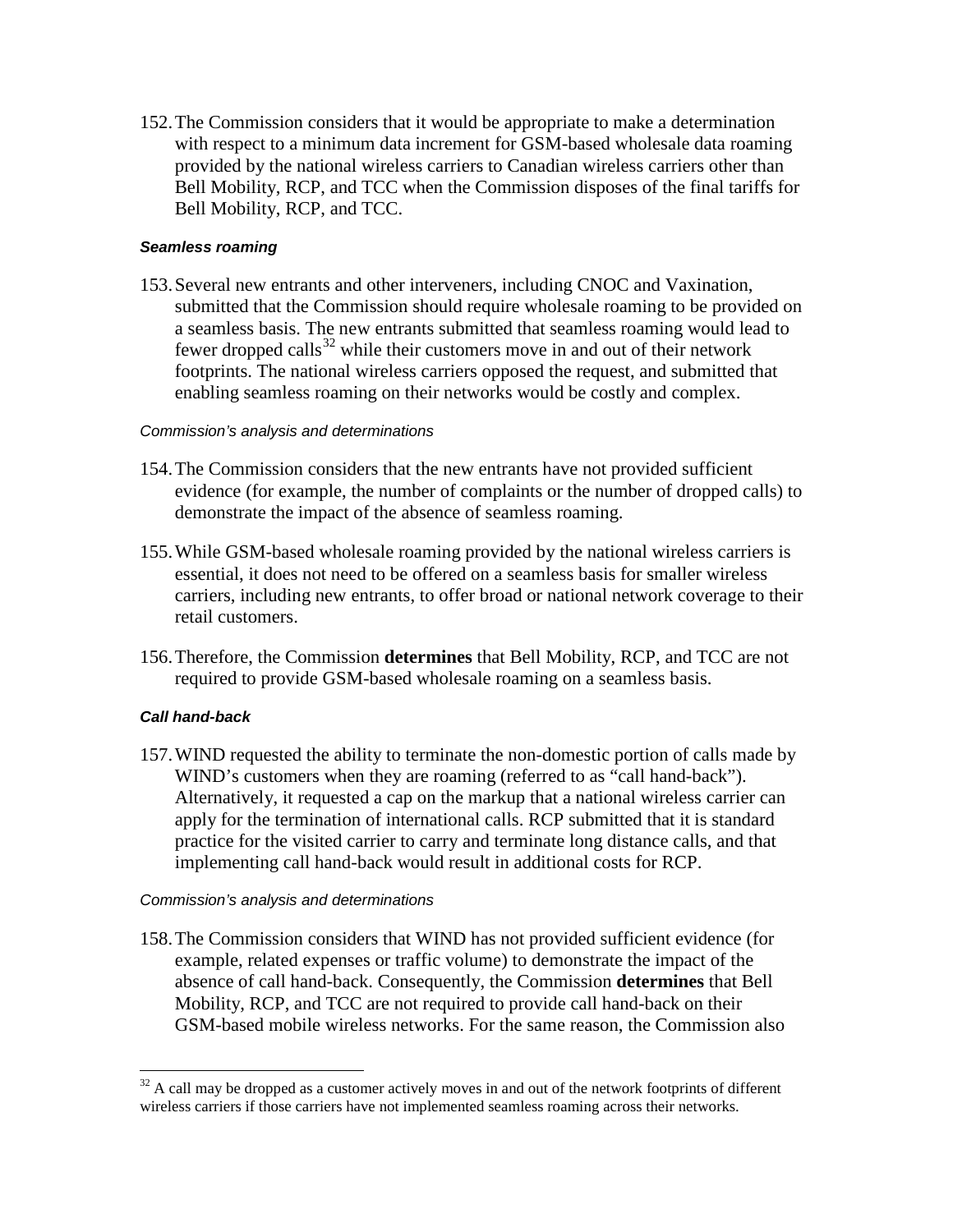152.The Commission considers that it would be appropriate to make a determination with respect to a minimum data increment for GSM-based wholesale data roaming provided by the national wireless carriers to Canadian wireless carriers other than Bell Mobility, RCP, and TCC when the Commission disposes of the final tariffs for Bell Mobility, RCP, and TCC.

#### *Seamless roaming*

153.Several new entrants and other interveners, including CNOC and Vaxination, submitted that the Commission should require wholesale roaming to be provided on a seamless basis. The new entrants submitted that seamless roaming would lead to fewer dropped calls $32$  while their customers move in and out of their network footprints. The national wireless carriers opposed the request, and submitted that enabling seamless roaming on their networks would be costly and complex.

#### *Commission's analysis and determinations*

- 154.The Commission considers that the new entrants have not provided sufficient evidence (for example, the number of complaints or the number of dropped calls) to demonstrate the impact of the absence of seamless roaming.
- 155.While GSM-based wholesale roaming provided by the national wireless carriers is essential, it does not need to be offered on a seamless basis for smaller wireless carriers, including new entrants, to offer broad or national network coverage to their retail customers.
- 156.Therefore, the Commission **determines** that Bell Mobility, RCP, and TCC are not required to provide GSM-based wholesale roaming on a seamless basis.

#### *Call hand-back*

 $\overline{a}$ 

157.WIND requested the ability to terminate the non-domestic portion of calls made by WIND's customers when they are roaming (referred to as "call hand-back"). Alternatively, it requested a cap on the markup that a national wireless carrier can apply for the termination of international calls. RCP submitted that it is standard practice for the visited carrier to carry and terminate long distance calls, and that implementing call hand-back would result in additional costs for RCP.

#### *Commission's analysis and determinations*

158.The Commission considers that WIND has not provided sufficient evidence (for example, related expenses or traffic volume) to demonstrate the impact of the absence of call hand-back. Consequently, the Commission **determines** that Bell Mobility, RCP, and TCC are not required to provide call hand-back on their GSM-based mobile wireless networks. For the same reason, the Commission also

<span id="page-26-0"></span> $32$  A call may be dropped as a customer actively moves in and out of the network footprints of different wireless carriers if those carriers have not implemented seamless roaming across their networks.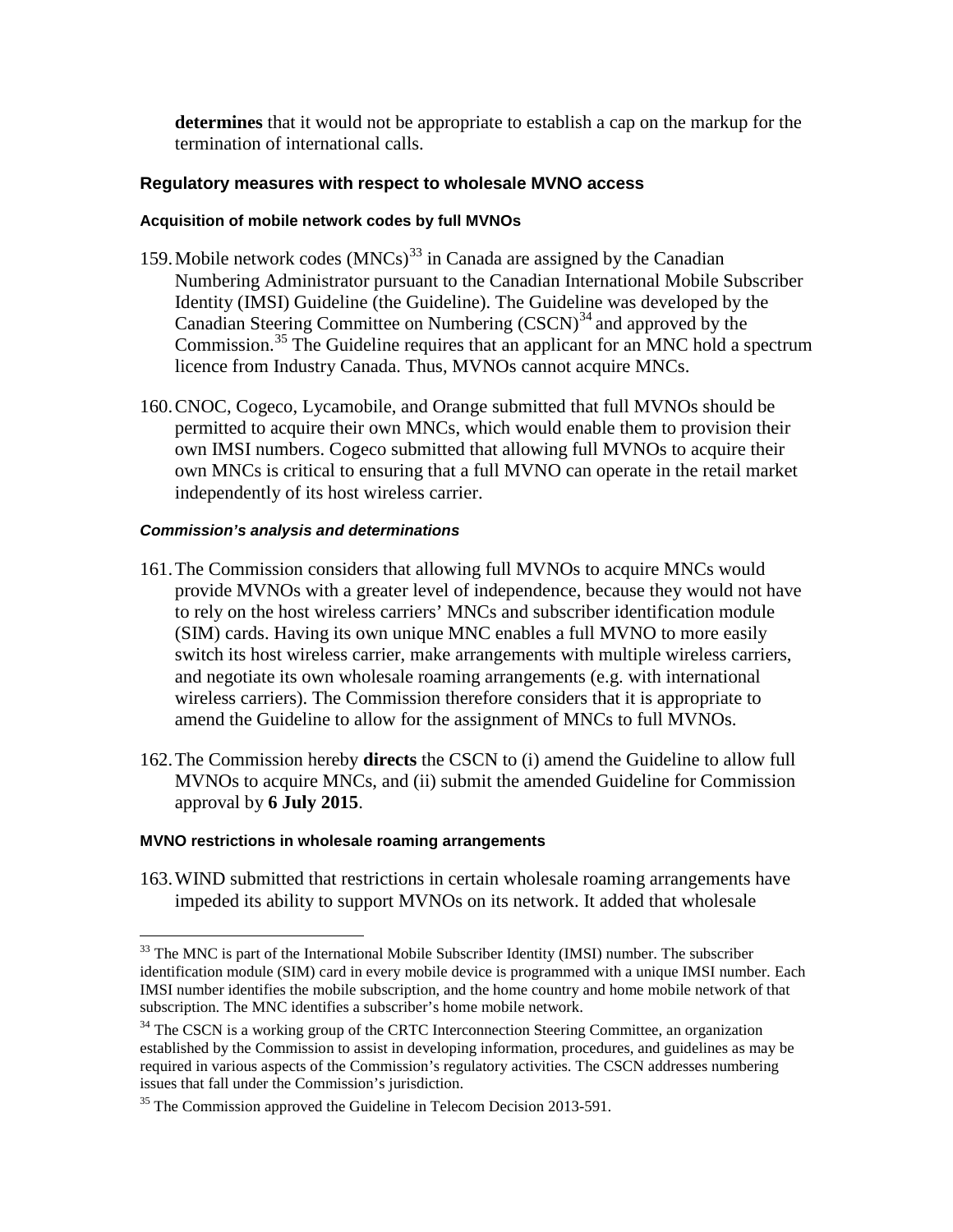**determines** that it would not be appropriate to establish a cap on the markup for the termination of international calls.

#### **Regulatory measures with respect to wholesale MVNO access**

#### **Acquisition of mobile network codes by full MVNOs**

- 159. Mobile network codes  $(MNCs)^{33}$  $(MNCs)^{33}$  $(MNCs)^{33}$  in Canada are assigned by the Canadian Numbering Administrator pursuant to the Canadian International Mobile Subscriber Identity (IMSI) Guideline (the Guideline). The Guideline was developed by the Canadian Steering Committee on Numbering  $(CSCN)^{34}$  $(CSCN)^{34}$  $(CSCN)^{34}$  and approved by the Commission.<sup>[35](#page-27-2)</sup> The Guideline requires that an applicant for an MNC hold a spectrum licence from Industry Canada. Thus, MVNOs cannot acquire MNCs.
- 160.CNOC, Cogeco, Lycamobile, and Orange submitted that full MVNOs should be permitted to acquire their own MNCs, which would enable them to provision their own IMSI numbers. Cogeco submitted that allowing full MVNOs to acquire their own MNCs is critical to ensuring that a full MVNO can operate in the retail market independently of its host wireless carrier.

#### *Commission's analysis and determinations*

- 161.The Commission considers that allowing full MVNOs to acquire MNCs would provide MVNOs with a greater level of independence, because they would not have to rely on the host wireless carriers' MNCs and subscriber identification module (SIM) cards. Having its own unique MNC enables a full MVNO to more easily switch its host wireless carrier, make arrangements with multiple wireless carriers, and negotiate its own wholesale roaming arrangements (e.g. with international wireless carriers). The Commission therefore considers that it is appropriate to amend the Guideline to allow for the assignment of MNCs to full MVNOs.
- 162.The Commission hereby **directs** the CSCN to (i) amend the Guideline to allow full MVNOs to acquire MNCs, and (ii) submit the amended Guideline for Commission approval by **6 July 2015**.

#### **MVNO restrictions in wholesale roaming arrangements**

163.WIND submitted that restrictions in certain wholesale roaming arrangements have impeded its ability to support MVNOs on its network. It added that wholesale

<span id="page-27-0"></span><sup>&</sup>lt;sup>33</sup> The MNC is part of the International Mobile Subscriber Identity (IMSI) number. The subscriber identification module (SIM) card in every mobile device is programmed with a unique IMSI number. Each IMSI number identifies the mobile subscription, and the home country and home mobile network of that subscription. The MNC identifies a subscriber's home mobile network.  $\overline{a}$ 

<span id="page-27-1"></span><sup>&</sup>lt;sup>34</sup> The CSCN is a working group of the CRTC Interconnection Steering Committee, an organization established by the Commission to assist in developing information, procedures, and guidelines as may be required in various aspects of the Commission's regulatory activities. The CSCN addresses numbering issues that fall under the Commission's jurisdiction.

<span id="page-27-2"></span><sup>&</sup>lt;sup>35</sup> The Commission approved the Guideline in Telecom Decision 2013-591.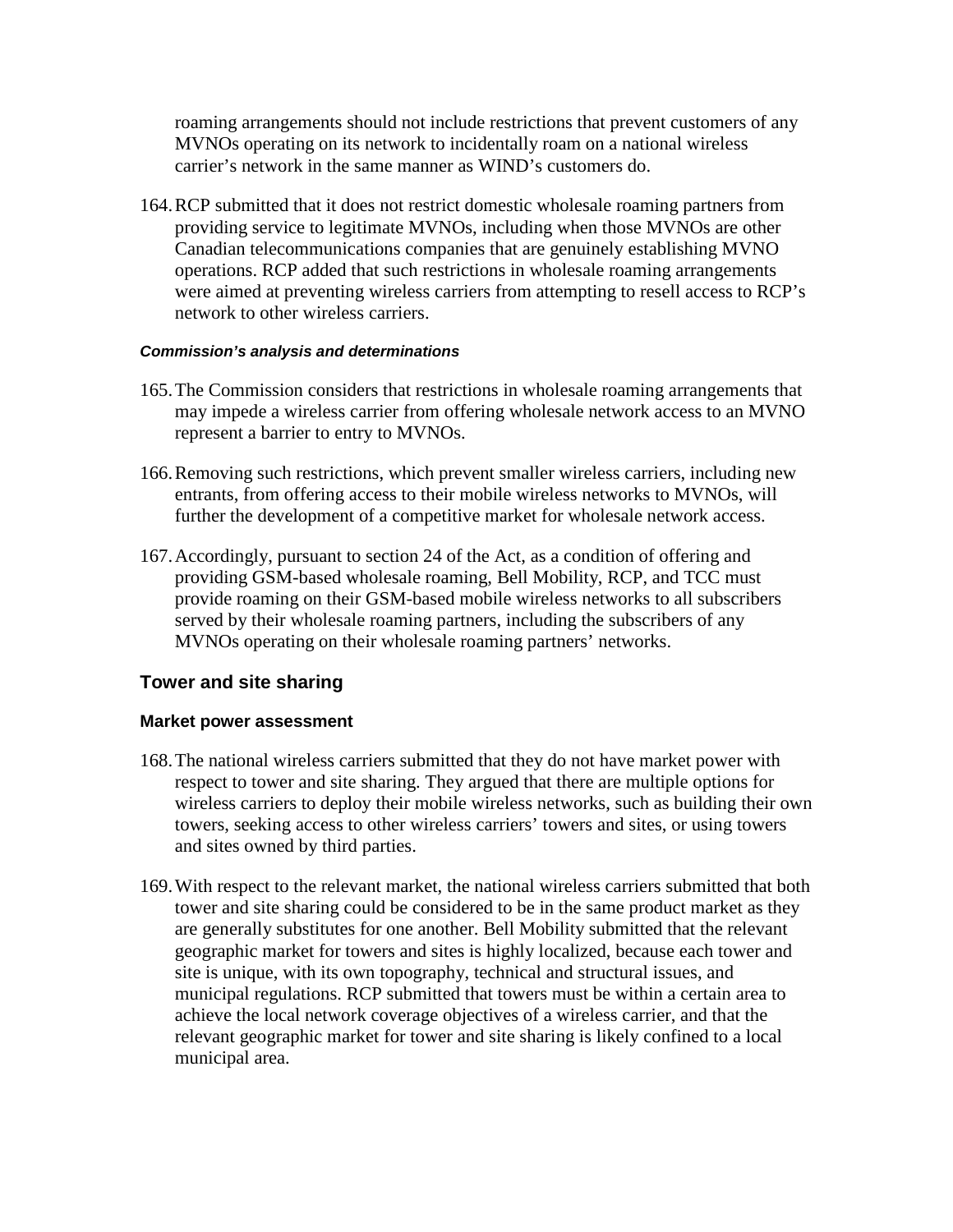roaming arrangements should not include restrictions that prevent customers of any MVNOs operating on its network to incidentally roam on a national wireless carrier's network in the same manner as WIND's customers do.

164.RCP submitted that it does not restrict domestic wholesale roaming partners from providing service to legitimate MVNOs, including when those MVNOs are other Canadian telecommunications companies that are genuinely establishing MVNO operations. RCP added that such restrictions in wholesale roaming arrangements were aimed at preventing wireless carriers from attempting to resell access to RCP's network to other wireless carriers.

#### *Commission's analysis and determinations*

- 165.The Commission considers that restrictions in wholesale roaming arrangements that may impede a wireless carrier from offering wholesale network access to an MVNO represent a barrier to entry to MVNOs.
- 166.Removing such restrictions, which prevent smaller wireless carriers, including new entrants, from offering access to their mobile wireless networks to MVNOs, will further the development of a competitive market for wholesale network access.
- 167.Accordingly, pursuant to section 24 of the Act, as a condition of offering and providing GSM-based wholesale roaming, Bell Mobility, RCP, and TCC must provide roaming on their GSM-based mobile wireless networks to all subscribers served by their wholesale roaming partners, including the subscribers of any MVNOs operating on their wholesale roaming partners' networks.

## **Tower and site sharing**

#### **Market power assessment**

- 168.The national wireless carriers submitted that they do not have market power with respect to tower and site sharing. They argued that there are multiple options for wireless carriers to deploy their mobile wireless networks, such as building their own towers, seeking access to other wireless carriers' towers and sites, or using towers and sites owned by third parties.
- 169.With respect to the relevant market, the national wireless carriers submitted that both tower and site sharing could be considered to be in the same product market as they are generally substitutes for one another. Bell Mobility submitted that the relevant geographic market for towers and sites is highly localized, because each tower and site is unique, with its own topography, technical and structural issues, and municipal regulations. RCP submitted that towers must be within a certain area to achieve the local network coverage objectives of a wireless carrier, and that the relevant geographic market for tower and site sharing is likely confined to a local municipal area.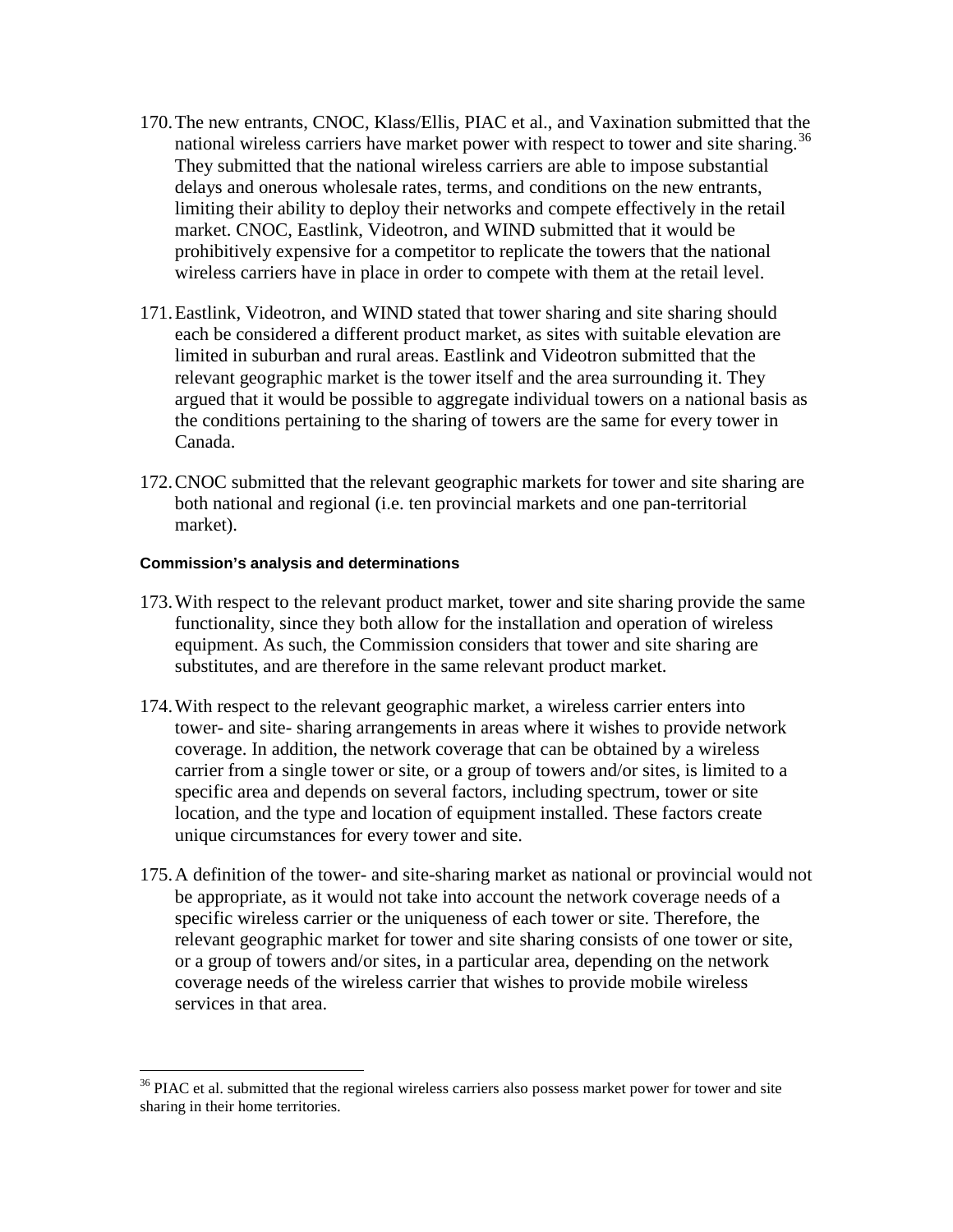- 170.The new entrants, CNOC, Klass/Ellis, PIAC et al., and Vaxination submitted that the national wireless carriers have market power with respect to tower and site sharing.<sup>[36](#page-29-0)</sup> They submitted that the national wireless carriers are able to impose substantial delays and onerous wholesale rates, terms, and conditions on the new entrants, limiting their ability to deploy their networks and compete effectively in the retail market. CNOC, Eastlink, Videotron, and WIND submitted that it would be prohibitively expensive for a competitor to replicate the towers that the national wireless carriers have in place in order to compete with them at the retail level.
- 171.Eastlink, Videotron, and WIND stated that tower sharing and site sharing should each be considered a different product market, as sites with suitable elevation are limited in suburban and rural areas. Eastlink and Videotron submitted that the relevant geographic market is the tower itself and the area surrounding it. They argued that it would be possible to aggregate individual towers on a national basis as the conditions pertaining to the sharing of towers are the same for every tower in Canada.
- 172.CNOC submitted that the relevant geographic markets for tower and site sharing are both national and regional (i.e. ten provincial markets and one pan-territorial market).

#### **Commission's analysis and determinations**

 $\overline{a}$ 

- 173.With respect to the relevant product market, tower and site sharing provide the same functionality, since they both allow for the installation and operation of wireless equipment. As such, the Commission considers that tower and site sharing are substitutes, and are therefore in the same relevant product market.
- 174.With respect to the relevant geographic market, a wireless carrier enters into tower- and site- sharing arrangements in areas where it wishes to provide network coverage. In addition, the network coverage that can be obtained by a wireless carrier from a single tower or site, or a group of towers and/or sites, is limited to a specific area and depends on several factors, including spectrum, tower or site location, and the type and location of equipment installed. These factors create unique circumstances for every tower and site.
- 175.A definition of the tower- and site-sharing market as national or provincial would not be appropriate, as it would not take into account the network coverage needs of a specific wireless carrier or the uniqueness of each tower or site. Therefore, the relevant geographic market for tower and site sharing consists of one tower or site, or a group of towers and/or sites, in a particular area, depending on the network coverage needs of the wireless carrier that wishes to provide mobile wireless services in that area.

<span id="page-29-0"></span> $36$  PIAC et al. submitted that the regional wireless carriers also possess market power for tower and site sharing in their home territories.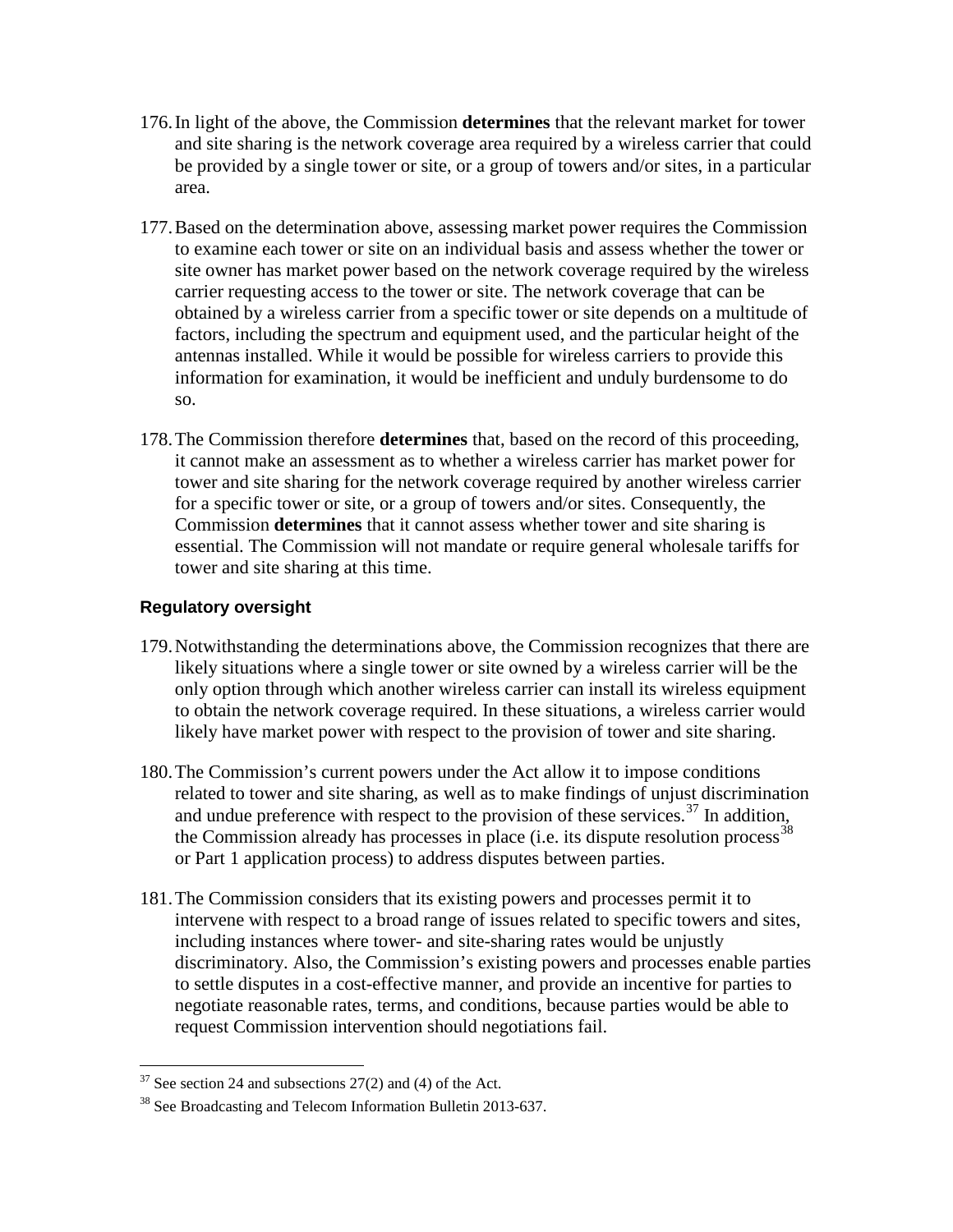- 176.In light of the above, the Commission **determines** that the relevant market for tower and site sharing is the network coverage area required by a wireless carrier that could be provided by a single tower or site, or a group of towers and/or sites, in a particular area.
- 177.Based on the determination above, assessing market power requires the Commission to examine each tower or site on an individual basis and assess whether the tower or site owner has market power based on the network coverage required by the wireless carrier requesting access to the tower or site. The network coverage that can be obtained by a wireless carrier from a specific tower or site depends on a multitude of factors, including the spectrum and equipment used, and the particular height of the antennas installed. While it would be possible for wireless carriers to provide this information for examination, it would be inefficient and unduly burdensome to do so.
- 178.The Commission therefore **determines** that, based on the record of this proceeding, it cannot make an assessment as to whether a wireless carrier has market power for tower and site sharing for the network coverage required by another wireless carrier for a specific tower or site, or a group of towers and/or sites. Consequently, the Commission **determines** that it cannot assess whether tower and site sharing is essential. The Commission will not mandate or require general wholesale tariffs for tower and site sharing at this time.

## **Regulatory oversight**

- 179.Notwithstanding the determinations above, the Commission recognizes that there are likely situations where a single tower or site owned by a wireless carrier will be the only option through which another wireless carrier can install its wireless equipment to obtain the network coverage required. In these situations, a wireless carrier would likely have market power with respect to the provision of tower and site sharing.
- 180.The Commission's current powers under the Act allow it to impose conditions related to tower and site sharing, as well as to make findings of unjust discrimination and undue preference with respect to the provision of these services.<sup>[37](#page-30-0)</sup> In addition, the Commission already has processes in place (i.e. its dispute resolution process<sup>[38](#page-30-1)</sup> or Part 1 application process) to address disputes between parties.
- 181.The Commission considers that its existing powers and processes permit it to intervene with respect to a broad range of issues related to specific towers and sites, including instances where tower- and site-sharing rates would be unjustly discriminatory. Also, the Commission's existing powers and processes enable parties to settle disputes in a cost-effective manner, and provide an incentive for parties to negotiate reasonable rates, terms, and conditions, because parties would be able to request Commission intervention should negotiations fail.

 $37$  See section 24 and subsections 27(2) and (4) of the Act.  $\overline{a}$ 

<span id="page-30-1"></span><span id="page-30-0"></span><sup>&</sup>lt;sup>38</sup> See Broadcasting and Telecom Information Bulletin 2013-637.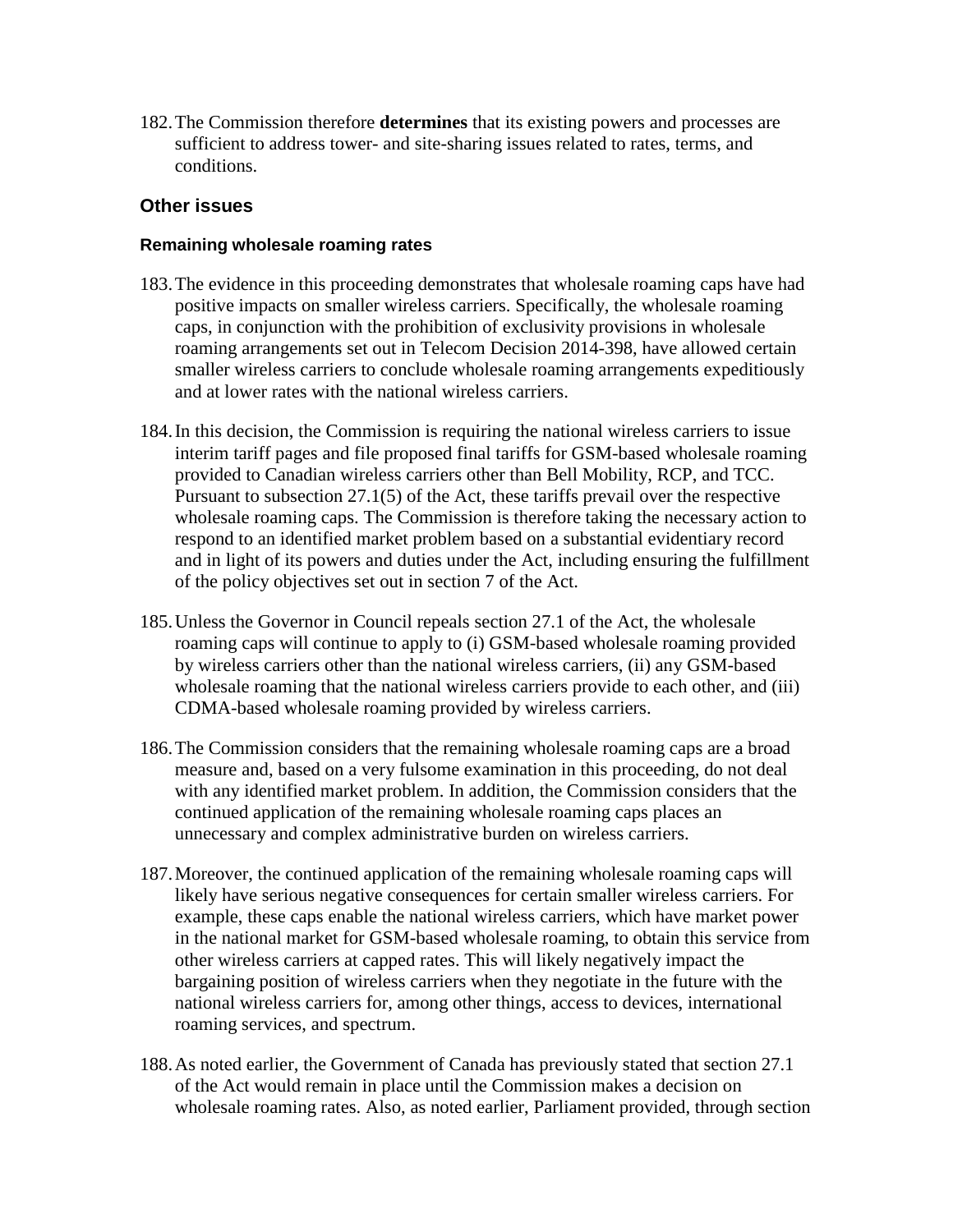182.The Commission therefore **determines** that its existing powers and processes are sufficient to address tower- and site-sharing issues related to rates, terms, and conditions.

#### **Other issues**

#### **Remaining wholesale roaming rates**

- 183.The evidence in this proceeding demonstrates that wholesale roaming caps have had positive impacts on smaller wireless carriers. Specifically, the wholesale roaming caps, in conjunction with the prohibition of exclusivity provisions in wholesale roaming arrangements set out in Telecom Decision 2014-398, have allowed certain smaller wireless carriers to conclude wholesale roaming arrangements expeditiously and at lower rates with the national wireless carriers.
- 184.In this decision, the Commission is requiring the national wireless carriers to issue interim tariff pages and file proposed final tariffs for GSM-based wholesale roaming provided to Canadian wireless carriers other than Bell Mobility, RCP, and TCC. Pursuant to subsection 27.1(5) of the Act, these tariffs prevail over the respective wholesale roaming caps. The Commission is therefore taking the necessary action to respond to an identified market problem based on a substantial evidentiary record and in light of its powers and duties under the Act, including ensuring the fulfillment of the policy objectives set out in section 7 of the Act.
- 185.Unless the Governor in Council repeals section 27.1 of the Act, the wholesale roaming caps will continue to apply to (i) GSM-based wholesale roaming provided by wireless carriers other than the national wireless carriers, (ii) any GSM-based wholesale roaming that the national wireless carriers provide to each other, and (iii) CDMA-based wholesale roaming provided by wireless carriers.
- 186.The Commission considers that the remaining wholesale roaming caps are a broad measure and, based on a very fulsome examination in this proceeding, do not deal with any identified market problem. In addition, the Commission considers that the continued application of the remaining wholesale roaming caps places an unnecessary and complex administrative burden on wireless carriers.
- 187.Moreover, the continued application of the remaining wholesale roaming caps will likely have serious negative consequences for certain smaller wireless carriers. For example, these caps enable the national wireless carriers, which have market power in the national market for GSM-based wholesale roaming, to obtain this service from other wireless carriers at capped rates. This will likely negatively impact the bargaining position of wireless carriers when they negotiate in the future with the national wireless carriers for, among other things, access to devices, international roaming services, and spectrum.
- 188.As noted earlier, the Government of Canada has previously stated that section 27.1 of the Act would remain in place until the Commission makes a decision on wholesale roaming rates. Also, as noted earlier, Parliament provided, through section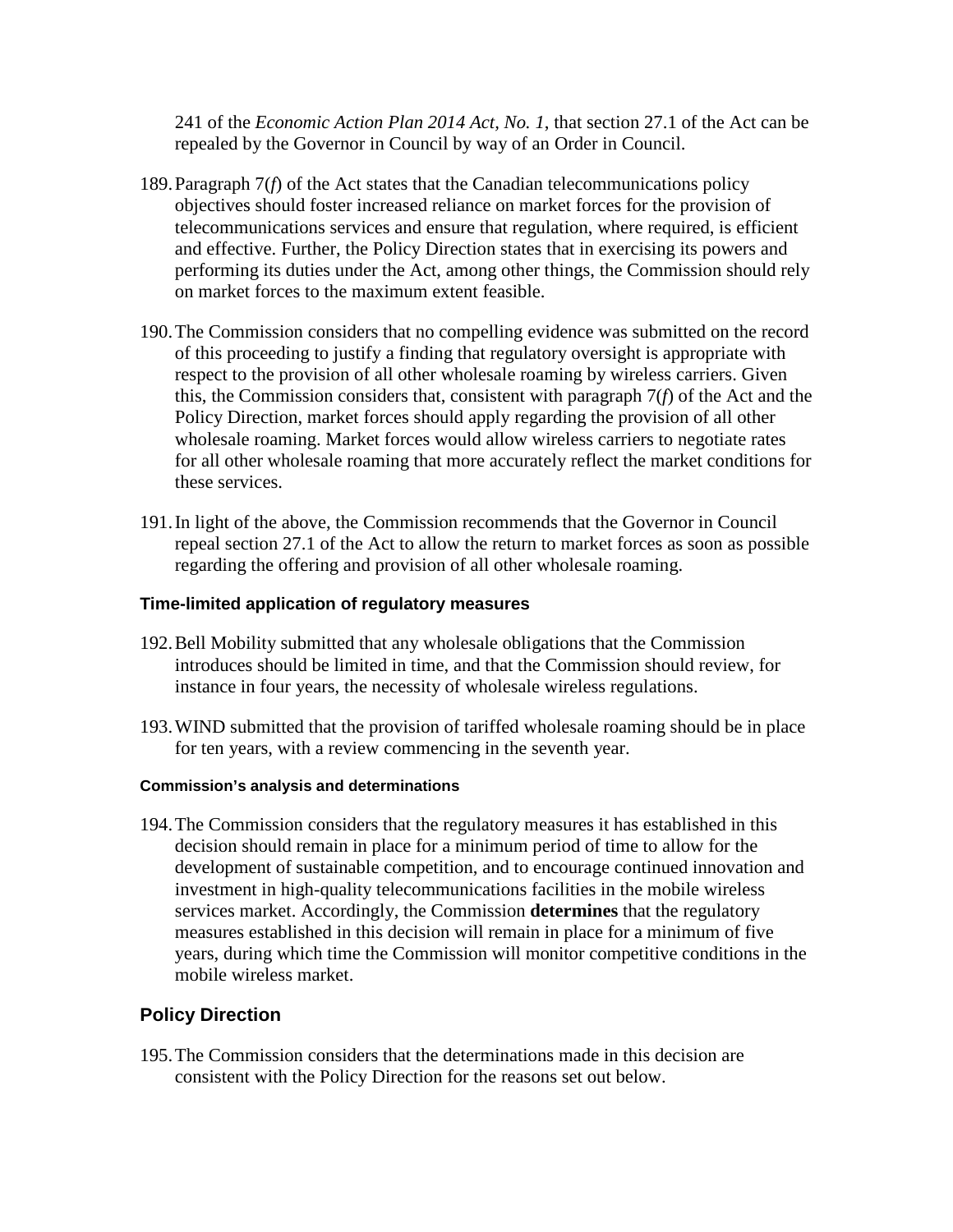241 of the *Economic Action Plan 2014 Act, No. 1*, that section 27.1 of the Act can be repealed by the Governor in Council by way of an Order in Council.

- 189.Paragraph 7(*f*) of the Act states that the Canadian telecommunications policy objectives should foster increased reliance on market forces for the provision of telecommunications services and ensure that regulation, where required, is efficient and effective. Further, the Policy Direction states that in exercising its powers and performing its duties under the Act, among other things, the Commission should rely on market forces to the maximum extent feasible.
- 190.The Commission considers that no compelling evidence was submitted on the record of this proceeding to justify a finding that regulatory oversight is appropriate with respect to the provision of all other wholesale roaming by wireless carriers. Given this, the Commission considers that, consistent with paragraph 7(*f*) of the Act and the Policy Direction, market forces should apply regarding the provision of all other wholesale roaming. Market forces would allow wireless carriers to negotiate rates for all other wholesale roaming that more accurately reflect the market conditions for these services.
- 191.In light of the above, the Commission recommends that the Governor in Council repeal section 27.1 of the Act to allow the return to market forces as soon as possible regarding the offering and provision of all other wholesale roaming.

#### **Time-limited application of regulatory measures**

- 192.Bell Mobility submitted that any wholesale obligations that the Commission introduces should be limited in time, and that the Commission should review, for instance in four years, the necessity of wholesale wireless regulations.
- 193.WIND submitted that the provision of tariffed wholesale roaming should be in place for ten years, with a review commencing in the seventh year.

#### **Commission's analysis and determinations**

194.The Commission considers that the regulatory measures it has established in this decision should remain in place for a minimum period of time to allow for the development of sustainable competition, and to encourage continued innovation and investment in high-quality telecommunications facilities in the mobile wireless services market. Accordingly, the Commission **determines** that the regulatory measures established in this decision will remain in place for a minimum of five years, during which time the Commission will monitor competitive conditions in the mobile wireless market.

#### **Policy Direction**

195.The Commission considers that the determinations made in this decision are consistent with the Policy Direction for the reasons set out below.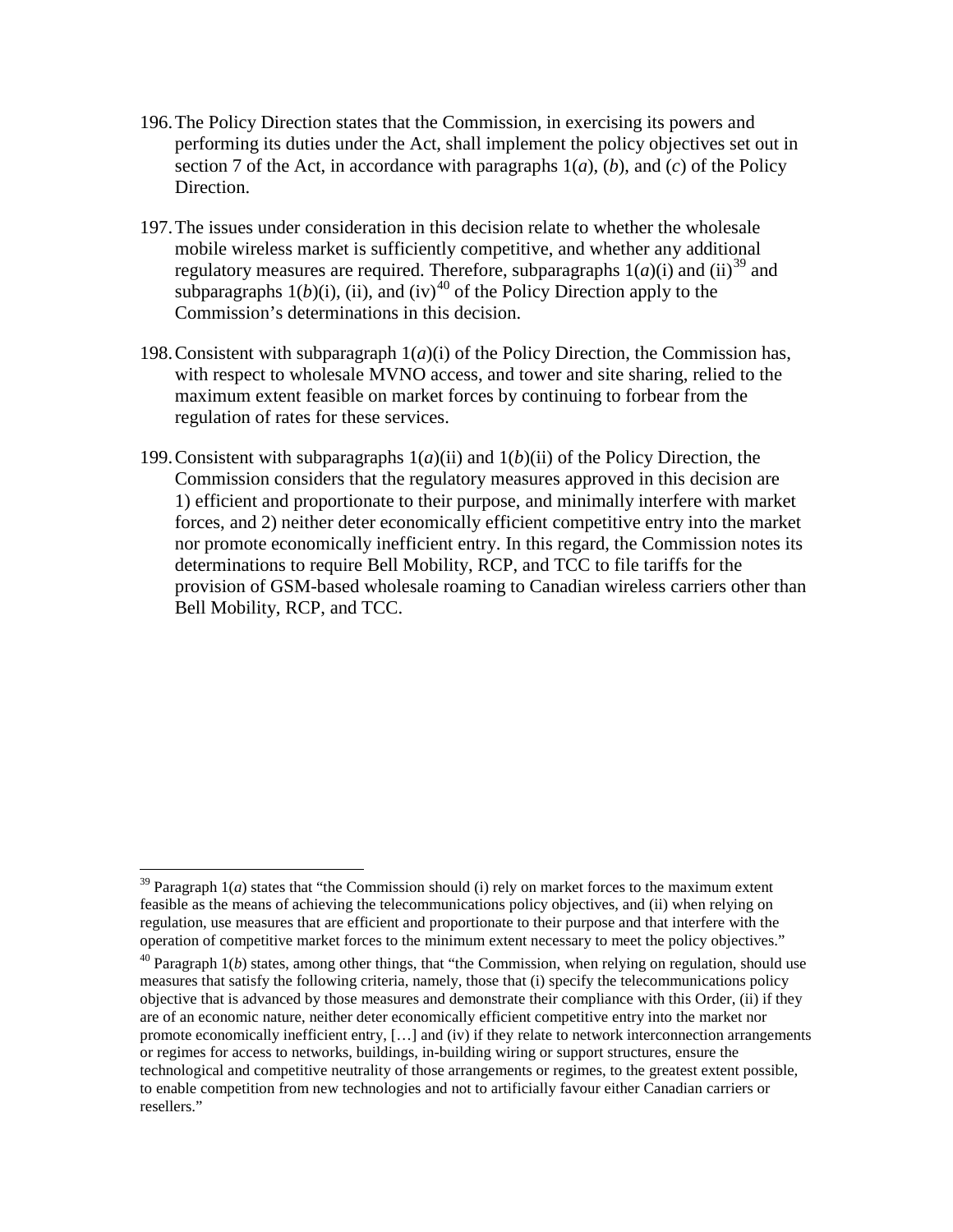- 196.The Policy Direction states that the Commission, in exercising its powers and performing its duties under the Act, shall implement the policy objectives set out in section 7 of the Act, in accordance with paragraphs 1(*a*), (*b*), and (*c*) of the Policy Direction.
- 197.The issues under consideration in this decision relate to whether the wholesale mobile wireless market is sufficiently competitive, and whether any additional regulatory measures are required. Therefore, subparagraphs  $1(a)(i)$  and  $(ii)^{39}$  $(ii)^{39}$  $(ii)^{39}$  and subparagraphs  $1(b)(i)$ , (ii), and (iv)<sup>[40](#page-33-1)</sup> of the Policy Direction apply to the Commission's determinations in this decision.
- 198. Consistent with subparagraph  $1(a)(i)$  of the Policy Direction, the Commission has, with respect to wholesale MVNO access, and tower and site sharing, relied to the maximum extent feasible on market forces by continuing to forbear from the regulation of rates for these services.
- 199. Consistent with subparagraphs  $1(a)(ii)$  and  $1(b)(ii)$  of the Policy Direction, the Commission considers that the regulatory measures approved in this decision are 1) efficient and proportionate to their purpose, and minimally interfere with market forces, and 2) neither deter economically efficient competitive entry into the market nor promote economically inefficient entry. In this regard, the Commission notes its determinations to require Bell Mobility, RCP, and TCC to file tariffs for the provision of GSM-based wholesale roaming to Canadian wireless carriers other than Bell Mobility, RCP, and TCC.

 $\overline{a}$ 

<span id="page-33-0"></span> $39$  Paragraph  $1(a)$  states that "the Commission should (i) rely on market forces to the maximum extent feasible as the means of achieving the telecommunications policy objectives, and (ii) when relying on regulation, use measures that are efficient and proportionate to their purpose and that interfere with the operation of competitive market forces to the minimum extent necessary to meet the policy objectives."

<span id="page-33-1"></span><sup>&</sup>lt;sup>40</sup> Paragraph 1(*b*) states, among other things, that "the Commission, when relying on regulation, should use measures that satisfy the following criteria, namely, those that (i) specify the telecommunications policy objective that is advanced by those measures and demonstrate their compliance with this Order, (ii) if they are of an economic nature, neither deter economically efficient competitive entry into the market nor promote economically inefficient entry, […] and (iv) if they relate to network interconnection arrangements or regimes for access to networks, buildings, in-building wiring or support structures, ensure the technological and competitive neutrality of those arrangements or regimes, to the greatest extent possible, to enable competition from new technologies and not to artificially favour either Canadian carriers or resellers."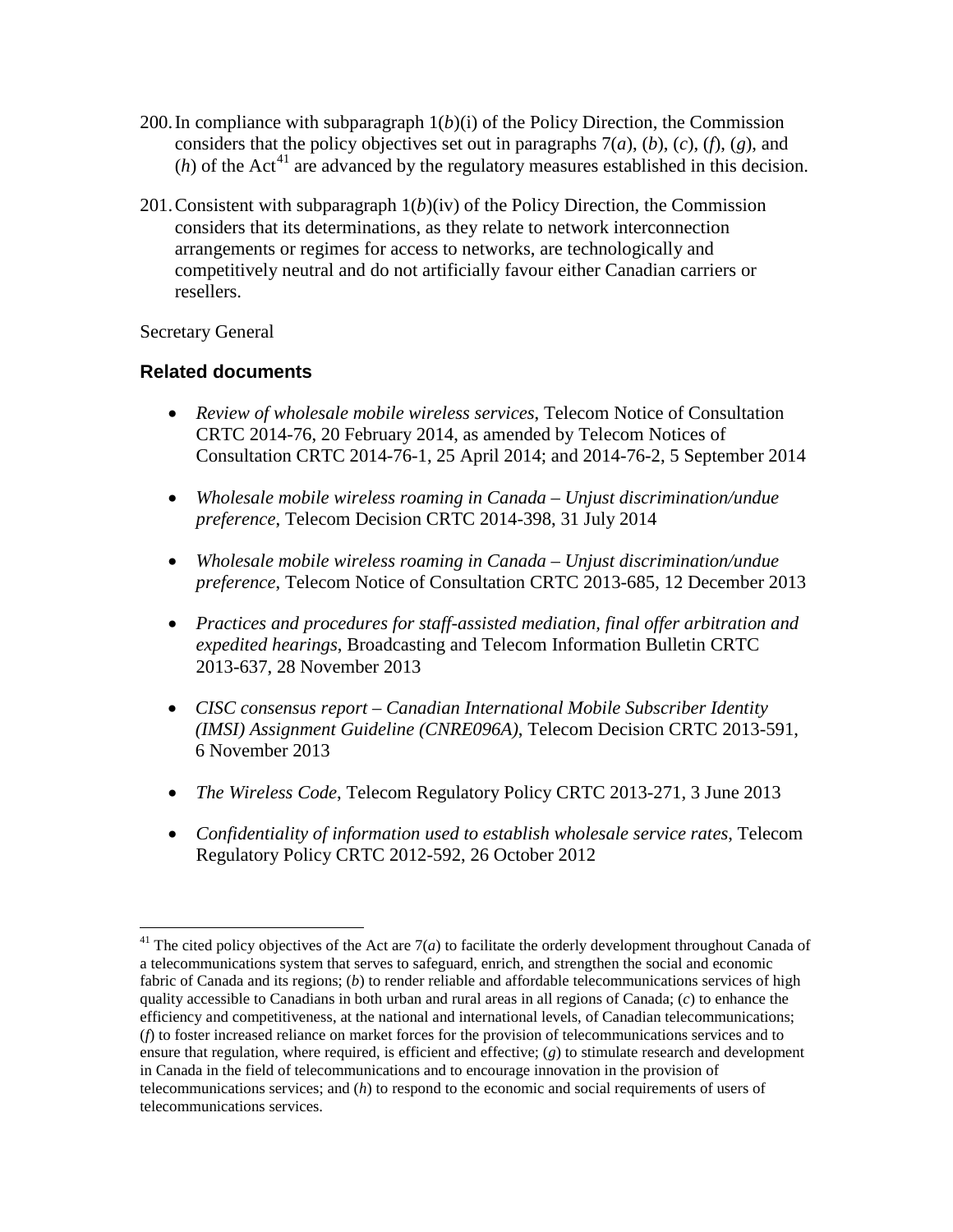- 200. In compliance with subparagraph  $1(b)(i)$  of the Policy Direction, the Commission considers that the policy objectives set out in paragraphs 7(*a*), (*b*), (*c*), (*f*), (*g*), and  $(h)$  of the Act<sup>[41](#page-34-0)</sup> are advanced by the regulatory measures established in this decision.
- 201.Consistent with subparagraph 1(*b*)(iv) of the Policy Direction, the Commission considers that its determinations, as they relate to network interconnection arrangements or regimes for access to networks, are technologically and competitively neutral and do not artificially favour either Canadian carriers or resellers.

Secretary General

 $\overline{a}$ 

## **Related documents**

- *Review of wholesale mobile wireless services*, Telecom Notice of Consultation CRTC 2014-76, 20 February 2014, as amended by Telecom Notices of Consultation CRTC 2014-76-1, 25 April 2014; and 2014-76-2, 5 September 2014
- *Wholesale mobile wireless roaming in Canada – Unjust discrimination/undue preference*, Telecom Decision CRTC 2014-398, 31 July 2014
- *Wholesale mobile wireless roaming in Canada – Unjust discrimination/undue preference*, Telecom Notice of Consultation CRTC 2013-685, 12 December 2013
- *Practices and procedures for staff-assisted mediation, final offer arbitration and expedited hearings*, Broadcasting and Telecom Information Bulletin CRTC 2013-637, 28 November 2013
- *CISC consensus report – Canadian International Mobile Subscriber Identity (IMSI) Assignment Guideline (CNRE096A)*, Telecom Decision CRTC 2013-591, 6 November 2013
- *The Wireless Code*, Telecom Regulatory Policy CRTC 2013-271, 3 June 2013
- *Confidentiality of information used to establish wholesale service rates*, Telecom Regulatory Policy CRTC 2012-592, 26 October 2012

<span id="page-34-0"></span><sup>&</sup>lt;sup>41</sup> The cited policy objectives of the Act are  $7(a)$  to facilitate the orderly development throughout Canada of a telecommunications system that serves to safeguard, enrich, and strengthen the social and economic fabric of Canada and its regions; (*b*) to render reliable and affordable telecommunications services of high quality accessible to Canadians in both urban and rural areas in all regions of Canada; (*c*) to enhance the efficiency and competitiveness, at the national and international levels, of Canadian telecommunications; (*f*) to foster increased reliance on market forces for the provision of telecommunications services and to ensure that regulation, where required, is efficient and effective; (*g*) to stimulate research and development in Canada in the field of telecommunications and to encourage innovation in the provision of telecommunications services; and (*h*) to respond to the economic and social requirements of users of telecommunications services.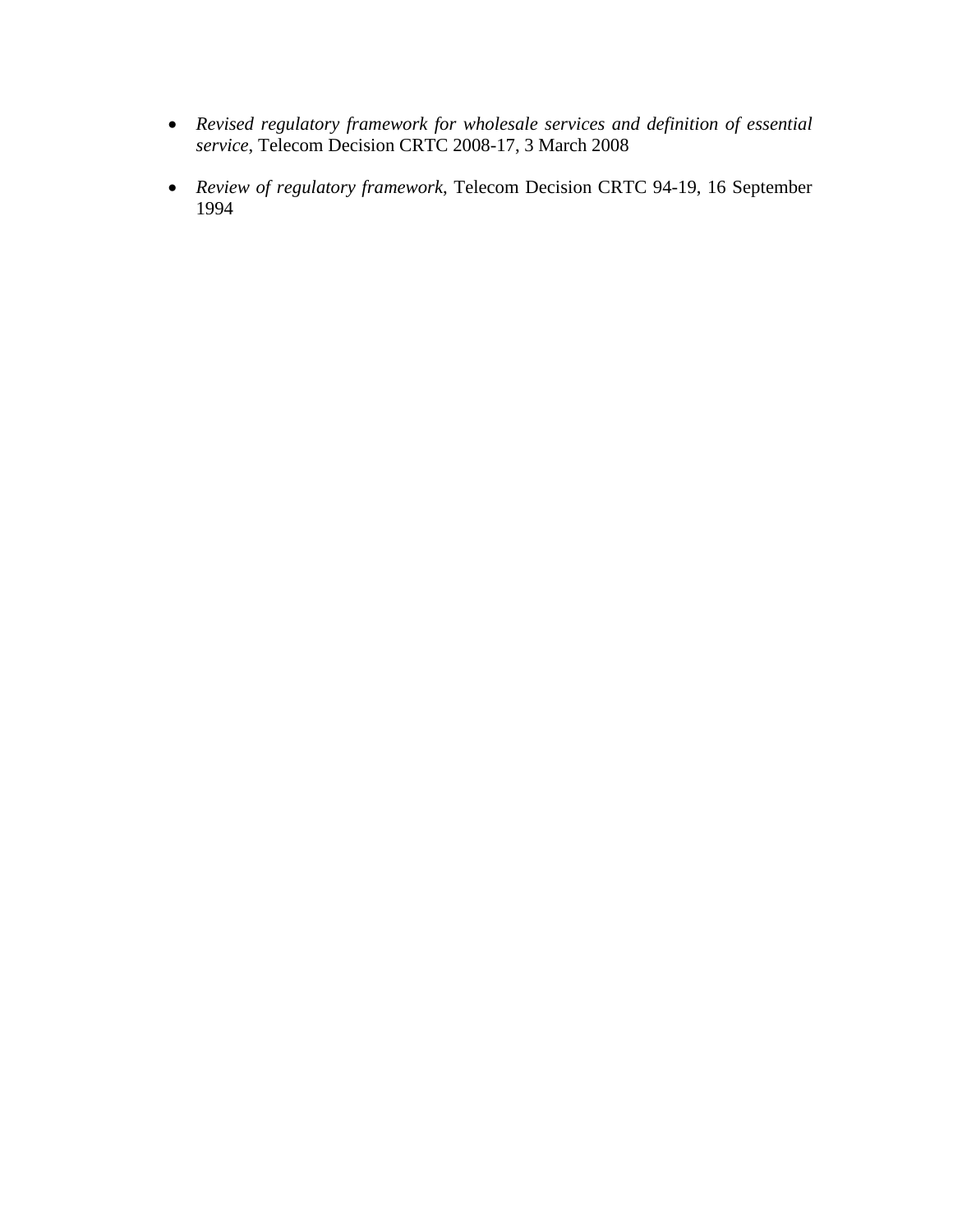- *Revised regulatory framework for wholesale services and definition of essential service*, Telecom Decision CRTC 2008-17, 3 March 2008
- *Review of regulatory framework*, Telecom Decision CRTC 94-19, 16 September 1994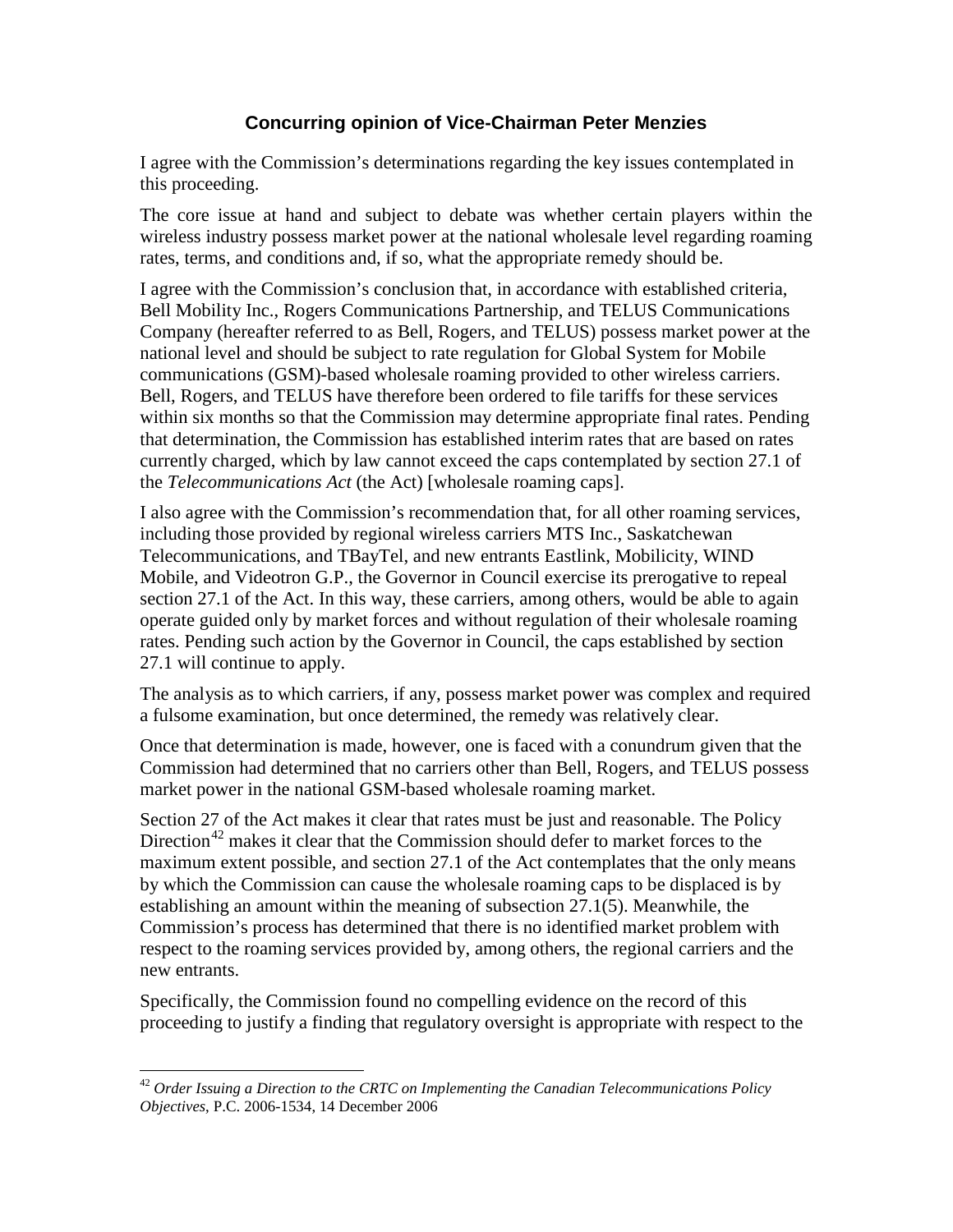## **Concurring opinion of Vice-Chairman Peter Menzies**

I agree with the Commission's determinations regarding the key issues contemplated in this proceeding.

The core issue at hand and subject to debate was whether certain players within the wireless industry possess market power at the national wholesale level regarding roaming rates, terms, and conditions and, if so, what the appropriate remedy should be.

I agree with the Commission's conclusion that, in accordance with established criteria, Bell Mobility Inc., Rogers Communications Partnership, and TELUS Communications Company (hereafter referred to as Bell, Rogers, and TELUS) possess market power at the national level and should be subject to rate regulation for Global System for Mobile communications (GSM)-based wholesale roaming provided to other wireless carriers. Bell, Rogers, and TELUS have therefore been ordered to file tariffs for these services within six months so that the Commission may determine appropriate final rates. Pending that determination, the Commission has established interim rates that are based on rates currently charged, which by law cannot exceed the caps contemplated by section 27.1 of the *Telecommunications Act* (the Act) [wholesale roaming caps].

I also agree with the Commission's recommendation that, for all other roaming services, including those provided by regional wireless carriers MTS Inc., Saskatchewan Telecommunications, and TBayTel, and new entrants Eastlink, Mobilicity, WIND Mobile, and Videotron G.P., the Governor in Council exercise its prerogative to repeal section 27.1 of the Act. In this way, these carriers, among others, would be able to again operate guided only by market forces and without regulation of their wholesale roaming rates. Pending such action by the Governor in Council, the caps established by section 27.1 will continue to apply.

The analysis as to which carriers, if any, possess market power was complex and required a fulsome examination, but once determined, the remedy was relatively clear.

Once that determination is made, however, one is faced with a conundrum given that the Commission had determined that no carriers other than Bell, Rogers, and TELUS possess market power in the national GSM-based wholesale roaming market.

Section 27 of the Act makes it clear that rates must be just and reasonable. The Policy Direction<sup>[42](#page-36-0)</sup> makes it clear that the Commission should defer to market forces to the maximum extent possible, and section 27.1 of the Act contemplates that the only means by which the Commission can cause the wholesale roaming caps to be displaced is by establishing an amount within the meaning of subsection 27.1(5). Meanwhile, the Commission's process has determined that there is no identified market problem with respect to the roaming services provided by, among others, the regional carriers and the new entrants.

Specifically, the Commission found no compelling evidence on the record of this proceeding to justify a finding that regulatory oversight is appropriate with respect to the

 $\overline{a}$ 

<span id="page-36-0"></span><sup>42</sup> *Order Issuing a Direction to the CRTC on Implementing the Canadian Telecommunications Policy Objectives*, P.C. 2006-1534, 14 December 2006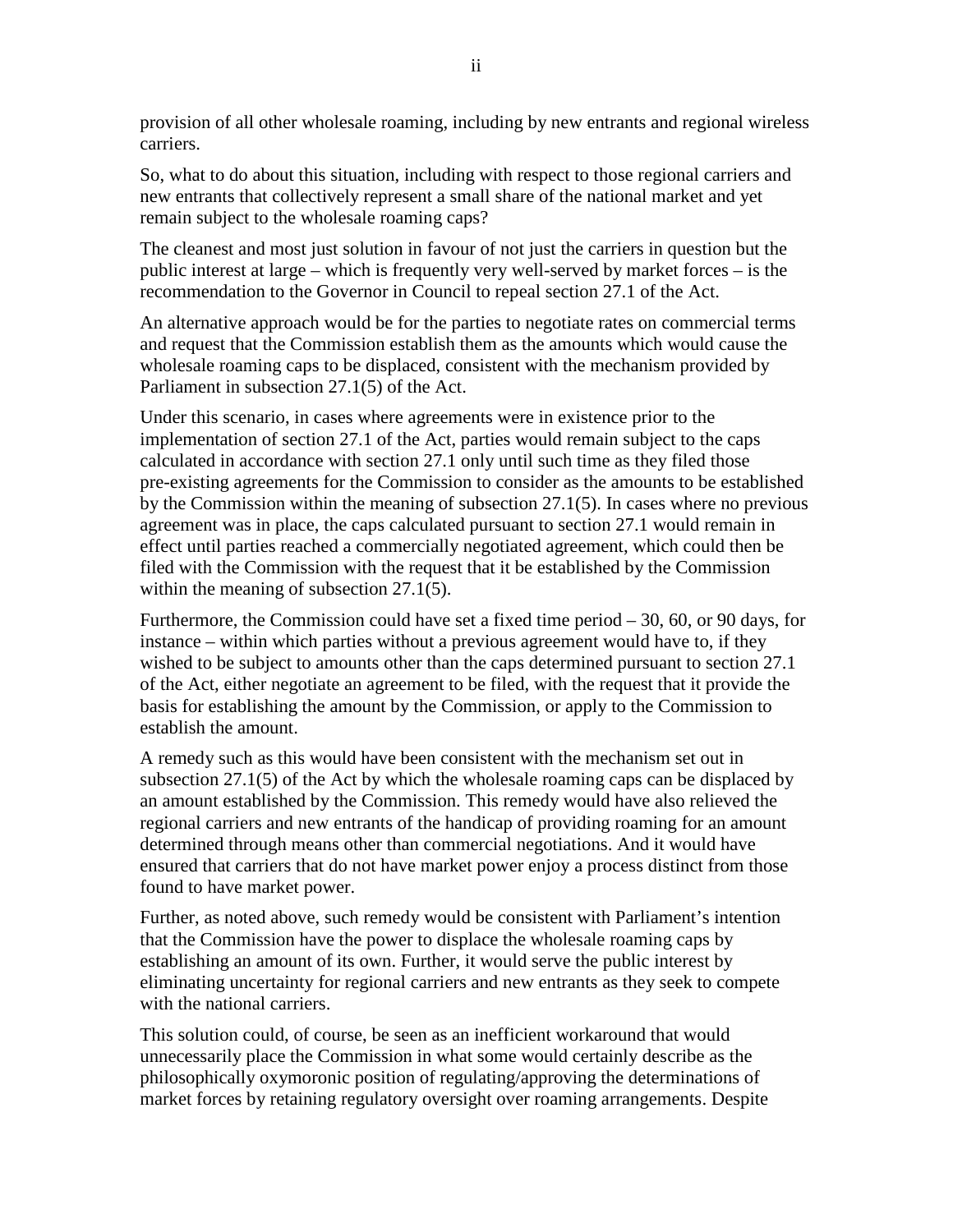provision of all other wholesale roaming, including by new entrants and regional wireless carriers.

So, what to do about this situation, including with respect to those regional carriers and new entrants that collectively represent a small share of the national market and yet remain subject to the wholesale roaming caps?

The cleanest and most just solution in favour of not just the carriers in question but the public interest at large – which is frequently very well-served by market forces – is the recommendation to the Governor in Council to repeal section 27.1 of the Act.

An alternative approach would be for the parties to negotiate rates on commercial terms and request that the Commission establish them as the amounts which would cause the wholesale roaming caps to be displaced, consistent with the mechanism provided by Parliament in subsection 27.1(5) of the Act.

Under this scenario, in cases where agreements were in existence prior to the implementation of section 27.1 of the Act, parties would remain subject to the caps calculated in accordance with section 27.1 only until such time as they filed those pre-existing agreements for the Commission to consider as the amounts to be established by the Commission within the meaning of subsection 27.1(5). In cases where no previous agreement was in place, the caps calculated pursuant to section 27.1 would remain in effect until parties reached a commercially negotiated agreement, which could then be filed with the Commission with the request that it be established by the Commission within the meaning of subsection 27.1(5).

Furthermore, the Commission could have set a fixed time period – 30, 60, or 90 days, for instance – within which parties without a previous agreement would have to, if they wished to be subject to amounts other than the caps determined pursuant to section 27.1 of the Act, either negotiate an agreement to be filed, with the request that it provide the basis for establishing the amount by the Commission, or apply to the Commission to establish the amount.

A remedy such as this would have been consistent with the mechanism set out in subsection 27.1(5) of the Act by which the wholesale roaming caps can be displaced by an amount established by the Commission. This remedy would have also relieved the regional carriers and new entrants of the handicap of providing roaming for an amount determined through means other than commercial negotiations. And it would have ensured that carriers that do not have market power enjoy a process distinct from those found to have market power.

Further, as noted above, such remedy would be consistent with Parliament's intention that the Commission have the power to displace the wholesale roaming caps by establishing an amount of its own. Further, it would serve the public interest by eliminating uncertainty for regional carriers and new entrants as they seek to compete with the national carriers.

This solution could, of course, be seen as an inefficient workaround that would unnecessarily place the Commission in what some would certainly describe as the philosophically oxymoronic position of regulating/approving the determinations of market forces by retaining regulatory oversight over roaming arrangements. Despite